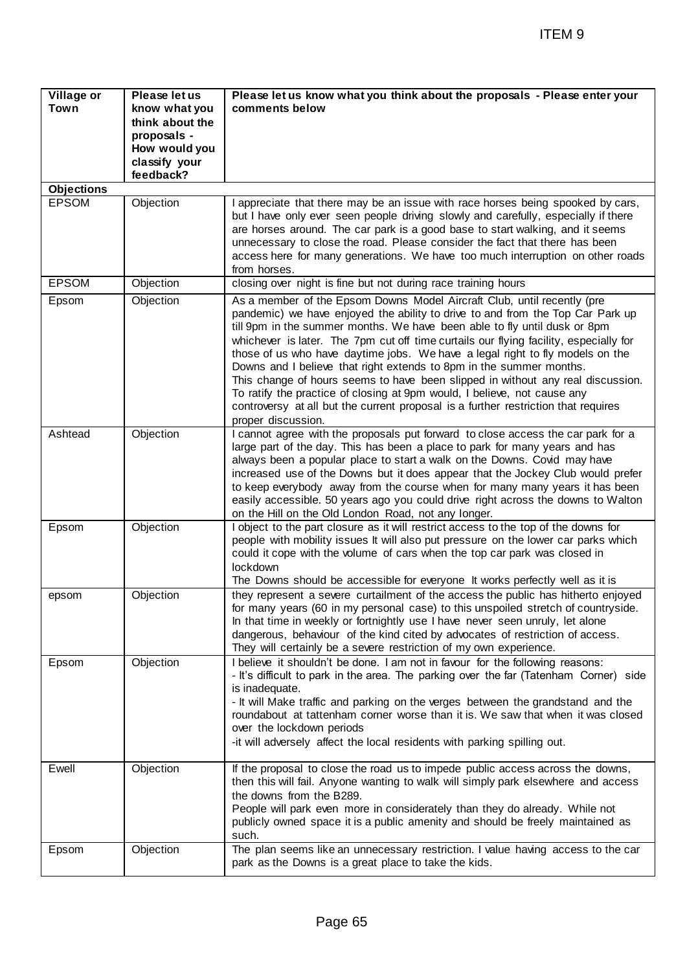| <b>Village or</b><br>Town         | Please let us<br>know what you<br>think about the<br>proposals -<br>How would you<br>classify your<br>feedback? | Please let us know what you think about the proposals - Please enter your<br>comments below                                                                                                                                                                                                                                                                                                                                                                                                                                                                                                                                                                                                                                                                                                                                         |
|-----------------------------------|-----------------------------------------------------------------------------------------------------------------|-------------------------------------------------------------------------------------------------------------------------------------------------------------------------------------------------------------------------------------------------------------------------------------------------------------------------------------------------------------------------------------------------------------------------------------------------------------------------------------------------------------------------------------------------------------------------------------------------------------------------------------------------------------------------------------------------------------------------------------------------------------------------------------------------------------------------------------|
| <b>Objections</b><br><b>EPSOM</b> | Objection                                                                                                       | I appreciate that there may be an issue with race horses being spooked by cars,<br>but I have only ever seen people driving slowly and carefully, especially if there<br>are horses around. The car park is a good base to start walking, and it seems<br>unnecessary to close the road. Please consider the fact that there has been<br>access here for many generations. We have too much interruption on other roads<br>from horses.                                                                                                                                                                                                                                                                                                                                                                                             |
| <b>EPSOM</b><br>Epsom             | Objection<br>Objection                                                                                          | closing over night is fine but not during race training hours<br>As a member of the Epsom Downs Model Aircraft Club, until recently (pre<br>pandemic) we have enjoyed the ability to drive to and from the Top Car Park up<br>till 9pm in the summer months. We have been able to fly until dusk or 8pm<br>whichever is later. The 7pm cut off time curtails our flying facility, especially for<br>those of us who have daytime jobs. We have a legal right to fly models on the<br>Downs and I believe that right extends to 8pm in the summer months.<br>This change of hours seems to have been slipped in without any real discussion.<br>To ratify the practice of closing at 9pm would, I believe, not cause any<br>controversy at all but the current proposal is a further restriction that requires<br>proper discussion. |
| Ashtead                           | Objection                                                                                                       | I cannot agree with the proposals put forward to close access the car park for a<br>large part of the day. This has been a place to park for many years and has<br>always been a popular place to start a walk on the Downs. Covid may have<br>increased use of the Downs but it does appear that the Jockey Club would prefer<br>to keep everybody away from the course when for many many years it has been<br>easily accessible. 50 years ago you could drive right across the downs to Walton<br>on the Hill on the Old London Road, not any longer.                                                                                                                                                                                                                                                                            |
| Epsom                             | Objection                                                                                                       | I object to the part closure as it will restrict access to the top of the downs for<br>people with mobility issues It will also put pressure on the lower car parks which<br>could it cope with the volume of cars when the top car park was closed in<br>lockdown<br>The Downs should be accessible for everyone It works perfectly well as it is                                                                                                                                                                                                                                                                                                                                                                                                                                                                                  |
| epsom                             | Objection                                                                                                       | they represent a severe curtailment of the access the public has hitherto enjoyed<br>for many years (60 in my personal case) to this unspoiled stretch of countryside.<br>In that time in weekly or fortnightly use I have never seen unruly, let alone<br>dangerous, behaviour of the kind cited by advocates of restriction of access.<br>They will certainly be a severe restriction of my own experience.                                                                                                                                                                                                                                                                                                                                                                                                                       |
| Epsom                             | Objection                                                                                                       | I believe it shouldn't be done. I am not in favour for the following reasons:<br>- It's difficult to park in the area. The parking over the far (Tatenham Corner) side<br>is inadequate.<br>- It will Make traffic and parking on the verges between the grandstand and the<br>roundabout at tattenham corner worse than it is. We saw that when it was closed<br>over the lockdown periods<br>-it will adversely affect the local residents with parking spilling out.                                                                                                                                                                                                                                                                                                                                                             |
| Ewell                             | Objection                                                                                                       | If the proposal to close the road us to impede public access across the downs,<br>then this will fail. Anyone wanting to walk will simply park elsewhere and access<br>the downs from the B289.<br>People will park even more in considerately than they do already. While not<br>publicly owned space it is a public amenity and should be freely maintained as<br>such.                                                                                                                                                                                                                                                                                                                                                                                                                                                           |
| Epsom                             | Objection                                                                                                       | The plan seems like an unnecessary restriction. I value having access to the car<br>park as the Downs is a great place to take the kids.                                                                                                                                                                                                                                                                                                                                                                                                                                                                                                                                                                                                                                                                                            |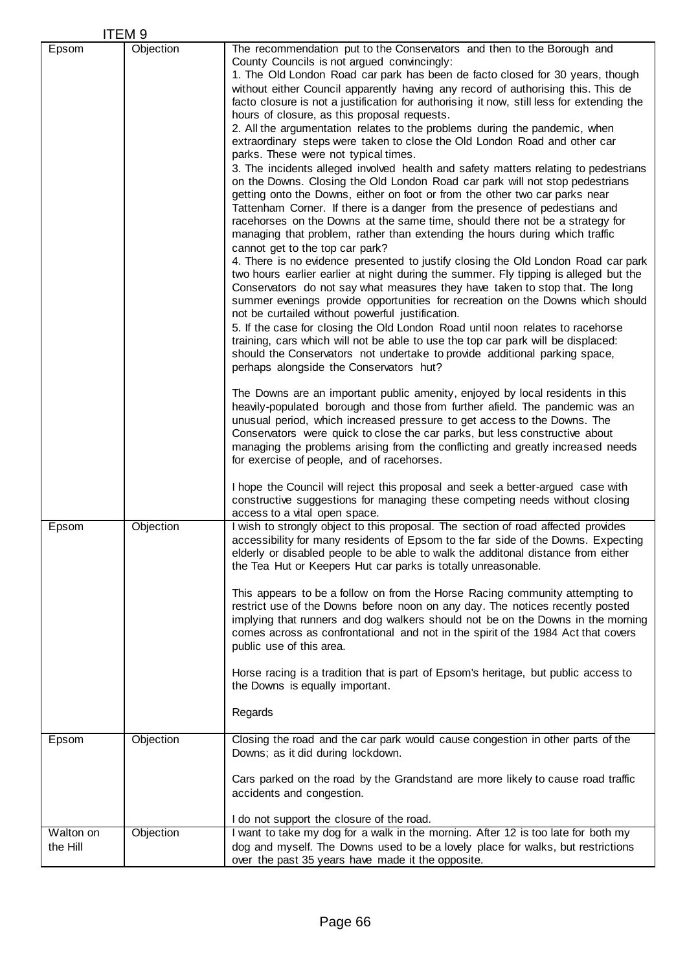|                       | ITEM <sub>9</sub> |                                                                                                                                                                                                                                                                                                                                                                                                                                                                                                                                                                                                                                                                                                                                                                                                                                                                                                                                                                                                                                                                                                                                                                                                                                                                                                                                                                                                                                                                                                                                                                                                                                                                                                                                                                                                                                                                                                                                                                                                                                                                                                                                                                                                                |
|-----------------------|-------------------|----------------------------------------------------------------------------------------------------------------------------------------------------------------------------------------------------------------------------------------------------------------------------------------------------------------------------------------------------------------------------------------------------------------------------------------------------------------------------------------------------------------------------------------------------------------------------------------------------------------------------------------------------------------------------------------------------------------------------------------------------------------------------------------------------------------------------------------------------------------------------------------------------------------------------------------------------------------------------------------------------------------------------------------------------------------------------------------------------------------------------------------------------------------------------------------------------------------------------------------------------------------------------------------------------------------------------------------------------------------------------------------------------------------------------------------------------------------------------------------------------------------------------------------------------------------------------------------------------------------------------------------------------------------------------------------------------------------------------------------------------------------------------------------------------------------------------------------------------------------------------------------------------------------------------------------------------------------------------------------------------------------------------------------------------------------------------------------------------------------------------------------------------------------------------------------------------------------|
| Epsom                 | Objection         | The recommendation put to the Conservators and then to the Borough and<br>County Councils is not argued convincingly:<br>1. The Old London Road car park has been de facto closed for 30 years, though<br>without either Council apparently having any record of authorising this. This de<br>facto closure is not a justification for authorising it now, still less for extending the<br>hours of closure, as this proposal requests.<br>2. All the argumentation relates to the problems during the pandemic, when<br>extraordinary steps were taken to close the Old London Road and other car<br>parks. These were not typical times.<br>3. The incidents alleged involved health and safety matters relating to pedestrians<br>on the Downs. Closing the Old London Road car park will not stop pedestrians<br>getting onto the Downs, either on foot or from the other two car parks near<br>Tattenham Corner. If there is a danger from the presence of pedestians and<br>racehorses on the Downs at the same time, should there not be a strategy for<br>managing that problem, rather than extending the hours during which traffic<br>cannot get to the top car park?<br>4. There is no evidence presented to justify closing the Old London Road car park<br>two hours earlier earlier at night during the summer. Fly tipping is alleged but the<br>Conservators do not say what measures they have taken to stop that. The long<br>summer evenings provide opportunities for recreation on the Downs which should<br>not be curtailed without powerful justification.<br>5. If the case for closing the Old London Road until noon relates to racehorse<br>training, cars which will not be able to use the top car park will be displaced:<br>should the Conservators not undertake to provide additional parking space,<br>perhaps alongside the Conservators hut?<br>The Downs are an important public amenity, enjoyed by local residents in this<br>heavily-populated borough and those from further afield. The pandemic was an<br>unusual period, which increased pressure to get access to the Downs. The<br>Conservators were quick to close the car parks, but less constructive about |
|                       |                   | managing the problems arising from the conflicting and greatly increased needs<br>for exercise of people, and of racehorses.<br>I hope the Council will reject this proposal and seek a better-argued case with<br>constructive suggestions for managing these competing needs without closing<br>access to a vital open space.                                                                                                                                                                                                                                                                                                                                                                                                                                                                                                                                                                                                                                                                                                                                                                                                                                                                                                                                                                                                                                                                                                                                                                                                                                                                                                                                                                                                                                                                                                                                                                                                                                                                                                                                                                                                                                                                                |
| Epsom                 | Objection         | I wish to strongly object to this proposal. The section of road affected provides<br>accessibility for many residents of Epsom to the far side of the Downs. Expecting<br>elderly or disabled people to be able to walk the additonal distance from either<br>the Tea Hut or Keepers Hut car parks is totally unreasonable.<br>This appears to be a follow on from the Horse Racing community attempting to<br>restrict use of the Downs before noon on any day. The notices recently posted<br>implying that runners and dog walkers should not be on the Downs in the morning<br>comes across as confrontational and not in the spirit of the 1984 Act that covers<br>public use of this area.<br>Horse racing is a tradition that is part of Epsom's heritage, but public access to<br>the Downs is equally important.                                                                                                                                                                                                                                                                                                                                                                                                                                                                                                                                                                                                                                                                                                                                                                                                                                                                                                                                                                                                                                                                                                                                                                                                                                                                                                                                                                                      |
| Epsom                 | Objection         | Regards<br>Closing the road and the car park would cause congestion in other parts of the                                                                                                                                                                                                                                                                                                                                                                                                                                                                                                                                                                                                                                                                                                                                                                                                                                                                                                                                                                                                                                                                                                                                                                                                                                                                                                                                                                                                                                                                                                                                                                                                                                                                                                                                                                                                                                                                                                                                                                                                                                                                                                                      |
|                       |                   | Downs; as it did during lockdown.<br>Cars parked on the road by the Grandstand are more likely to cause road traffic<br>accidents and congestion.<br>I do not support the closure of the road.                                                                                                                                                                                                                                                                                                                                                                                                                                                                                                                                                                                                                                                                                                                                                                                                                                                                                                                                                                                                                                                                                                                                                                                                                                                                                                                                                                                                                                                                                                                                                                                                                                                                                                                                                                                                                                                                                                                                                                                                                 |
| Walton on<br>the Hill | Objection         | I want to take my dog for a walk in the morning. After 12 is too late for both my<br>dog and myself. The Downs used to be a lovely place for walks, but restrictions<br>over the past 35 years have made it the opposite.                                                                                                                                                                                                                                                                                                                                                                                                                                                                                                                                                                                                                                                                                                                                                                                                                                                                                                                                                                                                                                                                                                                                                                                                                                                                                                                                                                                                                                                                                                                                                                                                                                                                                                                                                                                                                                                                                                                                                                                      |
|                       |                   | Page 66                                                                                                                                                                                                                                                                                                                                                                                                                                                                                                                                                                                                                                                                                                                                                                                                                                                                                                                                                                                                                                                                                                                                                                                                                                                                                                                                                                                                                                                                                                                                                                                                                                                                                                                                                                                                                                                                                                                                                                                                                                                                                                                                                                                                        |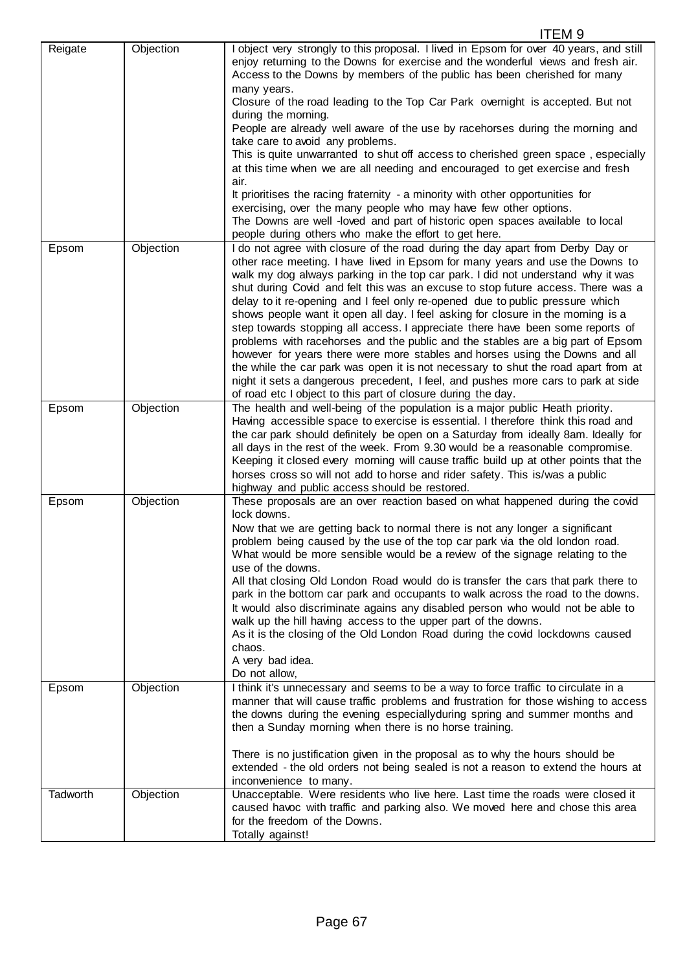|          |           | ITEM 9                                                                                                                                                                                                                                               |
|----------|-----------|------------------------------------------------------------------------------------------------------------------------------------------------------------------------------------------------------------------------------------------------------|
| Reigate  | Objection | object very strongly to this proposal. I lived in Epsom for over 40 years, and still<br>enjoy returning to the Downs for exercise and the wonderful views and fresh air.<br>Access to the Downs by members of the public has been cherished for many |
|          |           | many years.<br>Closure of the road leading to the Top Car Park overnight is accepted. But not<br>during the morning.                                                                                                                                 |
|          |           | People are already well aware of the use by racehorses during the morning and<br>take care to avoid any problems.                                                                                                                                    |
|          |           | This is quite unwarranted to shut off access to cherished green space, especially<br>at this time when we are all needing and encouraged to get exercise and fresh                                                                                   |
|          |           | air.<br>It prioritises the racing fraternity - a minority with other opportunities for                                                                                                                                                               |
|          |           | exercising, over the many people who may have few other options.<br>The Downs are well -loved and part of historic open spaces available to local<br>people during others who make the effort to get here.                                           |
| Epsom    | Objection | I do not agree with closure of the road during the day apart from Derby Day or<br>other race meeting. I have lived in Epsom for many years and use the Downs to                                                                                      |
|          |           | walk my dog always parking in the top car park. I did not understand why it was<br>shut during Covid and felt this was an excuse to stop future access. There was a                                                                                  |
|          |           | delay to it re-opening and I feel only re-opened due to public pressure which<br>shows people want it open all day. I feel asking for closure in the morning is a<br>step towards stopping all access. I appreciate there have been some reports of  |
|          |           | problems with racehorses and the public and the stables are a big part of Epsom                                                                                                                                                                      |
|          |           | however for years there were more stables and horses using the Downs and all<br>the while the car park was open it is not necessary to shut the road apart from at                                                                                   |
|          |           | night it sets a dangerous precedent, I feel, and pushes more cars to park at side<br>of road etc I object to this part of closure during the day.                                                                                                    |
| Epsom    | Objection | The health and well-being of the population is a major public Heath priority.<br>Having accessible space to exercise is essential. I therefore think this road and                                                                                   |
|          |           | the car park should definitely be open on a Saturday from ideally 8am. Ideally for<br>all days in the rest of the week. From 9.30 would be a reasonable compromise.                                                                                  |
|          |           | Keeping it closed every morning will cause traffic build up at other points that the                                                                                                                                                                 |
|          |           | horses cross so will not add to horse and rider safety. This is/was a public<br>highway and public access should be restored.                                                                                                                        |
| Epsom    | Objection | These proposals are an over reaction based on what happened during the covid<br>lock downs.                                                                                                                                                          |
|          |           | Now that we are getting back to normal there is not any longer a significant<br>problem being caused by the use of the top car park via the old london road.<br>What would be more sensible would be a review of the signage relating to the         |
|          |           | use of the downs.<br>All that closing Old London Road would do is transfer the cars that park there to                                                                                                                                               |
|          |           | park in the bottom car park and occupants to walk across the road to the downs.<br>It would also discriminate agains any disabled person who would not be able to                                                                                    |
|          |           | walk up the hill having access to the upper part of the downs.<br>As it is the closing of the Old London Road during the covid lockdowns caused                                                                                                      |
|          |           | chaos.<br>A very bad idea.                                                                                                                                                                                                                           |
| Epsom    | Objection | Do not allow,<br>I think it's unnecessary and seems to be a way to force traffic to circulate in a                                                                                                                                                   |
|          |           | manner that will cause traffic problems and frustration for those wishing to access<br>the downs during the evening especiallyduring spring and summer months and                                                                                    |
|          |           | then a Sunday morning when there is no horse training.                                                                                                                                                                                               |
|          |           | There is no justification given in the proposal as to why the hours should be                                                                                                                                                                        |
|          |           | extended - the old orders not being sealed is not a reason to extend the hours at<br>inconvenience to many.                                                                                                                                          |
| Tadworth | Objection | Unacceptable. Were residents who live here. Last time the roads were closed it<br>caused havoc with traffic and parking also. We moved here and chose this area<br>for the freedom of the Downs.                                                     |
|          |           | Totally against!                                                                                                                                                                                                                                     |
|          |           |                                                                                                                                                                                                                                                      |
|          |           |                                                                                                                                                                                                                                                      |
|          |           |                                                                                                                                                                                                                                                      |
|          |           | Page 67                                                                                                                                                                                                                                              |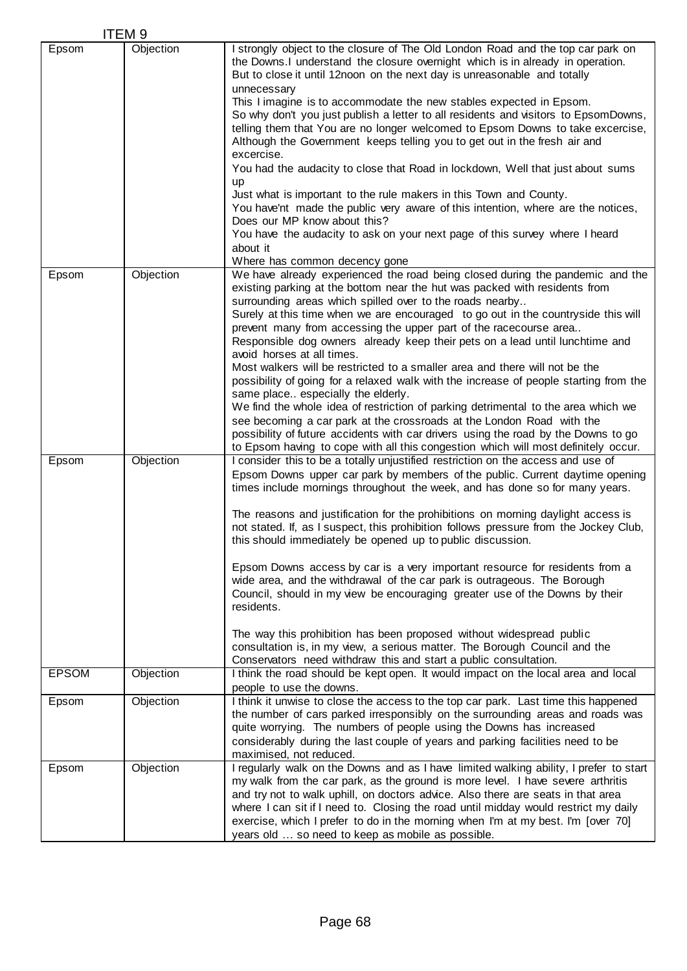|              | ITEM 9    |                                                                                                                                                                                                                                                                                                                                                                                                     |
|--------------|-----------|-----------------------------------------------------------------------------------------------------------------------------------------------------------------------------------------------------------------------------------------------------------------------------------------------------------------------------------------------------------------------------------------------------|
| Epsom        | Objection | I strongly object to the closure of The Old London Road and the top car park on<br>the Downs. I understand the closure overnight which is in already in operation.<br>But to close it until 12noon on the next day is unreasonable and totally                                                                                                                                                      |
|              |           | unnecessary<br>This I imagine is to accommodate the new stables expected in Epsom.<br>So why don't you just publish a letter to all residents and visitors to EpsomDowns,<br>telling them that You are no longer welcomed to Epsom Downs to take excercise,<br>Although the Government keeps telling you to get out in the fresh air and<br>excercise.                                              |
|              |           | You had the audacity to close that Road in lockdown, Well that just about sums<br>up                                                                                                                                                                                                                                                                                                                |
|              |           | Just what is important to the rule makers in this Town and County.<br>You have'nt made the public very aware of this intention, where are the notices,                                                                                                                                                                                                                                              |
|              |           | Does our MP know about this?<br>You have the audacity to ask on your next page of this survey where I heard<br>about it                                                                                                                                                                                                                                                                             |
| Epsom        | Objection | Where has common decency gone<br>We have already experienced the road being closed during the pandemic and the                                                                                                                                                                                                                                                                                      |
|              |           | existing parking at the bottom near the hut was packed with residents from<br>surrounding areas which spilled over to the roads nearby<br>Surely at this time when we are encouraged to go out in the countryside this will<br>prevent many from accessing the upper part of the racecourse area                                                                                                    |
|              |           | Responsible dog owners already keep their pets on a lead until lunchtime and<br>avoid horses at all times.<br>Most walkers will be restricted to a smaller area and there will not be the                                                                                                                                                                                                           |
|              |           | possibility of going for a relaxed walk with the increase of people starting from the<br>same place especially the elderly.<br>We find the whole idea of restriction of parking detrimental to the area which we                                                                                                                                                                                    |
|              |           | see becoming a car park at the crossroads at the London Road with the<br>possibility of future accidents with car drivers using the road by the Downs to go<br>to Epsom having to cope with all this congestion which will most definitely occur.                                                                                                                                                   |
| Epsom        | Objection | I consider this to be a totally unjustified restriction on the access and use of<br>Epsom Downs upper car park by members of the public. Current daytime opening<br>times include mornings throughout the week, and has done so for many years.                                                                                                                                                     |
|              |           | The reasons and justification for the prohibitions on morning daylight access is<br>not stated. If, as I suspect, this prohibition follows pressure from the Jockey Club,<br>this should immediately be opened up to public discussion.                                                                                                                                                             |
|              |           | Epsom Downs access by car is a very important resource for residents from a<br>wide area, and the withdrawal of the car park is outrageous. The Borough<br>Council, should in my view be encouraging greater use of the Downs by their<br>residents.                                                                                                                                                |
|              |           | The way this prohibition has been proposed without widespread public<br>consultation is, in my view, a serious matter. The Borough Council and the<br>Conservators need withdraw this and start a public consultation.                                                                                                                                                                              |
| <b>EPSOM</b> | Objection | I think the road should be kept open. It would impact on the local area and local<br>people to use the downs.                                                                                                                                                                                                                                                                                       |
| Epsom        | Objection | I think it unwise to close the access to the top car park. Last time this happened<br>the number of cars parked irresponsibly on the surrounding areas and roads was<br>quite worrying. The numbers of people using the Downs has increased<br>considerably during the last couple of years and parking facilities need to be                                                                       |
| Epsom        | Objection | maximised, not reduced.<br>I regularly walk on the Downs and as I have limited walking ability, I prefer to start                                                                                                                                                                                                                                                                                   |
|              |           | my walk from the car park, as the ground is more level. I have severe arthritis<br>and try not to walk uphill, on doctors advice. Also there are seats in that area<br>where I can sit if I need to. Closing the road until midday would restrict my daily<br>exercise, which I prefer to do in the morning when I'm at my best. I'm [over 70]<br>years old  so need to keep as mobile as possible. |
|              |           |                                                                                                                                                                                                                                                                                                                                                                                                     |
|              |           | Page 68                                                                                                                                                                                                                                                                                                                                                                                             |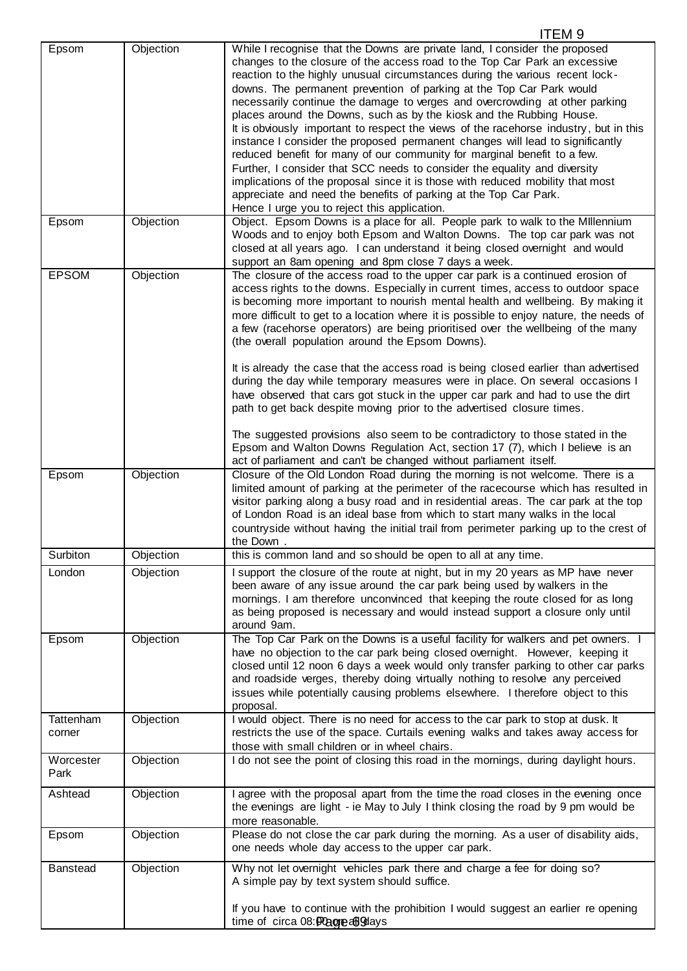|                     |           | ITEM 9                                                                                                                                                                                                                                                                                                                                                                                                                                                                                                                                                                                                                                                                                                                                                                                                                                                                                                                                                                                                           |
|---------------------|-----------|------------------------------------------------------------------------------------------------------------------------------------------------------------------------------------------------------------------------------------------------------------------------------------------------------------------------------------------------------------------------------------------------------------------------------------------------------------------------------------------------------------------------------------------------------------------------------------------------------------------------------------------------------------------------------------------------------------------------------------------------------------------------------------------------------------------------------------------------------------------------------------------------------------------------------------------------------------------------------------------------------------------|
| Epsom               | Objection | While I recognise that the Downs are private land, I consider the proposed<br>changes to the closure of the access road to the Top Car Park an excessive<br>reaction to the highly unusual circumstances during the various recent lock-<br>downs. The permanent prevention of parking at the Top Car Park would<br>necessarily continue the damage to verges and overcrowding at other parking<br>places around the Downs, such as by the kiosk and the Rubbing House.<br>It is obviously important to respect the views of the racehorse industry, but in this<br>instance I consider the proposed permanent changes will lead to significantly<br>reduced benefit for many of our community for marginal benefit to a few.<br>Further, I consider that SCC needs to consider the equality and diversity<br>implications of the proposal since it is those with reduced mobility that most<br>appreciate and need the benefits of parking at the Top Car Park.<br>Hence I urge you to reject this application. |
| Epsom               | Objection | Object. Epsom Downs is a place for all. People park to walk to the Millennium<br>Woods and to enjoy both Epsom and Walton Downs. The top car park was not<br>closed at all years ago. I can understand it being closed overnight and would<br>support an 8am opening and 8pm close 7 days a week.                                                                                                                                                                                                                                                                                                                                                                                                                                                                                                                                                                                                                                                                                                                |
| <b>EPSOM</b>        | Objection | The closure of the access road to the upper car park is a continued erosion of<br>access rights to the downs. Especially in current times, access to outdoor space<br>is becoming more important to nourish mental health and wellbeing. By making it<br>more difficult to get to a location where it is possible to enjoy nature, the needs of<br>a few (racehorse operators) are being prioritised over the wellbeing of the many<br>(the overall population around the Epsom Downs).<br>It is already the case that the access road is being closed earlier than advertised<br>during the day while temporary measures were in place. On several occasions I<br>have observed that cars got stuck in the upper car park and had to use the dirt<br>path to get back despite moving prior to the advertised closure times.<br>The suggested provisions also seem to be contradictory to those stated in the<br>Epsom and Walton Downs Regulation Act, section 17 (7), which I believe is an                    |
| Epsom               | Objection | act of parliament and can't be changed without parliament itself.<br>Closure of the Old London Road during the morning is not welcome. There is a<br>limited amount of parking at the perimeter of the racecourse which has resulted in<br>visitor parking along a busy road and in residential areas. The car park at the top<br>of London Road is an ideal base from which to start many walks in the local<br>countryside without having the initial trail from perimeter parking up to the crest of                                                                                                                                                                                                                                                                                                                                                                                                                                                                                                          |
| Surbiton            | Objection | the Down.<br>this is common land and so should be open to all at any time.                                                                                                                                                                                                                                                                                                                                                                                                                                                                                                                                                                                                                                                                                                                                                                                                                                                                                                                                       |
| London              | Objection | I support the closure of the route at night, but in my 20 years as MP have never<br>been aware of any issue around the car park being used by walkers in the<br>mornings. I am therefore unconvinced that keeping the route closed for as long<br>as being proposed is necessary and would instead support a closure only until<br>around 9am.                                                                                                                                                                                                                                                                                                                                                                                                                                                                                                                                                                                                                                                                   |
| Epsom               | Objection | The Top Car Park on the Downs is a useful facility for walkers and pet owners.<br>have no objection to the car park being closed overnight. However, keeping it<br>closed until 12 noon 6 days a week would only transfer parking to other car parks<br>and roadside verges, thereby doing virtually nothing to resolve any perceived<br>issues while potentially causing problems elsewhere. I therefore object to this<br>proposal.                                                                                                                                                                                                                                                                                                                                                                                                                                                                                                                                                                            |
| Tattenham<br>corner | Objection | I would object. There is no need for access to the car park to stop at dusk. It<br>restricts the use of the space. Curtails evening walks and takes away access for<br>those with small children or in wheel chairs.                                                                                                                                                                                                                                                                                                                                                                                                                                                                                                                                                                                                                                                                                                                                                                                             |
| Worcester<br>Park   | Objection | I do not see the point of closing this road in the mornings, during daylight hours.                                                                                                                                                                                                                                                                                                                                                                                                                                                                                                                                                                                                                                                                                                                                                                                                                                                                                                                              |
| Ashtead             | Objection | I agree with the proposal apart from the time the road closes in the evening once<br>the evenings are light - ie May to July I think closing the road by 9 pm would be<br>more reasonable.                                                                                                                                                                                                                                                                                                                                                                                                                                                                                                                                                                                                                                                                                                                                                                                                                       |
| Epsom               | Objection | Please do not close the car park during the morning. As a user of disability aids,<br>one needs whole day access to the upper car park.                                                                                                                                                                                                                                                                                                                                                                                                                                                                                                                                                                                                                                                                                                                                                                                                                                                                          |
| <b>Banstead</b>     | Objection | Why not let overnight vehicles park there and charge a fee for doing so?<br>A simple pay by text system should suffice.<br>If you have to continue with the prohibition I would suggest an earlier re opening                                                                                                                                                                                                                                                                                                                                                                                                                                                                                                                                                                                                                                                                                                                                                                                                    |
|                     |           | time of circa 08: Rage a Gays                                                                                                                                                                                                                                                                                                                                                                                                                                                                                                                                                                                                                                                                                                                                                                                                                                                                                                                                                                                    |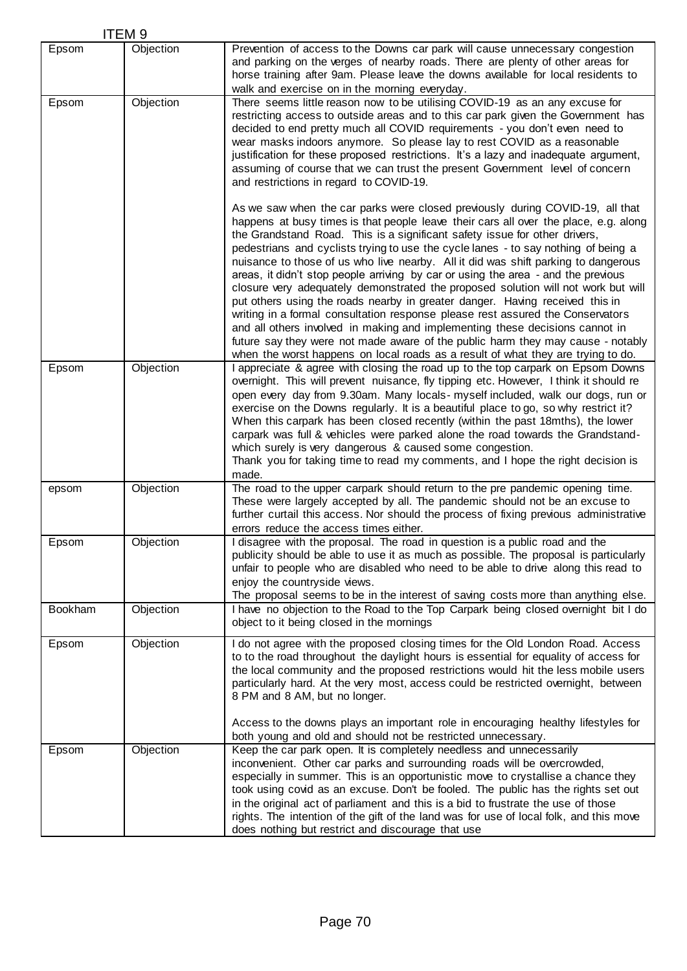|                | ITEM 9    |                                                                                                                                                                                                                                                                                                                                                                                                                                                                                                                                                                                                                                                                                                                                                                                                                                                                                                                                                                                                                                    |
|----------------|-----------|------------------------------------------------------------------------------------------------------------------------------------------------------------------------------------------------------------------------------------------------------------------------------------------------------------------------------------------------------------------------------------------------------------------------------------------------------------------------------------------------------------------------------------------------------------------------------------------------------------------------------------------------------------------------------------------------------------------------------------------------------------------------------------------------------------------------------------------------------------------------------------------------------------------------------------------------------------------------------------------------------------------------------------|
| Epsom          | Objection | Prevention of access to the Downs car park will cause unnecessary congestion<br>and parking on the verges of nearby roads. There are plenty of other areas for<br>horse training after 9am. Please leave the downs available for local residents to<br>walk and exercise on in the morning everyday.                                                                                                                                                                                                                                                                                                                                                                                                                                                                                                                                                                                                                                                                                                                               |
| Epsom          | Objection | There seems little reason now to be utilising COVID-19 as an any excuse for<br>restricting access to outside areas and to this car park given the Government has<br>decided to end pretty much all COVID requirements - you don't even need to<br>wear masks indoors anymore. So please lay to rest COVID as a reasonable<br>justification for these proposed restrictions. It's a lazy and inadequate argument,<br>assuming of course that we can trust the present Government level of concern<br>and restrictions in regard to COVID-19.                                                                                                                                                                                                                                                                                                                                                                                                                                                                                        |
|                |           | As we saw when the car parks were closed previously during COVID-19, all that<br>happens at busy times is that people leave their cars all over the place, e.g. along<br>the Grandstand Road. This is a significant safety issue for other drivers,<br>pedestrians and cyclists trying to use the cycle lanes - to say nothing of being a<br>nuisance to those of us who live nearby. All it did was shift parking to dangerous<br>areas, it didn't stop people arriving by car or using the area - and the previous<br>closure very adequately demonstrated the proposed solution will not work but will<br>put others using the roads nearby in greater danger. Having received this in<br>writing in a formal consultation response please rest assured the Conservators<br>and all others involved in making and implementing these decisions cannot in<br>future say they were not made aware of the public harm they may cause - notably<br>when the worst happens on local roads as a result of what they are trying to do. |
| Epsom          | Objection | I appreciate & agree with closing the road up to the top carpark on Epsom Downs<br>overnight. This will prevent nuisance, fly tipping etc. However, I think it should re<br>open every day from 9.30am. Many locals-myself included, walk our dogs, run or<br>exercise on the Downs regularly. It is a beautiful place to go, so why restrict it?<br>When this carpark has been closed recently (within the past 18 mths), the lower<br>carpark was full & vehicles were parked alone the road towards the Grandstand-<br>which surely is very dangerous & caused some congestion.<br>Thank you for taking time to read my comments, and I hope the right decision is<br>made.                                                                                                                                                                                                                                                                                                                                                     |
| epsom          | Objection | The road to the upper carpark should return to the pre pandemic opening time.<br>These were largely accepted by all. The pandemic should not be an excuse to<br>further curtail this access. Nor should the process of fixing previous administrative<br>errors reduce the access times either.                                                                                                                                                                                                                                                                                                                                                                                                                                                                                                                                                                                                                                                                                                                                    |
| Epsom          | Objection | I disagree with the proposal. The road in question is a public road and the<br>publicity should be able to use it as much as possible. The proposal is particularly<br>unfair to people who are disabled who need to be able to drive along this read to<br>enjoy the countryside views.<br>The proposal seems to be in the interest of saving costs more than anything else.                                                                                                                                                                                                                                                                                                                                                                                                                                                                                                                                                                                                                                                      |
| <b>Bookham</b> | Objection | I have no objection to the Road to the Top Carpark being closed overnight bit I do<br>object to it being closed in the mornings                                                                                                                                                                                                                                                                                                                                                                                                                                                                                                                                                                                                                                                                                                                                                                                                                                                                                                    |
| Epsom          | Objection | I do not agree with the proposed closing times for the Old London Road. Access<br>to to the road throughout the daylight hours is essential for equality of access for<br>the local community and the proposed restrictions would hit the less mobile users<br>particularly hard. At the very most, access could be restricted overnight, between<br>8 PM and 8 AM, but no longer.                                                                                                                                                                                                                                                                                                                                                                                                                                                                                                                                                                                                                                                 |
|                |           | Access to the downs plays an important role in encouraging healthy lifestyles for<br>both young and old and should not be restricted unnecessary.                                                                                                                                                                                                                                                                                                                                                                                                                                                                                                                                                                                                                                                                                                                                                                                                                                                                                  |
| Epsom          | Objection | Keep the car park open. It is completely needless and unnecessarily<br>inconvenient. Other car parks and surrounding roads will be overcrowded,<br>especially in summer. This is an opportunistic move to crystallise a chance they<br>took using covid as an excuse. Don't be fooled. The public has the rights set out<br>in the original act of parliament and this is a bid to frustrate the use of those<br>rights. The intention of the gift of the land was for use of local folk, and this move<br>does nothing but restrict and discourage that use                                                                                                                                                                                                                                                                                                                                                                                                                                                                       |
|                |           |                                                                                                                                                                                                                                                                                                                                                                                                                                                                                                                                                                                                                                                                                                                                                                                                                                                                                                                                                                                                                                    |
|                |           | Page 70                                                                                                                                                                                                                                                                                                                                                                                                                                                                                                                                                                                                                                                                                                                                                                                                                                                                                                                                                                                                                            |
|                |           |                                                                                                                                                                                                                                                                                                                                                                                                                                                                                                                                                                                                                                                                                                                                                                                                                                                                                                                                                                                                                                    |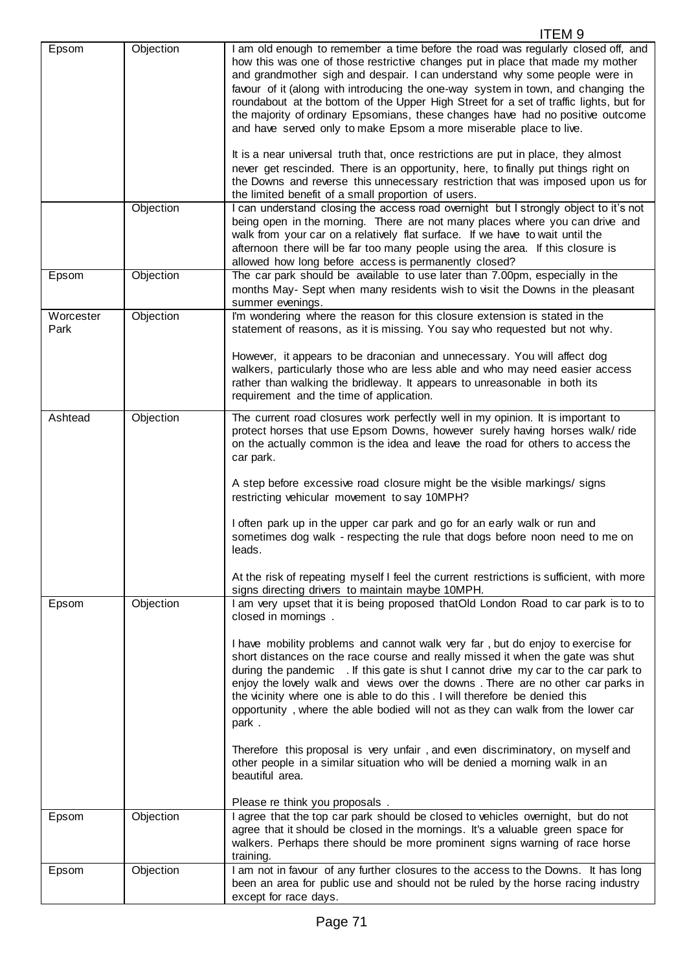|                   |           | ITEM <sub>9</sub>                                                                                                                                                                                                                                                                                                                                                                                                                                                                                                                                                                                                                                                                                                 |
|-------------------|-----------|-------------------------------------------------------------------------------------------------------------------------------------------------------------------------------------------------------------------------------------------------------------------------------------------------------------------------------------------------------------------------------------------------------------------------------------------------------------------------------------------------------------------------------------------------------------------------------------------------------------------------------------------------------------------------------------------------------------------|
| Epsom             | Objection | I am old enough to remember a time before the road was regularly closed off, and<br>how this was one of those restrictive changes put in place that made my mother<br>and grandmother sigh and despair. I can understand why some people were in<br>favour of it (along with introducing the one-way system in town, and changing the<br>roundabout at the bottom of the Upper High Street for a set of traffic lights, but for<br>the majority of ordinary Epsomians, these changes have had no positive outcome<br>and have served only to make Epsom a more miserable place to live.<br>It is a near universal truth that, once restrictions are put in place, they almost                                     |
|                   |           | never get rescinded. There is an opportunity, here, to finally put things right on<br>the Downs and reverse this unnecessary restriction that was imposed upon us for<br>the limited benefit of a small proportion of users.                                                                                                                                                                                                                                                                                                                                                                                                                                                                                      |
|                   | Objection | I can understand closing the access road overnight but I strongly object to it's not<br>being open in the morning. There are not many places where you can drive and<br>walk from your car on a relatively flat surface. If we have to wait until the<br>afternoon there will be far too many people using the area. If this closure is<br>allowed how long before access is permanently closed?                                                                                                                                                                                                                                                                                                                  |
| Epsom             | Objection | The car park should be available to use later than 7.00pm, especially in the<br>months May- Sept when many residents wish to visit the Downs in the pleasant<br>summer evenings.                                                                                                                                                                                                                                                                                                                                                                                                                                                                                                                                  |
| Worcester<br>Park | Objection | I'm wondering where the reason for this closure extension is stated in the<br>statement of reasons, as it is missing. You say who requested but not why.                                                                                                                                                                                                                                                                                                                                                                                                                                                                                                                                                          |
|                   |           | However, it appears to be draconian and unnecessary. You will affect dog<br>walkers, particularly those who are less able and who may need easier access<br>rather than walking the bridleway. It appears to unreasonable in both its<br>requirement and the time of application.                                                                                                                                                                                                                                                                                                                                                                                                                                 |
| Ashtead           | Objection | The current road closures work perfectly well in my opinion. It is important to<br>protect horses that use Epsom Downs, however surely having horses walk/ride<br>on the actually common is the idea and leave the road for others to access the<br>car park.<br>A step before excessive road closure might be the visible markings/ signs<br>restricting vehicular movement to say 10MPH?<br>I often park up in the upper car park and go for an early walk or run and<br>sometimes dog walk - respecting the rule that dogs before noon need to me on<br>leads.<br>At the risk of repeating myself I feel the current restrictions is sufficient, with more<br>signs directing drivers to maintain maybe 10MPH. |
| Epsom             | Objection | I am very upset that it is being proposed thatOld London Road to car park is to to<br>closed in mornings.<br>I have mobility problems and cannot walk very far, but do enjoy to exercise for<br>short distances on the race course and really missed it when the gate was shut<br>during the pandemic . If this gate is shut I cannot drive my car to the car park to<br>enjoy the lovely walk and views over the downs. There are no other car parks in                                                                                                                                                                                                                                                          |
|                   |           | the vicinity where one is able to do this . I will therefore be denied this<br>opportunity, where the able bodied will not as they can walk from the lower car<br>park.<br>Therefore this proposal is very unfair, and even discriminatory, on myself and<br>other people in a similar situation who will be denied a morning walk in an<br>beautiful area.<br>Please re think you proposals.                                                                                                                                                                                                                                                                                                                     |
| Epsom             | Objection | I agree that the top car park should be closed to vehicles overnight, but do not<br>agree that it should be closed in the mornings. It's a valuable green space for<br>walkers. Perhaps there should be more prominent signs warning of race horse<br>training.                                                                                                                                                                                                                                                                                                                                                                                                                                                   |
| Epsom             | Objection | I am not in favour of any further closures to the access to the Downs. It has long<br>been an area for public use and should not be ruled by the horse racing industry<br>except for race days.                                                                                                                                                                                                                                                                                                                                                                                                                                                                                                                   |
|                   |           | Page 71                                                                                                                                                                                                                                                                                                                                                                                                                                                                                                                                                                                                                                                                                                           |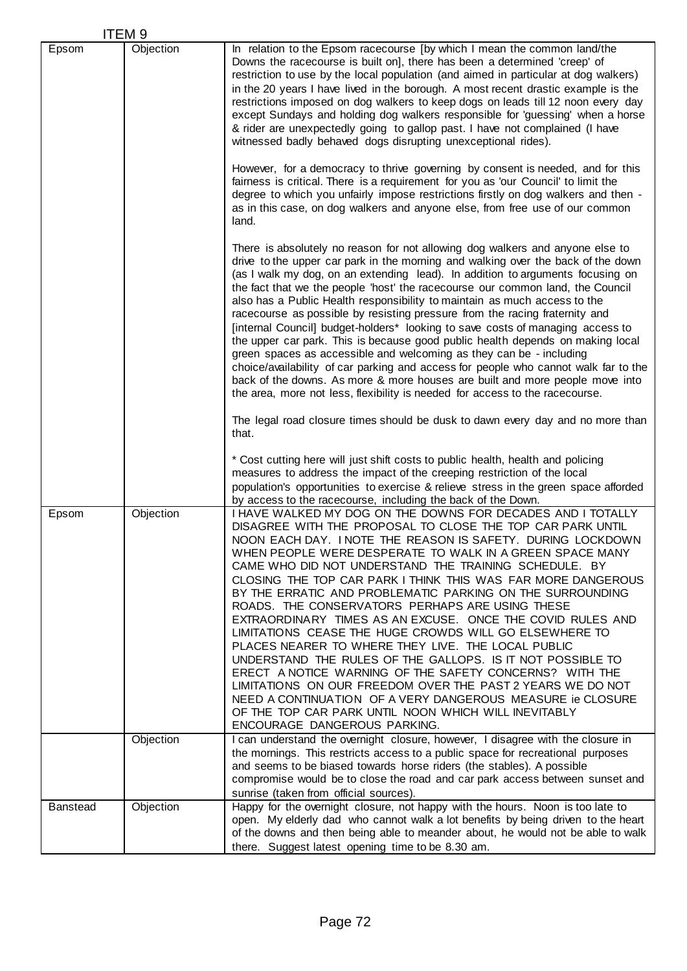|                 | ITEM 9    |                                                                                                                                                                                                                                                                                                                                                                                                                                                                                                                                                                                                                                                                                                                                                                                                                                                                                                                                                                                                                                |
|-----------------|-----------|--------------------------------------------------------------------------------------------------------------------------------------------------------------------------------------------------------------------------------------------------------------------------------------------------------------------------------------------------------------------------------------------------------------------------------------------------------------------------------------------------------------------------------------------------------------------------------------------------------------------------------------------------------------------------------------------------------------------------------------------------------------------------------------------------------------------------------------------------------------------------------------------------------------------------------------------------------------------------------------------------------------------------------|
| Epsom           | Objection | In relation to the Epsom racecourse [by which I mean the common land/the<br>Downs the racecourse is built on], there has been a determined 'creep' of<br>restriction to use by the local population (and aimed in particular at dog walkers)<br>in the 20 years I have lived in the borough. A most recent drastic example is the<br>restrictions imposed on dog walkers to keep dogs on leads till 12 noon every day<br>except Sundays and holding dog walkers responsible for 'guessing' when a horse<br>& rider are unexpectedly going to gallop past. I have not complained (I have<br>witnessed badly behaved dogs disrupting unexceptional rides).                                                                                                                                                                                                                                                                                                                                                                       |
|                 |           | However, for a democracy to thrive governing by consent is needed, and for this<br>fairness is critical. There is a requirement for you as 'our Council' to limit the<br>degree to which you unfairly impose restrictions firstly on dog walkers and then -<br>as in this case, on dog walkers and anyone else, from free use of our common<br>land.                                                                                                                                                                                                                                                                                                                                                                                                                                                                                                                                                                                                                                                                           |
|                 |           | There is absolutely no reason for not allowing dog walkers and anyone else to<br>drive to the upper car park in the morning and walking over the back of the down<br>(as I walk my dog, on an extending lead). In addition to arguments focusing on<br>the fact that we the people 'host' the racecourse our common land, the Council<br>also has a Public Health responsibility to maintain as much access to the<br>racecourse as possible by resisting pressure from the racing fraternity and<br>[internal Council] budget-holders* looking to save costs of managing access to<br>the upper car park. This is because good public health depends on making local<br>green spaces as accessible and welcoming as they can be - including<br>choice/availability of car parking and access for people who cannot walk far to the<br>back of the downs. As more & more houses are built and more people move into<br>the area, more not less, flexibility is needed for access to the racecourse.                            |
|                 |           | The legal road closure times should be dusk to dawn every day and no more than<br>that.                                                                                                                                                                                                                                                                                                                                                                                                                                                                                                                                                                                                                                                                                                                                                                                                                                                                                                                                        |
|                 |           | * Cost cutting here will just shift costs to public health, health and policing<br>measures to address the impact of the creeping restriction of the local<br>population's opportunities to exercise & relieve stress in the green space afforded<br>by access to the racecourse, including the back of the Down.                                                                                                                                                                                                                                                                                                                                                                                                                                                                                                                                                                                                                                                                                                              |
| Epsom           | Objection | <b>I HAVE WALKED MY DOG ON THE DOWNS FOR DECADES AND I TOTALLY</b><br>DISAGREE WITH THE PROPOSAL TO CLOSE THE TOP CAR PARK UNTIL<br>NOON EACH DAY. INOTE THE REASON IS SAFETY. DURING LOCKDOWN<br>WHEN PEOPLE WERE DESPERATE TO WALK IN A GREEN SPACE MANY<br>CAME WHO DID NOT UNDERSTAND THE TRAINING SCHEDULE. BY<br>CLOSING THE TOP CAR PARK I THINK THIS WAS FAR MORE DANGEROUS<br>BY THE ERRATIC AND PROBLEMATIC PARKING ON THE SURROUNDING<br>ROADS. THE CONSERVATORS PERHAPS ARE USING THESE<br>EXTRAORDINARY TIMES AS AN EXCUSE. ONCE THE COVID RULES AND<br>LIMITATIONS CEASE THE HUGE CROWDS WILL GO ELSEWHERE TO<br>PLACES NEARER TO WHERE THEY LIVE. THE LOCAL PUBLIC<br>UNDERSTAND THE RULES OF THE GALLOPS. IS IT NOT POSSIBLE TO<br>ERECT A NOTICE WARNING OF THE SAFETY CONCERNS? WITH THE<br>LIMITATIONS ON OUR FREEDOM OVER THE PAST 2 YEARS WE DO NOT<br>NEED A CONTINUATION OF A VERY DANGEROUS MEASURE ie CLOSURE<br>OF THE TOP CAR PARK UNTIL NOON WHICH WILL INEVITABLY<br>ENCOURAGE DANGEROUS PARKING. |
|                 | Objection | I can understand the overnight closure, however, I disagree with the closure in<br>the mornings. This restricts access to a public space for recreational purposes<br>and seems to be biased towards horse riders (the stables). A possible<br>compromise would be to close the road and car park access between sunset and<br>sunrise (taken from official sources).                                                                                                                                                                                                                                                                                                                                                                                                                                                                                                                                                                                                                                                          |
| <b>Banstead</b> | Objection | Happy for the overnight closure, not happy with the hours. Noon is too late to<br>open. My elderly dad who cannot walk a lot benefits by being driven to the heart<br>of the downs and then being able to meander about, he would not be able to walk<br>there. Suggest latest opening time to be 8.30 am.                                                                                                                                                                                                                                                                                                                                                                                                                                                                                                                                                                                                                                                                                                                     |
|                 |           | Page 72                                                                                                                                                                                                                                                                                                                                                                                                                                                                                                                                                                                                                                                                                                                                                                                                                                                                                                                                                                                                                        |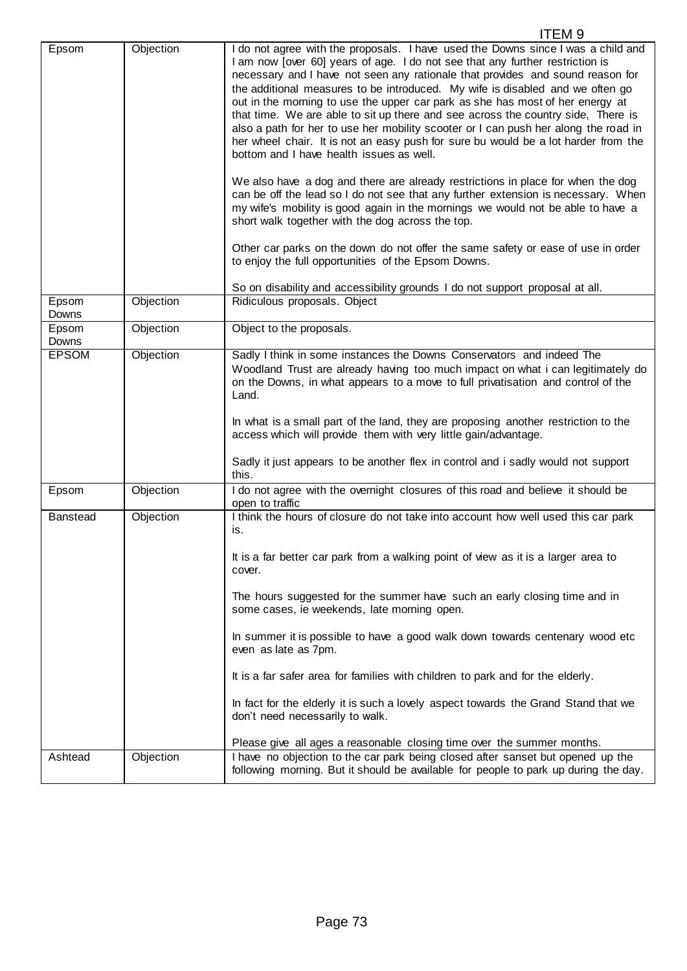|                 |           | ITEM <sub>9</sub>                                                                                                                                                                                                                                                                                                                                                                                                                                                                                                                                                                                                                                                                                                                                                                                                                                                                                                                                                                                                                                                                                                                                                                            |
|-----------------|-----------|----------------------------------------------------------------------------------------------------------------------------------------------------------------------------------------------------------------------------------------------------------------------------------------------------------------------------------------------------------------------------------------------------------------------------------------------------------------------------------------------------------------------------------------------------------------------------------------------------------------------------------------------------------------------------------------------------------------------------------------------------------------------------------------------------------------------------------------------------------------------------------------------------------------------------------------------------------------------------------------------------------------------------------------------------------------------------------------------------------------------------------------------------------------------------------------------|
| Epsom           | Objection | I do not agree with the proposals. I have used the Downs since I was a child and<br>I am now [over 60] years of age. I do not see that any further restriction is<br>necessary and I have not seen any rationale that provides and sound reason for<br>the additional measures to be introduced. My wife is disabled and we often go<br>out in the morning to use the upper car park as she has most of her energy at<br>that time. We are able to sit up there and see across the country side, There is<br>also a path for her to use her mobility scooter or I can push her along the road in<br>her wheel chair. It is not an easy push for sure bu would be a lot harder from the<br>bottom and I have health issues as well.<br>We also have a dog and there are already restrictions in place for when the dog<br>can be off the lead so I do not see that any further extension is necessary. When<br>my wife's mobility is good again in the mornings we would not be able to have a<br>short walk together with the dog across the top.<br>Other car parks on the down do not offer the same safety or ease of use in order<br>to enjoy the full opportunities of the Epsom Downs. |
|                 |           | So on disability and accessibility grounds I do not support proposal at all.                                                                                                                                                                                                                                                                                                                                                                                                                                                                                                                                                                                                                                                                                                                                                                                                                                                                                                                                                                                                                                                                                                                 |
| Epsom<br>Downs  | Objection | Ridiculous proposals. Object                                                                                                                                                                                                                                                                                                                                                                                                                                                                                                                                                                                                                                                                                                                                                                                                                                                                                                                                                                                                                                                                                                                                                                 |
| Epsom<br>Downs  | Objection | Object to the proposals.                                                                                                                                                                                                                                                                                                                                                                                                                                                                                                                                                                                                                                                                                                                                                                                                                                                                                                                                                                                                                                                                                                                                                                     |
| <b>EPSOM</b>    | Objection | Sadly I think in some instances the Downs Conservators and indeed The<br>Woodland Trust are already having too much impact on what i can legitimately do<br>on the Downs, in what appears to a move to full privatisation and control of the<br>Land.<br>In what is a small part of the land, they are proposing another restriction to the<br>access which will provide them with very little gain/advantage.<br>Sadly it just appears to be another flex in control and i sadly would not support<br>this.                                                                                                                                                                                                                                                                                                                                                                                                                                                                                                                                                                                                                                                                                 |
| Epsom           | Objection | I do not agree with the overnight closures of this road and believe it should be<br>open to traffic                                                                                                                                                                                                                                                                                                                                                                                                                                                                                                                                                                                                                                                                                                                                                                                                                                                                                                                                                                                                                                                                                          |
| <b>Banstead</b> | Objection | I think the hours of closure do not take into account how well used this car park<br>is.<br>It is a far better car park from a walking point of view as it is a larger area to<br>cover.<br>The hours suggested for the summer have such an early closing time and in<br>some cases, ie weekends, late morning open.<br>In summer it is possible to have a good walk down towards centenary wood etc<br>even as late as 7pm.<br>It is a far safer area for families with children to park and for the elderly.<br>In fact for the elderly it is such a lovely aspect towards the Grand Stand that we<br>don't need necessarily to walk.<br>Please give all ages a reasonable closing time over the summer months.                                                                                                                                                                                                                                                                                                                                                                                                                                                                            |
| Ashtead         | Objection | I have no objection to the car park being closed after sanset but opened up the<br>following morning. But it should be available for people to park up during the day.                                                                                                                                                                                                                                                                                                                                                                                                                                                                                                                                                                                                                                                                                                                                                                                                                                                                                                                                                                                                                       |
|                 |           | Page 73                                                                                                                                                                                                                                                                                                                                                                                                                                                                                                                                                                                                                                                                                                                                                                                                                                                                                                                                                                                                                                                                                                                                                                                      |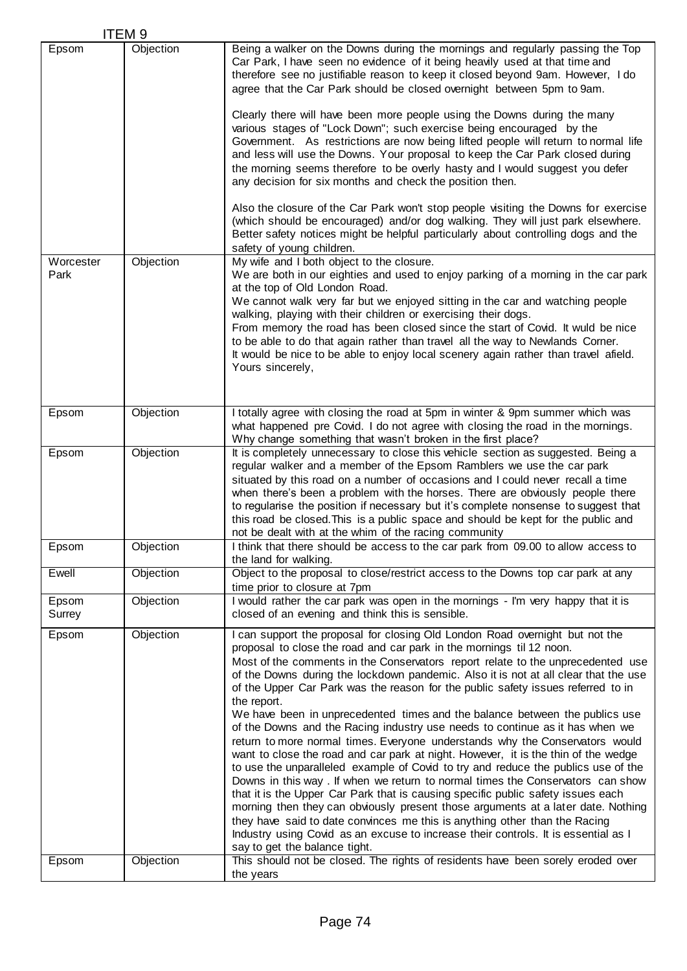|                   | ITEM <sub>9</sub> |                                                                                                                                                                                                                                                                                                                                                                                                                                                                                                                                                                                                                                                                                                                                                                                                                                                                                                                                                                           |
|-------------------|-------------------|---------------------------------------------------------------------------------------------------------------------------------------------------------------------------------------------------------------------------------------------------------------------------------------------------------------------------------------------------------------------------------------------------------------------------------------------------------------------------------------------------------------------------------------------------------------------------------------------------------------------------------------------------------------------------------------------------------------------------------------------------------------------------------------------------------------------------------------------------------------------------------------------------------------------------------------------------------------------------|
| Epsom             | Objection         | Being a walker on the Downs during the mornings and regularly passing the Top<br>Car Park, I have seen no evidence of it being heavily used at that time and<br>therefore see no justifiable reason to keep it closed beyond 9am. However, I do<br>agree that the Car Park should be closed overnight between 5pm to 9am.<br>Clearly there will have been more people using the Downs during the many<br>various stages of "Lock Down"; such exercise being encouraged by the<br>Government. As restrictions are now being lifted people will return to normal life<br>and less will use the Downs. Your proposal to keep the Car Park closed during<br>the morning seems therefore to be overly hasty and I would suggest you defer<br>any decision for six months and check the position then.<br>Also the closure of the Car Park won't stop people visiting the Downs for exercise<br>(which should be encouraged) and/or dog walking. They will just park elsewhere. |
|                   |                   | Better safety notices might be helpful particularly about controlling dogs and the<br>safety of young children.                                                                                                                                                                                                                                                                                                                                                                                                                                                                                                                                                                                                                                                                                                                                                                                                                                                           |
| Worcester<br>Park | Objection         | My wife and I both object to the closure.<br>We are both in our eighties and used to enjoy parking of a morning in the car park<br>at the top of Old London Road.                                                                                                                                                                                                                                                                                                                                                                                                                                                                                                                                                                                                                                                                                                                                                                                                         |
|                   |                   | We cannot walk very far but we enjoyed sitting in the car and watching people<br>walking, playing with their children or exercising their dogs.<br>From memory the road has been closed since the start of Covid. It wuld be nice<br>to be able to do that again rather than travel all the way to Newlands Corner.<br>It would be nice to be able to enjoy local scenery again rather than travel afield.<br>Yours sincerely,                                                                                                                                                                                                                                                                                                                                                                                                                                                                                                                                            |
|                   |                   |                                                                                                                                                                                                                                                                                                                                                                                                                                                                                                                                                                                                                                                                                                                                                                                                                                                                                                                                                                           |
| Epsom             | Objection         | I totally agree with closing the road at 5pm in winter & 9pm summer which was<br>what happened pre Covid. I do not agree with closing the road in the mornings.<br>Why change something that wasn't broken in the first place?                                                                                                                                                                                                                                                                                                                                                                                                                                                                                                                                                                                                                                                                                                                                            |
| Epsom             | Objection         | It is completely unnecessary to close this vehicle section as suggested. Being a<br>regular walker and a member of the Epsom Ramblers we use the car park<br>situated by this road on a number of occasions and I could never recall a time<br>when there's been a problem with the horses. There are obviously people there<br>to regularise the position if necessary but it's complete nonsense to suggest that<br>this road be closed. This is a public space and should be kept for the public and<br>not be dealt with at the whim of the racing community                                                                                                                                                                                                                                                                                                                                                                                                          |
| Epsom             | Objection         | I think that there should be access to the car park from 09.00 to allow access to<br>the land for walking.                                                                                                                                                                                                                                                                                                                                                                                                                                                                                                                                                                                                                                                                                                                                                                                                                                                                |
| Ewell             | Objection         | Object to the proposal to close/restrict access to the Downs top car park at any<br>time prior to closure at 7pm                                                                                                                                                                                                                                                                                                                                                                                                                                                                                                                                                                                                                                                                                                                                                                                                                                                          |
| Epsom<br>Surrey   | Objection         | I would rather the car park was open in the mornings - I'm very happy that it is<br>closed of an evening and think this is sensible.                                                                                                                                                                                                                                                                                                                                                                                                                                                                                                                                                                                                                                                                                                                                                                                                                                      |
| Epsom             | Objection         | I can support the proposal for closing Old London Road overnight but not the<br>proposal to close the road and car park in the mornings til 12 noon.<br>Most of the comments in the Conservators report relate to the unprecedented use<br>of the Downs during the lockdown pandemic. Also it is not at all clear that the use<br>of the Upper Car Park was the reason for the public safety issues referred to in<br>the report.<br>We have been in unprecedented times and the balance between the publics use<br>of the Downs and the Racing industry use needs to continue as it has when we                                                                                                                                                                                                                                                                                                                                                                          |
|                   |                   | return to more normal times. Everyone understands why the Conservators would<br>want to close the road and car park at night. However, it is the thin of the wedge<br>to use the unparalleled example of Covid to try and reduce the publics use of the<br>Downs in this way . If when we return to normal times the Conservators can show<br>that it is the Upper Car Park that is causing specific public safety issues each<br>morning then they can obviously present those arguments at a later date. Nothing<br>they have said to date convinces me this is anything other than the Racing<br>Industry using Covid as an excuse to increase their controls. It is essential as I<br>say to get the balance tight.                                                                                                                                                                                                                                                   |
| Epsom             | Objection         | This should not be closed. The rights of residents have been sorely eroded over<br>the years                                                                                                                                                                                                                                                                                                                                                                                                                                                                                                                                                                                                                                                                                                                                                                                                                                                                              |
|                   |                   | Page 74                                                                                                                                                                                                                                                                                                                                                                                                                                                                                                                                                                                                                                                                                                                                                                                                                                                                                                                                                                   |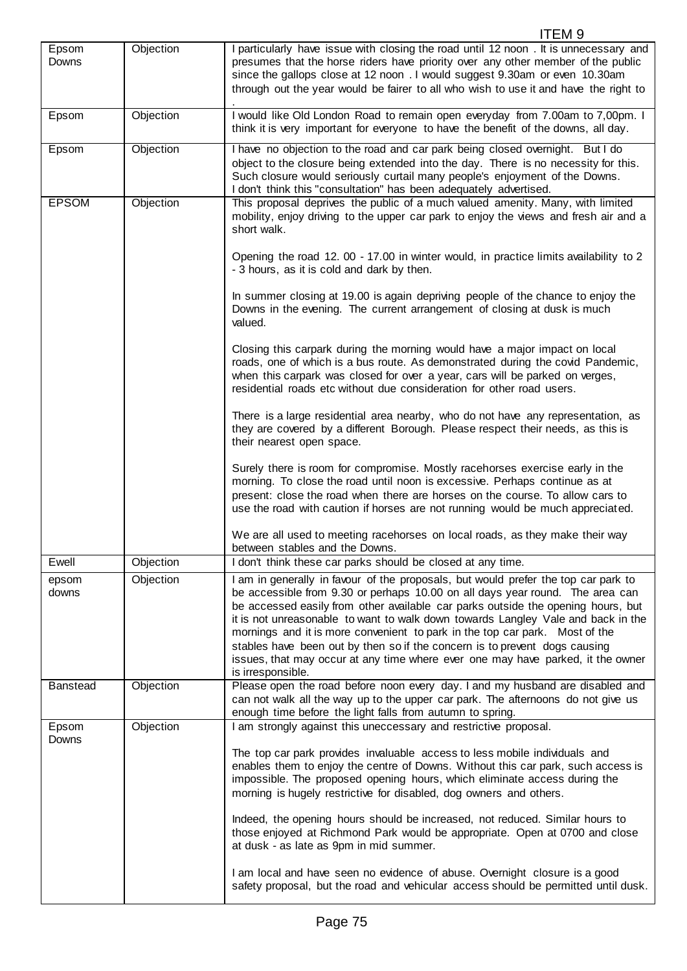|                 |           | ITEM <sub>9</sub>                                                                                                                                                                                                                                                                                                                                                                                                          |
|-----------------|-----------|----------------------------------------------------------------------------------------------------------------------------------------------------------------------------------------------------------------------------------------------------------------------------------------------------------------------------------------------------------------------------------------------------------------------------|
| Epsom<br>Downs  | Objection | I particularly have issue with closing the road until 12 noon. It is unnecessary and<br>presumes that the horse riders have priority over any other member of the public<br>since the gallops close at 12 noon. I would suggest 9.30am or even 10.30am<br>through out the year would be fairer to all who wish to use it and have the right to                                                                             |
| Epsom           | Objection | I would like Old London Road to remain open everyday from 7.00am to 7,00pm. I<br>think it is very important for everyone to have the benefit of the downs, all day.                                                                                                                                                                                                                                                        |
| Epsom           | Objection | I have no objection to the road and car park being closed overnight. But I do<br>object to the closure being extended into the day. There is no necessity for this.<br>Such closure would seriously curtail many people's enjoyment of the Downs.<br>I don't think this "consultation" has been adequately advertised.                                                                                                     |
| <b>EPSOM</b>    | Objection | This proposal deprives the public of a much valued amenity. Many, with limited<br>mobility, enjoy driving to the upper car park to enjoy the views and fresh air and a<br>short walk.<br>Opening the road 12.00 - 17.00 in winter would, in practice limits availability to 2                                                                                                                                              |
|                 |           | - 3 hours, as it is cold and dark by then.<br>In summer closing at 19.00 is again depriving people of the chance to enjoy the                                                                                                                                                                                                                                                                                              |
|                 |           | Downs in the evening. The current arrangement of closing at dusk is much<br>valued.                                                                                                                                                                                                                                                                                                                                        |
|                 |           | Closing this carpark during the morning would have a major impact on local<br>roads, one of which is a bus route. As demonstrated during the covid Pandemic,<br>when this carpark was closed for over a year, cars will be parked on verges,<br>residential roads etc without due consideration for other road users.                                                                                                      |
|                 |           | There is a large residential area nearby, who do not have any representation, as<br>they are covered by a different Borough. Please respect their needs, as this is<br>their nearest open space.                                                                                                                                                                                                                           |
|                 |           | Surely there is room for compromise. Mostly racehorses exercise early in the<br>morning. To close the road until noon is excessive. Perhaps continue as at<br>present: close the road when there are horses on the course. To allow cars to<br>use the road with caution if horses are not running would be much appreciated.                                                                                              |
|                 |           | We are all used to meeting racehorses on local roads, as they make their way<br>between stables and the Downs.                                                                                                                                                                                                                                                                                                             |
| Ewell           | Objection | I don't think these car parks should be closed at any time.                                                                                                                                                                                                                                                                                                                                                                |
| epsom<br>downs  | Objection | I am in generally in favour of the proposals, but would prefer the top car park to<br>be accessible from 9.30 or perhaps 10.00 on all days year round. The area can<br>be accessed easily from other available car parks outside the opening hours, but<br>it is not unreasonable to want to walk down towards Langley Vale and back in the<br>mornings and it is more convenient to park in the top car park. Most of the |
|                 |           | stables have been out by then so if the concern is to prevent dogs causing<br>issues, that may occur at any time where ever one may have parked, it the owner<br>is irresponsible.                                                                                                                                                                                                                                         |
| <b>Banstead</b> | Objection | Please open the road before noon every day. I and my husband are disabled and<br>can not walk all the way up to the upper car park. The afternoons do not give us<br>enough time before the light falls from autumn to spring.                                                                                                                                                                                             |
| Epsom<br>Downs  | Objection | I am strongly against this uneccessary and restrictive proposal.                                                                                                                                                                                                                                                                                                                                                           |
|                 |           | The top car park provides invaluable access to less mobile individuals and<br>enables them to enjoy the centre of Downs. Without this car park, such access is<br>impossible. The proposed opening hours, which eliminate access during the<br>morning is hugely restrictive for disabled, dog owners and others.                                                                                                          |
|                 |           | Indeed, the opening hours should be increased, not reduced. Similar hours to<br>those enjoyed at Richmond Park would be appropriate. Open at 0700 and close<br>at dusk - as late as 9pm in mid summer.                                                                                                                                                                                                                     |
|                 |           | I am local and have seen no evidence of abuse. Overnight closure is a good<br>safety proposal, but the road and vehicular access should be permitted until dusk.                                                                                                                                                                                                                                                           |
|                 |           | Page 75                                                                                                                                                                                                                                                                                                                                                                                                                    |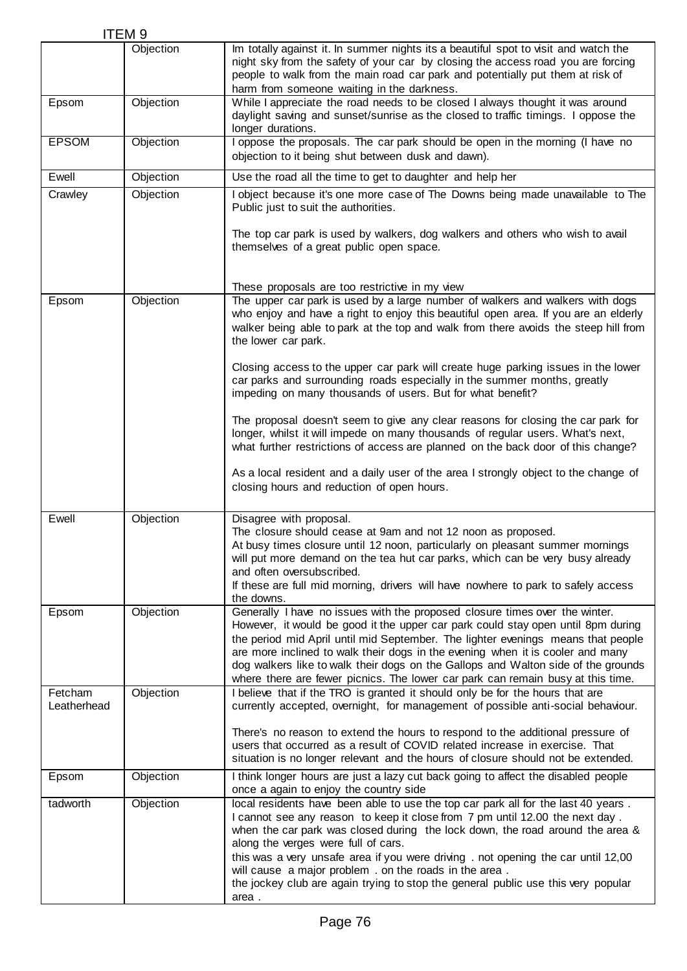|--|--|

|                        | ITEM 9    |                                                                                                                                                                                                                                                                                                                                                                                                                                                                                                                                      |
|------------------------|-----------|--------------------------------------------------------------------------------------------------------------------------------------------------------------------------------------------------------------------------------------------------------------------------------------------------------------------------------------------------------------------------------------------------------------------------------------------------------------------------------------------------------------------------------------|
|                        | Objection | Im totally against it. In summer nights its a beautiful spot to visit and watch the<br>night sky from the safety of your car by closing the access road you are forcing<br>people to walk from the main road car park and potentially put them at risk of<br>harm from someone waiting in the darkness.                                                                                                                                                                                                                              |
| Epsom                  | Objection | While I appreciate the road needs to be closed I always thought it was around<br>daylight saving and sunset/sunrise as the closed to traffic timings. I oppose the<br>longer durations.                                                                                                                                                                                                                                                                                                                                              |
| <b>EPSOM</b>           | Objection | oppose the proposals. The car park should be open in the morning (I have no<br>objection to it being shut between dusk and dawn).                                                                                                                                                                                                                                                                                                                                                                                                    |
| Ewell                  | Objection | Use the road all the time to get to daughter and help her                                                                                                                                                                                                                                                                                                                                                                                                                                                                            |
| Crawley                | Objection | object because it's one more case of The Downs being made unavailable to The<br>Public just to suit the authorities.                                                                                                                                                                                                                                                                                                                                                                                                                 |
|                        |           | The top car park is used by walkers, dog walkers and others who wish to avail<br>themselves of a great public open space.                                                                                                                                                                                                                                                                                                                                                                                                            |
|                        |           | These proposals are too restrictive in my view                                                                                                                                                                                                                                                                                                                                                                                                                                                                                       |
| Epsom                  | Objection | The upper car park is used by a large number of walkers and walkers with dogs<br>who enjoy and have a right to enjoy this beautiful open area. If you are an elderly<br>walker being able to park at the top and walk from there avoids the steep hill from<br>the lower car park.                                                                                                                                                                                                                                                   |
|                        |           | Closing access to the upper car park will create huge parking issues in the lower<br>car parks and surrounding roads especially in the summer months, greatly<br>impeding on many thousands of users. But for what benefit?                                                                                                                                                                                                                                                                                                          |
|                        |           | The proposal doesn't seem to give any clear reasons for closing the car park for<br>longer, whilst it will impede on many thousands of regular users. What's next,<br>what further restrictions of access are planned on the back door of this change?                                                                                                                                                                                                                                                                               |
|                        |           | As a local resident and a daily user of the area I strongly object to the change of<br>closing hours and reduction of open hours.                                                                                                                                                                                                                                                                                                                                                                                                    |
| Ewell                  | Objection | Disagree with proposal.<br>The closure should cease at 9am and not 12 noon as proposed.<br>At busy times closure until 12 noon, particularly on pleasant summer mornings<br>will put more demand on the tea hut car parks, which can be very busy already                                                                                                                                                                                                                                                                            |
|                        |           | and often oversubscribed.<br>If these are full mid morning, drivers will have nowhere to park to safely access<br>the downs.                                                                                                                                                                                                                                                                                                                                                                                                         |
| Epsom                  | Objection | Generally I have no issues with the proposed closure times over the winter.<br>However, it would be good it the upper car park could stay open until 8pm during<br>the period mid April until mid September. The lighter evenings means that people<br>are more inclined to walk their dogs in the evening when it is cooler and many<br>dog walkers like to walk their dogs on the Gallops and Walton side of the grounds<br>where there are fewer picnics. The lower car park can remain busy at this time.                        |
| Fetcham<br>Leatherhead | Objection | I believe that if the TRO is granted it should only be for the hours that are<br>currently accepted, overnight, for management of possible anti-social behaviour.                                                                                                                                                                                                                                                                                                                                                                    |
|                        |           | There's no reason to extend the hours to respond to the additional pressure of<br>users that occurred as a result of COVID related increase in exercise. That<br>situation is no longer relevant and the hours of closure should not be extended.                                                                                                                                                                                                                                                                                    |
| Epsom                  | Objection | I think longer hours are just a lazy cut back going to affect the disabled people<br>once a again to enjoy the country side                                                                                                                                                                                                                                                                                                                                                                                                          |
| tadworth               | Objection | local residents have been able to use the top car park all for the last 40 years.<br>I cannot see any reason to keep it close from 7 pm until 12.00 the next day.<br>when the car park was closed during the lock down, the road around the area &<br>along the verges were full of cars.<br>this was a very unsafe area if you were driving. not opening the car until 12,00<br>will cause a major problem. on the roads in the area.<br>the jockey club are again trying to stop the general public use this very popular<br>area. |
|                        |           | Page 76                                                                                                                                                                                                                                                                                                                                                                                                                                                                                                                              |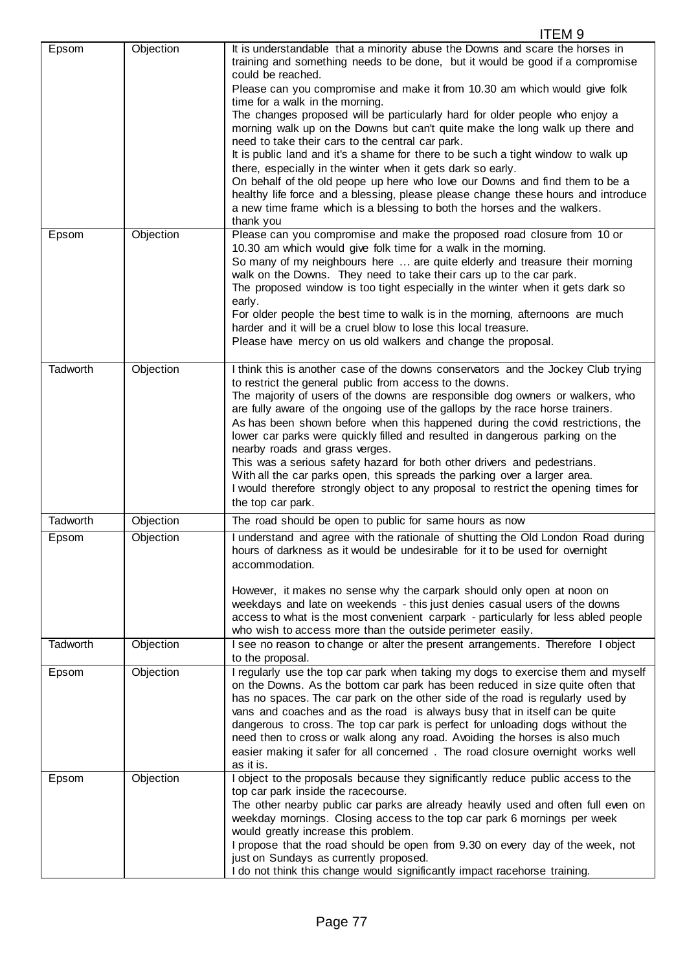| Objection<br>It is understandable that a minority abuse the Downs and scare the horses in<br>Epsom<br>training and something needs to be done, but it would be good if a compromise<br>could be reached.<br>Please can you compromise and make it from 10.30 am which would give folk<br>time for a walk in the morning.<br>The changes proposed will be particularly hard for older people who enjoy a<br>morning walk up on the Downs but can't quite make the long walk up there and<br>need to take their cars to the central car park.<br>It is public land and it's a shame for there to be such a tight window to walk up<br>there, especially in the winter when it gets dark so early.<br>On behalf of the old peope up here who love our Downs and find them to be a<br>healthy life force and a blessing, please please change these hours and introduce<br>a new time frame which is a blessing to both the horses and the walkers.<br>thank you<br>Objection<br>Please can you compromise and make the proposed road closure from 10 or<br>Epsom<br>10.30 am which would give folk time for a walk in the morning.<br>So many of my neighbours here  are quite elderly and treasure their morning<br>walk on the Downs. They need to take their cars up to the car park.<br>The proposed window is too tight especially in the winter when it gets dark so<br>early.<br>For older people the best time to walk is in the morning, afternoons are much<br>harder and it will be a cruel blow to lose this local treasure.<br>Please have mercy on us old walkers and change the proposal.<br>Objection<br>Tadworth<br>I think this is another case of the downs conservators and the Jockey Club trying<br>to restrict the general public from access to the downs.<br>The majority of users of the downs are responsible dog owners or walkers, who<br>are fully aware of the ongoing use of the gallops by the race horse trainers.<br>As has been shown before when this happened during the covid restrictions, the<br>lower car parks were quickly filled and resulted in dangerous parking on the<br>nearby roads and grass verges.<br>This was a serious safety hazard for both other drivers and pedestrians.<br>With all the car parks open, this spreads the parking over a larger area.<br>I would therefore strongly object to any proposal to restrict the opening times for<br>the top car park.<br><b>Tadworth</b><br>Objection<br>The road should be open to public for same hours as now<br>Objection<br>I understand and agree with the rationale of shutting the Old London Road during<br>Epsom<br>hours of darkness as it would be undesirable for it to be used for overnight<br>accommodation.<br>However, it makes no sense why the carpark should only open at noon on<br>weekdays and late on weekends - this just denies casual users of the downs<br>access to what is the most convenient carpark - particularly for less abled people<br>who wish to access more than the outside perimeter easily.<br>Objection<br>I see no reason to change or alter the present arrangements. Therefore I object<br>Tadworth<br>to the proposal.<br>Objection<br>Epsom<br>on the Downs. As the bottom car park has been reduced in size quite often that<br>has no spaces. The car park on the other side of the road is regularly used by<br>vans and coaches and as the road is always busy that in itself can be quite<br>dangerous to cross. The top car park is perfect for unloading dogs without the<br>need then to cross or walk along any road. Avoiding the horses is also much<br>easier making it safer for all concerned. The road closure overnight works well<br>as it is.<br>I object to the proposals because they significantly reduce public access to the<br>Objection<br>Epsom<br>top car park inside the racecourse.<br>The other nearby public car parks are already heavily used and often full even on<br>weekday mornings. Closing access to the top car park 6 mornings per week<br>would greatly increase this problem.<br>I propose that the road should be open from 9.30 on every day of the week, not<br>just on Sundays as currently proposed.<br>I do not think this change would significantly impact racehorse training. |  | ITEM <sub>9</sub> |
|--------------------------------------------------------------------------------------------------------------------------------------------------------------------------------------------------------------------------------------------------------------------------------------------------------------------------------------------------------------------------------------------------------------------------------------------------------------------------------------------------------------------------------------------------------------------------------------------------------------------------------------------------------------------------------------------------------------------------------------------------------------------------------------------------------------------------------------------------------------------------------------------------------------------------------------------------------------------------------------------------------------------------------------------------------------------------------------------------------------------------------------------------------------------------------------------------------------------------------------------------------------------------------------------------------------------------------------------------------------------------------------------------------------------------------------------------------------------------------------------------------------------------------------------------------------------------------------------------------------------------------------------------------------------------------------------------------------------------------------------------------------------------------------------------------------------------------------------------------------------------------------------------------------------------------------------------------------------------------------------------------------------------------------------------------------------------------------------------------------------------------------------------------------------------------------------------------------------------------------------------------------------------------------------------------------------------------------------------------------------------------------------------------------------------------------------------------------------------------------------------------------------------------------------------------------------------------------------------------------------------------------------------------------------------------------------------------------------------------------------------------------------------------------------------------------------------------------------------------------------------------------------------------------------------------------------------------------------------------------------------------------------------------------------------------------------------------------------------------------------------------------------------------------------------------------------------------------------------------------------------------------------------------------------------------------------------------------------------------------------------------------------------------------------------------------------------------------------------------------------------------------------------------------------------------------------------------------------------------------------------------------------------------------------------------------------------------------------------------------------------------------------------------------------------------------------------------------------------------------------------------------------------------------------------------------------------------------------------------------------------------------------------------------------------------------------------------------------------------------------------------------------------------------------------------------------------------------------------------------------------------------------------------------------|--|-------------------|
|                                                                                                                                                                                                                                                                                                                                                                                                                                                                                                                                                                                                                                                                                                                                                                                                                                                                                                                                                                                                                                                                                                                                                                                                                                                                                                                                                                                                                                                                                                                                                                                                                                                                                                                                                                                                                                                                                                                                                                                                                                                                                                                                                                                                                                                                                                                                                                                                                                                                                                                                                                                                                                                                                                                                                                                                                                                                                                                                                                                                                                                                                                                                                                                                                                                                                                                                                                                                                                                                                                                                                                                                                                                                                                                                                                                                                                                                                                                                                                                                                                                                                                                                                                                                                                                                                            |  |                   |
|                                                                                                                                                                                                                                                                                                                                                                                                                                                                                                                                                                                                                                                                                                                                                                                                                                                                                                                                                                                                                                                                                                                                                                                                                                                                                                                                                                                                                                                                                                                                                                                                                                                                                                                                                                                                                                                                                                                                                                                                                                                                                                                                                                                                                                                                                                                                                                                                                                                                                                                                                                                                                                                                                                                                                                                                                                                                                                                                                                                                                                                                                                                                                                                                                                                                                                                                                                                                                                                                                                                                                                                                                                                                                                                                                                                                                                                                                                                                                                                                                                                                                                                                                                                                                                                                                            |  |                   |
|                                                                                                                                                                                                                                                                                                                                                                                                                                                                                                                                                                                                                                                                                                                                                                                                                                                                                                                                                                                                                                                                                                                                                                                                                                                                                                                                                                                                                                                                                                                                                                                                                                                                                                                                                                                                                                                                                                                                                                                                                                                                                                                                                                                                                                                                                                                                                                                                                                                                                                                                                                                                                                                                                                                                                                                                                                                                                                                                                                                                                                                                                                                                                                                                                                                                                                                                                                                                                                                                                                                                                                                                                                                                                                                                                                                                                                                                                                                                                                                                                                                                                                                                                                                                                                                                                            |  |                   |
|                                                                                                                                                                                                                                                                                                                                                                                                                                                                                                                                                                                                                                                                                                                                                                                                                                                                                                                                                                                                                                                                                                                                                                                                                                                                                                                                                                                                                                                                                                                                                                                                                                                                                                                                                                                                                                                                                                                                                                                                                                                                                                                                                                                                                                                                                                                                                                                                                                                                                                                                                                                                                                                                                                                                                                                                                                                                                                                                                                                                                                                                                                                                                                                                                                                                                                                                                                                                                                                                                                                                                                                                                                                                                                                                                                                                                                                                                                                                                                                                                                                                                                                                                                                                                                                                                            |  |                   |
|                                                                                                                                                                                                                                                                                                                                                                                                                                                                                                                                                                                                                                                                                                                                                                                                                                                                                                                                                                                                                                                                                                                                                                                                                                                                                                                                                                                                                                                                                                                                                                                                                                                                                                                                                                                                                                                                                                                                                                                                                                                                                                                                                                                                                                                                                                                                                                                                                                                                                                                                                                                                                                                                                                                                                                                                                                                                                                                                                                                                                                                                                                                                                                                                                                                                                                                                                                                                                                                                                                                                                                                                                                                                                                                                                                                                                                                                                                                                                                                                                                                                                                                                                                                                                                                                                            |  |                   |
|                                                                                                                                                                                                                                                                                                                                                                                                                                                                                                                                                                                                                                                                                                                                                                                                                                                                                                                                                                                                                                                                                                                                                                                                                                                                                                                                                                                                                                                                                                                                                                                                                                                                                                                                                                                                                                                                                                                                                                                                                                                                                                                                                                                                                                                                                                                                                                                                                                                                                                                                                                                                                                                                                                                                                                                                                                                                                                                                                                                                                                                                                                                                                                                                                                                                                                                                                                                                                                                                                                                                                                                                                                                                                                                                                                                                                                                                                                                                                                                                                                                                                                                                                                                                                                                                                            |  |                   |
|                                                                                                                                                                                                                                                                                                                                                                                                                                                                                                                                                                                                                                                                                                                                                                                                                                                                                                                                                                                                                                                                                                                                                                                                                                                                                                                                                                                                                                                                                                                                                                                                                                                                                                                                                                                                                                                                                                                                                                                                                                                                                                                                                                                                                                                                                                                                                                                                                                                                                                                                                                                                                                                                                                                                                                                                                                                                                                                                                                                                                                                                                                                                                                                                                                                                                                                                                                                                                                                                                                                                                                                                                                                                                                                                                                                                                                                                                                                                                                                                                                                                                                                                                                                                                                                                                            |  |                   |
|                                                                                                                                                                                                                                                                                                                                                                                                                                                                                                                                                                                                                                                                                                                                                                                                                                                                                                                                                                                                                                                                                                                                                                                                                                                                                                                                                                                                                                                                                                                                                                                                                                                                                                                                                                                                                                                                                                                                                                                                                                                                                                                                                                                                                                                                                                                                                                                                                                                                                                                                                                                                                                                                                                                                                                                                                                                                                                                                                                                                                                                                                                                                                                                                                                                                                                                                                                                                                                                                                                                                                                                                                                                                                                                                                                                                                                                                                                                                                                                                                                                                                                                                                                                                                                                                                            |  |                   |
|                                                                                                                                                                                                                                                                                                                                                                                                                                                                                                                                                                                                                                                                                                                                                                                                                                                                                                                                                                                                                                                                                                                                                                                                                                                                                                                                                                                                                                                                                                                                                                                                                                                                                                                                                                                                                                                                                                                                                                                                                                                                                                                                                                                                                                                                                                                                                                                                                                                                                                                                                                                                                                                                                                                                                                                                                                                                                                                                                                                                                                                                                                                                                                                                                                                                                                                                                                                                                                                                                                                                                                                                                                                                                                                                                                                                                                                                                                                                                                                                                                                                                                                                                                                                                                                                                            |  |                   |
|                                                                                                                                                                                                                                                                                                                                                                                                                                                                                                                                                                                                                                                                                                                                                                                                                                                                                                                                                                                                                                                                                                                                                                                                                                                                                                                                                                                                                                                                                                                                                                                                                                                                                                                                                                                                                                                                                                                                                                                                                                                                                                                                                                                                                                                                                                                                                                                                                                                                                                                                                                                                                                                                                                                                                                                                                                                                                                                                                                                                                                                                                                                                                                                                                                                                                                                                                                                                                                                                                                                                                                                                                                                                                                                                                                                                                                                                                                                                                                                                                                                                                                                                                                                                                                                                                            |  |                   |
|                                                                                                                                                                                                                                                                                                                                                                                                                                                                                                                                                                                                                                                                                                                                                                                                                                                                                                                                                                                                                                                                                                                                                                                                                                                                                                                                                                                                                                                                                                                                                                                                                                                                                                                                                                                                                                                                                                                                                                                                                                                                                                                                                                                                                                                                                                                                                                                                                                                                                                                                                                                                                                                                                                                                                                                                                                                                                                                                                                                                                                                                                                                                                                                                                                                                                                                                                                                                                                                                                                                                                                                                                                                                                                                                                                                                                                                                                                                                                                                                                                                                                                                                                                                                                                                                                            |  |                   |
|                                                                                                                                                                                                                                                                                                                                                                                                                                                                                                                                                                                                                                                                                                                                                                                                                                                                                                                                                                                                                                                                                                                                                                                                                                                                                                                                                                                                                                                                                                                                                                                                                                                                                                                                                                                                                                                                                                                                                                                                                                                                                                                                                                                                                                                                                                                                                                                                                                                                                                                                                                                                                                                                                                                                                                                                                                                                                                                                                                                                                                                                                                                                                                                                                                                                                                                                                                                                                                                                                                                                                                                                                                                                                                                                                                                                                                                                                                                                                                                                                                                                                                                                                                                                                                                                                            |  |                   |
|                                                                                                                                                                                                                                                                                                                                                                                                                                                                                                                                                                                                                                                                                                                                                                                                                                                                                                                                                                                                                                                                                                                                                                                                                                                                                                                                                                                                                                                                                                                                                                                                                                                                                                                                                                                                                                                                                                                                                                                                                                                                                                                                                                                                                                                                                                                                                                                                                                                                                                                                                                                                                                                                                                                                                                                                                                                                                                                                                                                                                                                                                                                                                                                                                                                                                                                                                                                                                                                                                                                                                                                                                                                                                                                                                                                                                                                                                                                                                                                                                                                                                                                                                                                                                                                                                            |  |                   |
|                                                                                                                                                                                                                                                                                                                                                                                                                                                                                                                                                                                                                                                                                                                                                                                                                                                                                                                                                                                                                                                                                                                                                                                                                                                                                                                                                                                                                                                                                                                                                                                                                                                                                                                                                                                                                                                                                                                                                                                                                                                                                                                                                                                                                                                                                                                                                                                                                                                                                                                                                                                                                                                                                                                                                                                                                                                                                                                                                                                                                                                                                                                                                                                                                                                                                                                                                                                                                                                                                                                                                                                                                                                                                                                                                                                                                                                                                                                                                                                                                                                                                                                                                                                                                                                                                            |  |                   |
|                                                                                                                                                                                                                                                                                                                                                                                                                                                                                                                                                                                                                                                                                                                                                                                                                                                                                                                                                                                                                                                                                                                                                                                                                                                                                                                                                                                                                                                                                                                                                                                                                                                                                                                                                                                                                                                                                                                                                                                                                                                                                                                                                                                                                                                                                                                                                                                                                                                                                                                                                                                                                                                                                                                                                                                                                                                                                                                                                                                                                                                                                                                                                                                                                                                                                                                                                                                                                                                                                                                                                                                                                                                                                                                                                                                                                                                                                                                                                                                                                                                                                                                                                                                                                                                                                            |  |                   |
|                                                                                                                                                                                                                                                                                                                                                                                                                                                                                                                                                                                                                                                                                                                                                                                                                                                                                                                                                                                                                                                                                                                                                                                                                                                                                                                                                                                                                                                                                                                                                                                                                                                                                                                                                                                                                                                                                                                                                                                                                                                                                                                                                                                                                                                                                                                                                                                                                                                                                                                                                                                                                                                                                                                                                                                                                                                                                                                                                                                                                                                                                                                                                                                                                                                                                                                                                                                                                                                                                                                                                                                                                                                                                                                                                                                                                                                                                                                                                                                                                                                                                                                                                                                                                                                                                            |  |                   |
|                                                                                                                                                                                                                                                                                                                                                                                                                                                                                                                                                                                                                                                                                                                                                                                                                                                                                                                                                                                                                                                                                                                                                                                                                                                                                                                                                                                                                                                                                                                                                                                                                                                                                                                                                                                                                                                                                                                                                                                                                                                                                                                                                                                                                                                                                                                                                                                                                                                                                                                                                                                                                                                                                                                                                                                                                                                                                                                                                                                                                                                                                                                                                                                                                                                                                                                                                                                                                                                                                                                                                                                                                                                                                                                                                                                                                                                                                                                                                                                                                                                                                                                                                                                                                                                                                            |  |                   |
|                                                                                                                                                                                                                                                                                                                                                                                                                                                                                                                                                                                                                                                                                                                                                                                                                                                                                                                                                                                                                                                                                                                                                                                                                                                                                                                                                                                                                                                                                                                                                                                                                                                                                                                                                                                                                                                                                                                                                                                                                                                                                                                                                                                                                                                                                                                                                                                                                                                                                                                                                                                                                                                                                                                                                                                                                                                                                                                                                                                                                                                                                                                                                                                                                                                                                                                                                                                                                                                                                                                                                                                                                                                                                                                                                                                                                                                                                                                                                                                                                                                                                                                                                                                                                                                                                            |  |                   |
|                                                                                                                                                                                                                                                                                                                                                                                                                                                                                                                                                                                                                                                                                                                                                                                                                                                                                                                                                                                                                                                                                                                                                                                                                                                                                                                                                                                                                                                                                                                                                                                                                                                                                                                                                                                                                                                                                                                                                                                                                                                                                                                                                                                                                                                                                                                                                                                                                                                                                                                                                                                                                                                                                                                                                                                                                                                                                                                                                                                                                                                                                                                                                                                                                                                                                                                                                                                                                                                                                                                                                                                                                                                                                                                                                                                                                                                                                                                                                                                                                                                                                                                                                                                                                                                                                            |  |                   |
|                                                                                                                                                                                                                                                                                                                                                                                                                                                                                                                                                                                                                                                                                                                                                                                                                                                                                                                                                                                                                                                                                                                                                                                                                                                                                                                                                                                                                                                                                                                                                                                                                                                                                                                                                                                                                                                                                                                                                                                                                                                                                                                                                                                                                                                                                                                                                                                                                                                                                                                                                                                                                                                                                                                                                                                                                                                                                                                                                                                                                                                                                                                                                                                                                                                                                                                                                                                                                                                                                                                                                                                                                                                                                                                                                                                                                                                                                                                                                                                                                                                                                                                                                                                                                                                                                            |  |                   |
|                                                                                                                                                                                                                                                                                                                                                                                                                                                                                                                                                                                                                                                                                                                                                                                                                                                                                                                                                                                                                                                                                                                                                                                                                                                                                                                                                                                                                                                                                                                                                                                                                                                                                                                                                                                                                                                                                                                                                                                                                                                                                                                                                                                                                                                                                                                                                                                                                                                                                                                                                                                                                                                                                                                                                                                                                                                                                                                                                                                                                                                                                                                                                                                                                                                                                                                                                                                                                                                                                                                                                                                                                                                                                                                                                                                                                                                                                                                                                                                                                                                                                                                                                                                                                                                                                            |  |                   |
|                                                                                                                                                                                                                                                                                                                                                                                                                                                                                                                                                                                                                                                                                                                                                                                                                                                                                                                                                                                                                                                                                                                                                                                                                                                                                                                                                                                                                                                                                                                                                                                                                                                                                                                                                                                                                                                                                                                                                                                                                                                                                                                                                                                                                                                                                                                                                                                                                                                                                                                                                                                                                                                                                                                                                                                                                                                                                                                                                                                                                                                                                                                                                                                                                                                                                                                                                                                                                                                                                                                                                                                                                                                                                                                                                                                                                                                                                                                                                                                                                                                                                                                                                                                                                                                                                            |  |                   |
| I regularly use the top car park when taking my dogs to exercise them and myself                                                                                                                                                                                                                                                                                                                                                                                                                                                                                                                                                                                                                                                                                                                                                                                                                                                                                                                                                                                                                                                                                                                                                                                                                                                                                                                                                                                                                                                                                                                                                                                                                                                                                                                                                                                                                                                                                                                                                                                                                                                                                                                                                                                                                                                                                                                                                                                                                                                                                                                                                                                                                                                                                                                                                                                                                                                                                                                                                                                                                                                                                                                                                                                                                                                                                                                                                                                                                                                                                                                                                                                                                                                                                                                                                                                                                                                                                                                                                                                                                                                                                                                                                                                                           |  |                   |
|                                                                                                                                                                                                                                                                                                                                                                                                                                                                                                                                                                                                                                                                                                                                                                                                                                                                                                                                                                                                                                                                                                                                                                                                                                                                                                                                                                                                                                                                                                                                                                                                                                                                                                                                                                                                                                                                                                                                                                                                                                                                                                                                                                                                                                                                                                                                                                                                                                                                                                                                                                                                                                                                                                                                                                                                                                                                                                                                                                                                                                                                                                                                                                                                                                                                                                                                                                                                                                                                                                                                                                                                                                                                                                                                                                                                                                                                                                                                                                                                                                                                                                                                                                                                                                                                                            |  |                   |
|                                                                                                                                                                                                                                                                                                                                                                                                                                                                                                                                                                                                                                                                                                                                                                                                                                                                                                                                                                                                                                                                                                                                                                                                                                                                                                                                                                                                                                                                                                                                                                                                                                                                                                                                                                                                                                                                                                                                                                                                                                                                                                                                                                                                                                                                                                                                                                                                                                                                                                                                                                                                                                                                                                                                                                                                                                                                                                                                                                                                                                                                                                                                                                                                                                                                                                                                                                                                                                                                                                                                                                                                                                                                                                                                                                                                                                                                                                                                                                                                                                                                                                                                                                                                                                                                                            |  |                   |
|                                                                                                                                                                                                                                                                                                                                                                                                                                                                                                                                                                                                                                                                                                                                                                                                                                                                                                                                                                                                                                                                                                                                                                                                                                                                                                                                                                                                                                                                                                                                                                                                                                                                                                                                                                                                                                                                                                                                                                                                                                                                                                                                                                                                                                                                                                                                                                                                                                                                                                                                                                                                                                                                                                                                                                                                                                                                                                                                                                                                                                                                                                                                                                                                                                                                                                                                                                                                                                                                                                                                                                                                                                                                                                                                                                                                                                                                                                                                                                                                                                                                                                                                                                                                                                                                                            |  |                   |
|                                                                                                                                                                                                                                                                                                                                                                                                                                                                                                                                                                                                                                                                                                                                                                                                                                                                                                                                                                                                                                                                                                                                                                                                                                                                                                                                                                                                                                                                                                                                                                                                                                                                                                                                                                                                                                                                                                                                                                                                                                                                                                                                                                                                                                                                                                                                                                                                                                                                                                                                                                                                                                                                                                                                                                                                                                                                                                                                                                                                                                                                                                                                                                                                                                                                                                                                                                                                                                                                                                                                                                                                                                                                                                                                                                                                                                                                                                                                                                                                                                                                                                                                                                                                                                                                                            |  |                   |
|                                                                                                                                                                                                                                                                                                                                                                                                                                                                                                                                                                                                                                                                                                                                                                                                                                                                                                                                                                                                                                                                                                                                                                                                                                                                                                                                                                                                                                                                                                                                                                                                                                                                                                                                                                                                                                                                                                                                                                                                                                                                                                                                                                                                                                                                                                                                                                                                                                                                                                                                                                                                                                                                                                                                                                                                                                                                                                                                                                                                                                                                                                                                                                                                                                                                                                                                                                                                                                                                                                                                                                                                                                                                                                                                                                                                                                                                                                                                                                                                                                                                                                                                                                                                                                                                                            |  |                   |
|                                                                                                                                                                                                                                                                                                                                                                                                                                                                                                                                                                                                                                                                                                                                                                                                                                                                                                                                                                                                                                                                                                                                                                                                                                                                                                                                                                                                                                                                                                                                                                                                                                                                                                                                                                                                                                                                                                                                                                                                                                                                                                                                                                                                                                                                                                                                                                                                                                                                                                                                                                                                                                                                                                                                                                                                                                                                                                                                                                                                                                                                                                                                                                                                                                                                                                                                                                                                                                                                                                                                                                                                                                                                                                                                                                                                                                                                                                                                                                                                                                                                                                                                                                                                                                                                                            |  |                   |
|                                                                                                                                                                                                                                                                                                                                                                                                                                                                                                                                                                                                                                                                                                                                                                                                                                                                                                                                                                                                                                                                                                                                                                                                                                                                                                                                                                                                                                                                                                                                                                                                                                                                                                                                                                                                                                                                                                                                                                                                                                                                                                                                                                                                                                                                                                                                                                                                                                                                                                                                                                                                                                                                                                                                                                                                                                                                                                                                                                                                                                                                                                                                                                                                                                                                                                                                                                                                                                                                                                                                                                                                                                                                                                                                                                                                                                                                                                                                                                                                                                                                                                                                                                                                                                                                                            |  |                   |
|                                                                                                                                                                                                                                                                                                                                                                                                                                                                                                                                                                                                                                                                                                                                                                                                                                                                                                                                                                                                                                                                                                                                                                                                                                                                                                                                                                                                                                                                                                                                                                                                                                                                                                                                                                                                                                                                                                                                                                                                                                                                                                                                                                                                                                                                                                                                                                                                                                                                                                                                                                                                                                                                                                                                                                                                                                                                                                                                                                                                                                                                                                                                                                                                                                                                                                                                                                                                                                                                                                                                                                                                                                                                                                                                                                                                                                                                                                                                                                                                                                                                                                                                                                                                                                                                                            |  |                   |
|                                                                                                                                                                                                                                                                                                                                                                                                                                                                                                                                                                                                                                                                                                                                                                                                                                                                                                                                                                                                                                                                                                                                                                                                                                                                                                                                                                                                                                                                                                                                                                                                                                                                                                                                                                                                                                                                                                                                                                                                                                                                                                                                                                                                                                                                                                                                                                                                                                                                                                                                                                                                                                                                                                                                                                                                                                                                                                                                                                                                                                                                                                                                                                                                                                                                                                                                                                                                                                                                                                                                                                                                                                                                                                                                                                                                                                                                                                                                                                                                                                                                                                                                                                                                                                                                                            |  |                   |
|                                                                                                                                                                                                                                                                                                                                                                                                                                                                                                                                                                                                                                                                                                                                                                                                                                                                                                                                                                                                                                                                                                                                                                                                                                                                                                                                                                                                                                                                                                                                                                                                                                                                                                                                                                                                                                                                                                                                                                                                                                                                                                                                                                                                                                                                                                                                                                                                                                                                                                                                                                                                                                                                                                                                                                                                                                                                                                                                                                                                                                                                                                                                                                                                                                                                                                                                                                                                                                                                                                                                                                                                                                                                                                                                                                                                                                                                                                                                                                                                                                                                                                                                                                                                                                                                                            |  |                   |
|                                                                                                                                                                                                                                                                                                                                                                                                                                                                                                                                                                                                                                                                                                                                                                                                                                                                                                                                                                                                                                                                                                                                                                                                                                                                                                                                                                                                                                                                                                                                                                                                                                                                                                                                                                                                                                                                                                                                                                                                                                                                                                                                                                                                                                                                                                                                                                                                                                                                                                                                                                                                                                                                                                                                                                                                                                                                                                                                                                                                                                                                                                                                                                                                                                                                                                                                                                                                                                                                                                                                                                                                                                                                                                                                                                                                                                                                                                                                                                                                                                                                                                                                                                                                                                                                                            |  | Page 77           |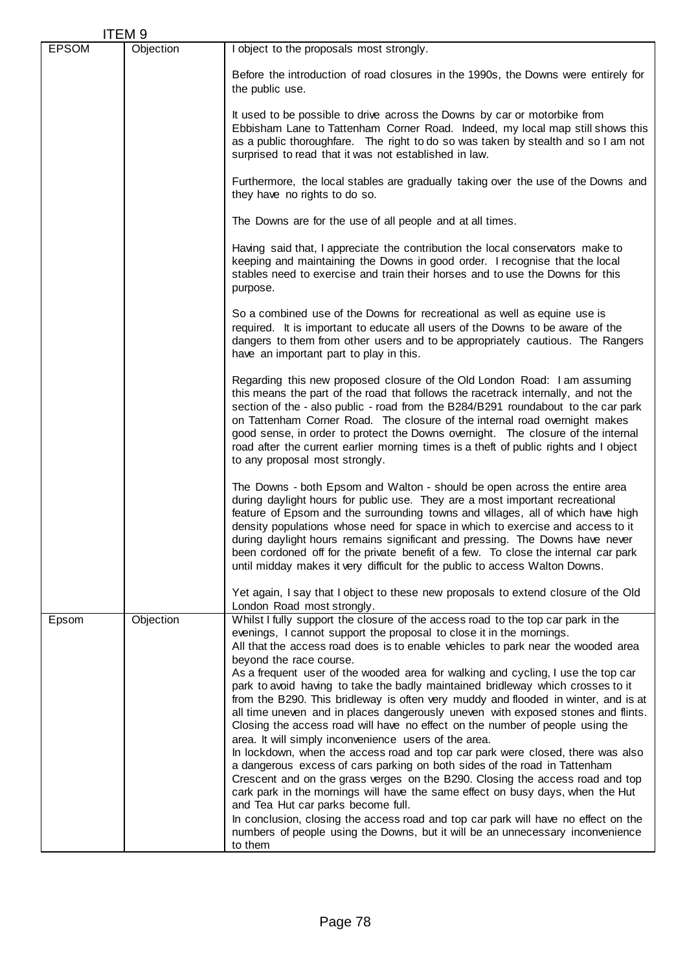|              | ITEM <sub>9</sub> |                                                                                                                                                                                                                                                                                                                                                                                                                                                                                                                                                                                     |
|--------------|-------------------|-------------------------------------------------------------------------------------------------------------------------------------------------------------------------------------------------------------------------------------------------------------------------------------------------------------------------------------------------------------------------------------------------------------------------------------------------------------------------------------------------------------------------------------------------------------------------------------|
| <b>EPSOM</b> | Objection         | I object to the proposals most strongly.                                                                                                                                                                                                                                                                                                                                                                                                                                                                                                                                            |
|              |                   | Before the introduction of road closures in the 1990s, the Downs were entirely for<br>the public use.                                                                                                                                                                                                                                                                                                                                                                                                                                                                               |
|              |                   | It used to be possible to drive across the Downs by car or motorbike from<br>Ebbisham Lane to Tattenham Corner Road. Indeed, my local map still shows this<br>as a public thoroughfare. The right to do so was taken by stealth and so I am not<br>surprised to read that it was not established in law.                                                                                                                                                                                                                                                                            |
|              |                   | Furthermore, the local stables are gradually taking over the use of the Downs and<br>they have no rights to do so.                                                                                                                                                                                                                                                                                                                                                                                                                                                                  |
|              |                   | The Downs are for the use of all people and at all times.                                                                                                                                                                                                                                                                                                                                                                                                                                                                                                                           |
|              |                   | Having said that, I appreciate the contribution the local conservators make to<br>keeping and maintaining the Downs in good order. I recognise that the local<br>stables need to exercise and train their horses and to use the Downs for this<br>purpose.                                                                                                                                                                                                                                                                                                                          |
|              |                   | So a combined use of the Downs for recreational as well as equine use is<br>required. It is important to educate all users of the Downs to be aware of the<br>dangers to them from other users and to be appropriately cautious. The Rangers<br>have an important part to play in this.                                                                                                                                                                                                                                                                                             |
|              |                   | Regarding this new proposed closure of the Old London Road: I am assuming<br>this means the part of the road that follows the racetrack internally, and not the<br>section of the - also public - road from the B284/B291 roundabout to the car park<br>on Tattenham Corner Road. The closure of the internal road overnight makes<br>good sense, in order to protect the Downs overnight. The closure of the internal<br>road after the current earlier morning times is a theft of public rights and I object<br>to any proposal most strongly.                                   |
|              |                   | The Downs - both Epsom and Walton - should be open across the entire area<br>during daylight hours for public use. They are a most important recreational<br>feature of Epsom and the surrounding towns and villages, all of which have high<br>density populations whose need for space in which to exercise and access to it<br>during daylight hours remains significant and pressing. The Downs have never<br>been cordoned off for the private benefit of a few. To close the internal car park<br>until midday makes it very difficult for the public to access Walton Downs. |
|              |                   | Yet again, I say that I object to these new proposals to extend closure of the Old<br>London Road most strongly.                                                                                                                                                                                                                                                                                                                                                                                                                                                                    |
| Epsom        | Objection         | Whilst I fully support the closure of the access road to the top car park in the<br>evenings, I cannot support the proposal to close it in the mornings.<br>All that the access road does is to enable vehicles to park near the wooded area                                                                                                                                                                                                                                                                                                                                        |
|              |                   | beyond the race course.<br>As a frequent user of the wooded area for walking and cycling, I use the top car<br>park to avoid having to take the badly maintained bridleway which crosses to it<br>from the B290. This bridleway is often very muddy and flooded in winter, and is at<br>all time uneven and in places dangerously uneven with exposed stones and flints.<br>Closing the access road will have no effect on the number of people using the<br>area. It will simply inconvenience users of the area.                                                                  |
|              |                   | In lockdown, when the access road and top car park were closed, there was also<br>a dangerous excess of cars parking on both sides of the road in Tattenham<br>Crescent and on the grass verges on the B290. Closing the access road and top<br>cark park in the mornings will have the same effect on busy days, when the Hut<br>and Tea Hut car parks become full.                                                                                                                                                                                                                |
|              |                   | In conclusion, closing the access road and top car park will have no effect on the<br>numbers of people using the Downs, but it will be an unnecessary inconvenience<br>to them                                                                                                                                                                                                                                                                                                                                                                                                     |
|              |                   | Page 78                                                                                                                                                                                                                                                                                                                                                                                                                                                                                                                                                                             |
|              |                   |                                                                                                                                                                                                                                                                                                                                                                                                                                                                                                                                                                                     |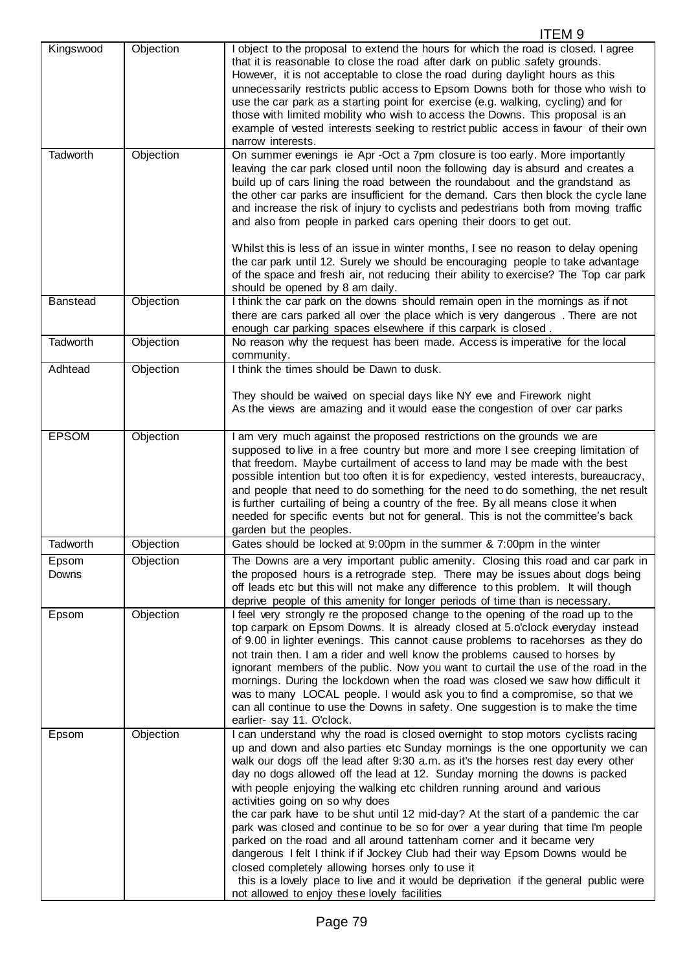|                 |           | ITEM <sub>9</sub>                                                                                                                                                                                                                                                                                                                                                                                                                                                                                                                                                                                                                                                                                                                                                                                                                                                                                                                                                                      |
|-----------------|-----------|----------------------------------------------------------------------------------------------------------------------------------------------------------------------------------------------------------------------------------------------------------------------------------------------------------------------------------------------------------------------------------------------------------------------------------------------------------------------------------------------------------------------------------------------------------------------------------------------------------------------------------------------------------------------------------------------------------------------------------------------------------------------------------------------------------------------------------------------------------------------------------------------------------------------------------------------------------------------------------------|
| Kingswood       | Objection | object to the proposal to extend the hours for which the road is closed. I agree<br>that it is reasonable to close the road after dark on public safety grounds.<br>However, it is not acceptable to close the road during daylight hours as this<br>unnecessarily restricts public access to Epsom Downs both for those who wish to<br>use the car park as a starting point for exercise (e.g. walking, cycling) and for<br>those with limited mobility who wish to access the Downs. This proposal is an<br>example of vested interests seeking to restrict public access in favour of their own<br>narrow interests.                                                                                                                                                                                                                                                                                                                                                                |
| Tadworth        | Objection | On summer evenings ie Apr -Oct a 7pm closure is too early. More importantly<br>leaving the car park closed until noon the following day is absurd and creates a<br>build up of cars lining the road between the roundabout and the grandstand as<br>the other car parks are insufficient for the demand. Cars then block the cycle lane<br>and increase the risk of injury to cyclists and pedestrians both from moving traffic<br>and also from people in parked cars opening their doors to get out.<br>Whilst this is less of an issue in winter months, I see no reason to delay opening<br>the car park until 12. Surely we should be encouraging people to take advantage                                                                                                                                                                                                                                                                                                        |
|                 |           | of the space and fresh air, not reducing their ability to exercise? The Top car park<br>should be opened by 8 am daily.                                                                                                                                                                                                                                                                                                                                                                                                                                                                                                                                                                                                                                                                                                                                                                                                                                                                |
| <b>Banstead</b> | Objection | I think the car park on the downs should remain open in the mornings as if not<br>there are cars parked all over the place which is very dangerous. There are not<br>enough car parking spaces elsewhere if this carpark is closed.                                                                                                                                                                                                                                                                                                                                                                                                                                                                                                                                                                                                                                                                                                                                                    |
| Tadworth        | Objection | No reason why the request has been made. Access is imperative for the local<br>community.                                                                                                                                                                                                                                                                                                                                                                                                                                                                                                                                                                                                                                                                                                                                                                                                                                                                                              |
| Adhtead         | Objection | I think the times should be Dawn to dusk.                                                                                                                                                                                                                                                                                                                                                                                                                                                                                                                                                                                                                                                                                                                                                                                                                                                                                                                                              |
|                 |           | They should be waived on special days like NY eve and Firework night<br>As the views are amazing and it would ease the congestion of over car parks                                                                                                                                                                                                                                                                                                                                                                                                                                                                                                                                                                                                                                                                                                                                                                                                                                    |
| <b>EPSOM</b>    | Objection | I am very much against the proposed restrictions on the grounds we are<br>supposed to live in a free country but more and more I see creeping limitation of<br>that freedom. Maybe curtailment of access to land may be made with the best<br>possible intention but too often it is for expediency, vested interests, bureaucracy,<br>and people that need to do something for the need to do something, the net result<br>is further curtailing of being a country of the free. By all means close it when<br>needed for specific events but not for general. This is not the committee's back<br>garden but the peoples.                                                                                                                                                                                                                                                                                                                                                            |
| Tadworth        | Objection | Gates should be locked at 9:00pm in the summer & 7:00pm in the winter                                                                                                                                                                                                                                                                                                                                                                                                                                                                                                                                                                                                                                                                                                                                                                                                                                                                                                                  |
| Epsom<br>Downs  | Objection | The Downs are a very important public amenity. Closing this road and car park in<br>the proposed hours is a retrograde step. There may be issues about dogs being<br>off leads etc but this will not make any difference to this problem. It will though<br>deprive people of this amenity for longer periods of time than is necessary.                                                                                                                                                                                                                                                                                                                                                                                                                                                                                                                                                                                                                                               |
| Epsom           | Objection | I feel very strongly re the proposed change to the opening of the road up to the<br>top carpark on Epsom Downs. It is already closed at 5.o'clock everyday instead<br>of 9.00 in lighter evenings. This cannot cause problems to racehorses as they do<br>not train then. I am a rider and well know the problems caused to horses by<br>ignorant members of the public. Now you want to curtail the use of the road in the<br>mornings. During the lockdown when the road was closed we saw how difficult it<br>was to many LOCAL people. I would ask you to find a compromise, so that we<br>can all continue to use the Downs in safety. One suggestion is to make the time<br>earlier- say 11. O'clock.                                                                                                                                                                                                                                                                            |
| Epsom           | Objection | I can understand why the road is closed overnight to stop motors cyclists racing<br>up and down and also parties etc Sunday mornings is the one opportunity we can<br>walk our dogs off the lead after 9:30 a.m. as it's the horses rest day every other<br>day no dogs allowed off the lead at 12. Sunday morning the downs is packed<br>with people enjoying the walking etc children running around and various<br>activities going on so why does<br>the car park have to be shut until 12 mid-day? At the start of a pandemic the car<br>park was closed and continue to be so for over a year during that time I'm people<br>parked on the road and all around tattenham corner and it became very<br>dangerous I felt I think if if Jockey Club had their way Epsom Downs would be<br>closed completely allowing horses only to use it<br>this is a lovely place to live and it would be deprivation if the general public were<br>not allowed to enjoy these lovely facilities |
|                 |           | Page 79                                                                                                                                                                                                                                                                                                                                                                                                                                                                                                                                                                                                                                                                                                                                                                                                                                                                                                                                                                                |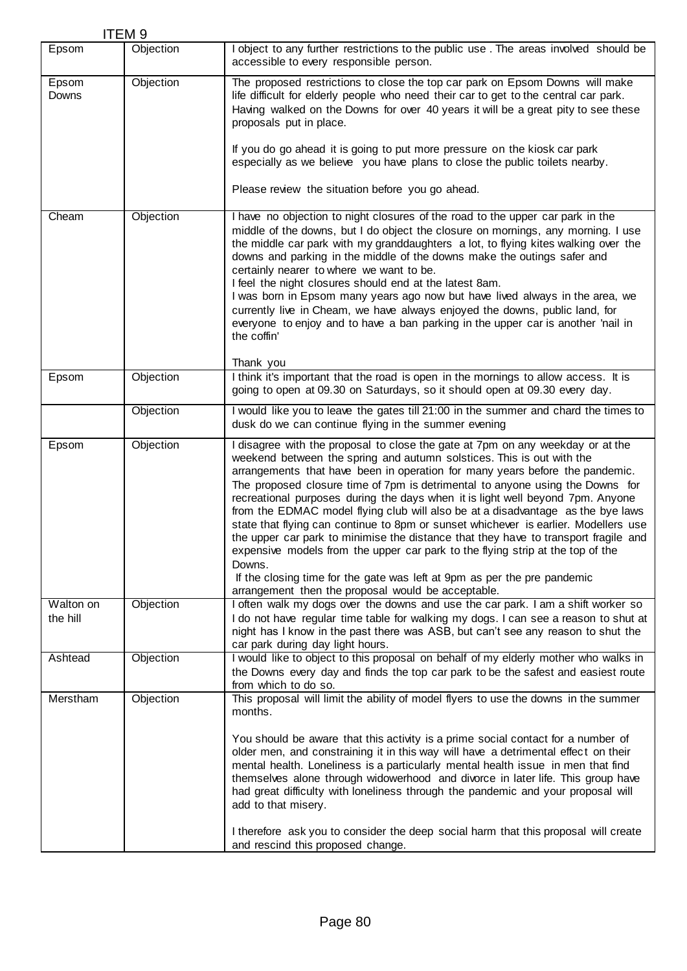|                       | ITEM 9    |                                                                                                                                                                                                                                                                                                                                                                                                                                                                                                                                                                                                                                                                                                                                                                         |
|-----------------------|-----------|-------------------------------------------------------------------------------------------------------------------------------------------------------------------------------------------------------------------------------------------------------------------------------------------------------------------------------------------------------------------------------------------------------------------------------------------------------------------------------------------------------------------------------------------------------------------------------------------------------------------------------------------------------------------------------------------------------------------------------------------------------------------------|
| Epsom                 | Objection | I object to any further restrictions to the public use. The areas involved should be<br>accessible to every responsible person.                                                                                                                                                                                                                                                                                                                                                                                                                                                                                                                                                                                                                                         |
| Epsom<br>Downs        | Objection | The proposed restrictions to close the top car park on Epsom Downs will make<br>life difficult for elderly people who need their car to get to the central car park.<br>Having walked on the Downs for over 40 years it will be a great pity to see these<br>proposals put in place.                                                                                                                                                                                                                                                                                                                                                                                                                                                                                    |
|                       |           | If you do go ahead it is going to put more pressure on the kiosk car park<br>especially as we believe you have plans to close the public toilets nearby.                                                                                                                                                                                                                                                                                                                                                                                                                                                                                                                                                                                                                |
|                       |           | Please review the situation before you go ahead.                                                                                                                                                                                                                                                                                                                                                                                                                                                                                                                                                                                                                                                                                                                        |
| Cheam                 | Objection | I have no objection to night closures of the road to the upper car park in the<br>middle of the downs, but I do object the closure on mornings, any morning. I use<br>the middle car park with my granddaughters a lot, to flying kites walking over the<br>downs and parking in the middle of the downs make the outings safer and<br>certainly nearer to where we want to be.<br>I feel the night closures should end at the latest 8am.                                                                                                                                                                                                                                                                                                                              |
|                       |           | I was born in Epsom many years ago now but have lived always in the area, we<br>currently live in Cheam, we have always enjoyed the downs, public land, for<br>everyone to enjoy and to have a ban parking in the upper car is another 'nail in<br>the coffin'                                                                                                                                                                                                                                                                                                                                                                                                                                                                                                          |
| Epsom                 | Objection | Thank you<br>I think it's important that the road is open in the mornings to allow access. It is                                                                                                                                                                                                                                                                                                                                                                                                                                                                                                                                                                                                                                                                        |
|                       |           | going to open at 09.30 on Saturdays, so it should open at 09.30 every day.                                                                                                                                                                                                                                                                                                                                                                                                                                                                                                                                                                                                                                                                                              |
|                       | Objection | I would like you to leave the gates till 21:00 in the summer and chard the times to<br>dusk do we can continue flying in the summer evening                                                                                                                                                                                                                                                                                                                                                                                                                                                                                                                                                                                                                             |
| Epsom                 | Objection | I disagree with the proposal to close the gate at 7pm on any weekday or at the<br>weekend between the spring and autumn solstices. This is out with the<br>arrangements that have been in operation for many years before the pandemic.<br>The proposed closure time of 7pm is detrimental to anyone using the Downs for<br>recreational purposes during the days when it is light well beyond 7pm. Anyone<br>from the EDMAC model flying club will also be at a disadvantage as the bye laws<br>state that flying can continue to 8pm or sunset whichever is earlier. Modellers use<br>the upper car park to minimise the distance that they have to transport fragile and<br>expensive models from the upper car park to the flying strip at the top of the<br>Downs. |
|                       |           | If the closing time for the gate was left at 9pm as per the pre pandemic<br>arrangement then the proposal would be acceptable.                                                                                                                                                                                                                                                                                                                                                                                                                                                                                                                                                                                                                                          |
| Walton on<br>the hill | Objection | I often walk my dogs over the downs and use the car park. I am a shift worker so<br>I do not have regular time table for walking my dogs. I can see a reason to shut at<br>night has I know in the past there was ASB, but can't see any reason to shut the<br>car park during day light hours.                                                                                                                                                                                                                                                                                                                                                                                                                                                                         |
| Ashtead               | Objection | I would like to object to this proposal on behalf of my elderly mother who walks in<br>the Downs every day and finds the top car park to be the safest and easiest route<br>from which to do so.                                                                                                                                                                                                                                                                                                                                                                                                                                                                                                                                                                        |
| Merstham              | Objection | This proposal will limit the ability of model flyers to use the downs in the summer<br>months.                                                                                                                                                                                                                                                                                                                                                                                                                                                                                                                                                                                                                                                                          |
|                       |           | You should be aware that this activity is a prime social contact for a number of<br>older men, and constraining it in this way will have a detrimental effect on their<br>mental health. Loneliness is a particularly mental health issue in men that find<br>themselves alone through widowerhood and divorce in later life. This group have<br>had great difficulty with loneliness through the pandemic and your proposal will<br>add to that misery.                                                                                                                                                                                                                                                                                                                |
|                       |           | I therefore ask you to consider the deep social harm that this proposal will create<br>and rescind this proposed change.                                                                                                                                                                                                                                                                                                                                                                                                                                                                                                                                                                                                                                                |
|                       |           |                                                                                                                                                                                                                                                                                                                                                                                                                                                                                                                                                                                                                                                                                                                                                                         |
|                       |           |                                                                                                                                                                                                                                                                                                                                                                                                                                                                                                                                                                                                                                                                                                                                                                         |
|                       |           | Page 80                                                                                                                                                                                                                                                                                                                                                                                                                                                                                                                                                                                                                                                                                                                                                                 |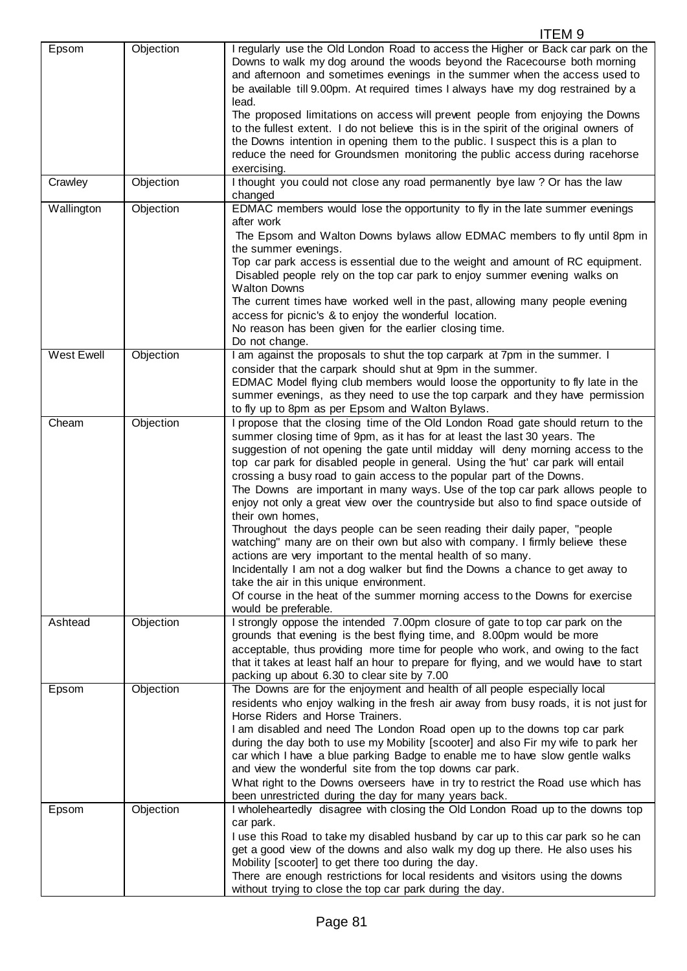|                   |           | ITEM 9                                                                                                                                                                                                                                                                                                                                                                                                                                                                                                                                                                                                                                                                                                                                                                                                                                                                                                                                                                                                                                                                       |
|-------------------|-----------|------------------------------------------------------------------------------------------------------------------------------------------------------------------------------------------------------------------------------------------------------------------------------------------------------------------------------------------------------------------------------------------------------------------------------------------------------------------------------------------------------------------------------------------------------------------------------------------------------------------------------------------------------------------------------------------------------------------------------------------------------------------------------------------------------------------------------------------------------------------------------------------------------------------------------------------------------------------------------------------------------------------------------------------------------------------------------|
| Epsom             | Objection | I regularly use the Old London Road to access the Higher or Back car park on the<br>Downs to walk my dog around the woods beyond the Racecourse both morning<br>and afternoon and sometimes evenings in the summer when the access used to<br>be available till 9.00pm. At required times I always have my dog restrained by a<br>lead.<br>The proposed limitations on access will prevent people from enjoying the Downs<br>to the fullest extent. I do not believe this is in the spirit of the original owners of<br>the Downs intention in opening them to the public. I suspect this is a plan to<br>reduce the need for Groundsmen monitoring the public access during racehorse<br>exercising.                                                                                                                                                                                                                                                                                                                                                                        |
| Crawley           | Objection | I thought you could not close any road permanently bye law ? Or has the law                                                                                                                                                                                                                                                                                                                                                                                                                                                                                                                                                                                                                                                                                                                                                                                                                                                                                                                                                                                                  |
| Wallington        | Objection | changed<br>EDMAC members would lose the opportunity to fly in the late summer evenings                                                                                                                                                                                                                                                                                                                                                                                                                                                                                                                                                                                                                                                                                                                                                                                                                                                                                                                                                                                       |
|                   |           | after work<br>The Epsom and Walton Downs bylaws allow EDMAC members to fly until 8pm in<br>the summer evenings.<br>Top car park access is essential due to the weight and amount of RC equipment.<br>Disabled people rely on the top car park to enjoy summer evening walks on                                                                                                                                                                                                                                                                                                                                                                                                                                                                                                                                                                                                                                                                                                                                                                                               |
|                   |           | <b>Walton Downs</b><br>The current times have worked well in the past, allowing many people evening<br>access for picnic's & to enjoy the wonderful location.                                                                                                                                                                                                                                                                                                                                                                                                                                                                                                                                                                                                                                                                                                                                                                                                                                                                                                                |
|                   |           | No reason has been given for the earlier closing time.<br>Do not change.                                                                                                                                                                                                                                                                                                                                                                                                                                                                                                                                                                                                                                                                                                                                                                                                                                                                                                                                                                                                     |
| <b>West Ewell</b> | Objection | I am against the proposals to shut the top carpark at 7pm in the summer. I<br>consider that the carpark should shut at 9pm in the summer.<br>EDMAC Model flying club members would loose the opportunity to fly late in the<br>summer evenings, as they need to use the top carpark and they have permission<br>to fly up to 8pm as per Epsom and Walton Bylaws.                                                                                                                                                                                                                                                                                                                                                                                                                                                                                                                                                                                                                                                                                                             |
| Cheam             | Objection | I propose that the closing time of the Old London Road gate should return to the<br>summer closing time of 9pm, as it has for at least the last 30 years. The<br>suggestion of not opening the gate until midday will deny morning access to the<br>top car park for disabled people in general. Using the 'hut' car park will entail<br>crossing a busy road to gain access to the popular part of the Downs.<br>The Downs are important in many ways. Use of the top car park allows people to<br>enjoy not only a great view over the countryside but also to find space outside of<br>their own homes,<br>Throughout the days people can be seen reading their daily paper, "people<br>watching" many are on their own but also with company. I firmly believe these<br>actions are very important to the mental health of so many.<br>Incidentally I am not a dog walker but find the Downs a chance to get away to<br>take the air in this unique environment.<br>Of course in the heat of the summer morning access to the Downs for exercise<br>would be preferable. |
| Ashtead           | Objection | I strongly oppose the intended 7.00pm closure of gate to top car park on the<br>grounds that evening is the best flying time, and 8.00pm would be more<br>acceptable, thus providing more time for people who work, and owing to the fact<br>that it takes at least half an hour to prepare for flying, and we would have to start<br>packing up about 6.30 to clear site by 7.00                                                                                                                                                                                                                                                                                                                                                                                                                                                                                                                                                                                                                                                                                            |
| Epsom             | Objection | The Downs are for the enjoyment and health of all people especially local<br>residents who enjoy walking in the fresh air away from busy roads, it is not just for<br>Horse Riders and Horse Trainers.<br>I am disabled and need The London Road open up to the downs top car park<br>during the day both to use my Mobility [scooter] and also Fir my wife to park her<br>car which I have a blue parking Badge to enable me to have slow gentle walks<br>and view the wonderful site from the top downs car park.<br>What right to the Downs overseers have in try to restrict the Road use which has<br>been unrestricted during the day for many years back.                                                                                                                                                                                                                                                                                                                                                                                                             |
| Epsom             | Objection | I wholeheartedly disagree with closing the Old London Road up to the downs top<br>car park.<br>I use this Road to take my disabled husband by car up to this car park so he can<br>get a good view of the downs and also walk my dog up there. He also uses his<br>Mobility [scooter] to get there too during the day.<br>There are enough restrictions for local residents and visitors using the downs<br>without trying to close the top car park during the day.                                                                                                                                                                                                                                                                                                                                                                                                                                                                                                                                                                                                         |
|                   |           | Page 81                                                                                                                                                                                                                                                                                                                                                                                                                                                                                                                                                                                                                                                                                                                                                                                                                                                                                                                                                                                                                                                                      |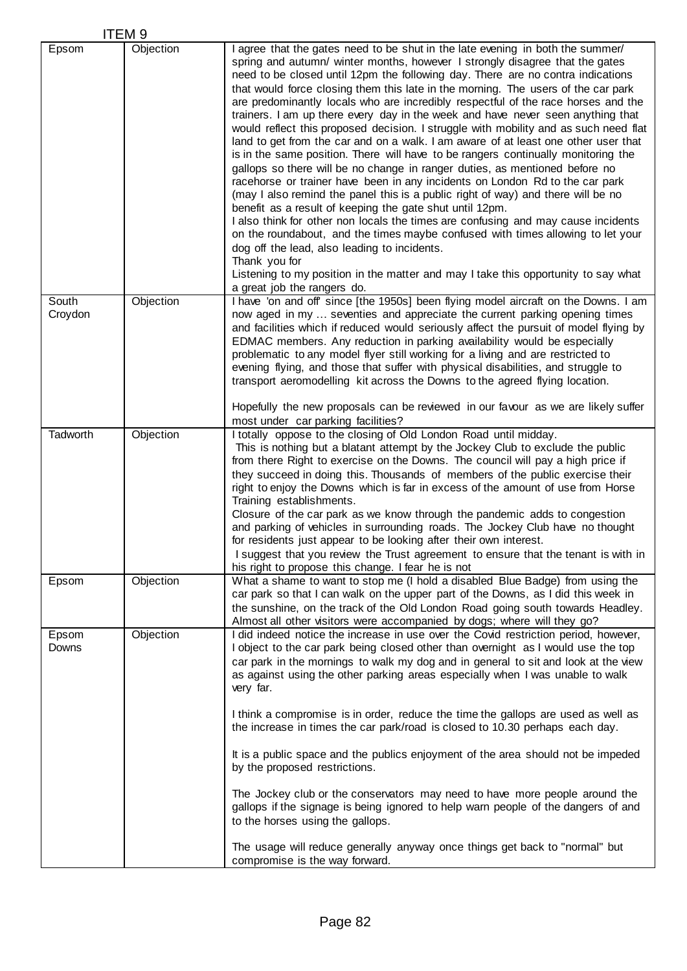|                  | ITEM 9    |                                                                                                                                                                                                                                                                                                                                                                                                                                                                                                                                                                                                                                                                                                                                                                                                                                                                                                                                                                                                                                                                                                                                                                                                                                                                                                                                                                                                                                                                |
|------------------|-----------|----------------------------------------------------------------------------------------------------------------------------------------------------------------------------------------------------------------------------------------------------------------------------------------------------------------------------------------------------------------------------------------------------------------------------------------------------------------------------------------------------------------------------------------------------------------------------------------------------------------------------------------------------------------------------------------------------------------------------------------------------------------------------------------------------------------------------------------------------------------------------------------------------------------------------------------------------------------------------------------------------------------------------------------------------------------------------------------------------------------------------------------------------------------------------------------------------------------------------------------------------------------------------------------------------------------------------------------------------------------------------------------------------------------------------------------------------------------|
| Epsom            | Objection | I agree that the gates need to be shut in the late evening in both the summer/<br>spring and autumn/ winter months, however I strongly disagree that the gates<br>need to be closed until 12pm the following day. There are no contra indications<br>that would force closing them this late in the morning. The users of the car park<br>are predominantly locals who are incredibly respectful of the race horses and the<br>trainers. I am up there every day in the week and have never seen anything that<br>would reflect this proposed decision. I struggle with mobility and as such need flat<br>land to get from the car and on a walk. I am aware of at least one other user that<br>is in the same position. There will have to be rangers continually monitoring the<br>gallops so there will be no change in ranger duties, as mentioned before no<br>racehorse or trainer have been in any incidents on London Rd to the car park<br>(may I also remind the panel this is a public right of way) and there will be no<br>benefit as a result of keeping the gate shut until 12pm.<br>I also think for other non locals the times are confusing and may cause incidents<br>on the roundabout, and the times maybe confused with times allowing to let your<br>dog off the lead, also leading to incidents.<br>Thank you for<br>Listening to my position in the matter and may I take this opportunity to say what<br>a great job the rangers do. |
| South<br>Croydon | Objection | I have 'on and off' since [the 1950s] been flying model aircraft on the Downs. I am<br>now aged in my  seventies and appreciate the current parking opening times<br>and facilities which if reduced would seriously affect the pursuit of model flying by<br>EDMAC members. Any reduction in parking availability would be especially<br>problematic to any model flyer still working for a living and are restricted to<br>evening flying, and those that suffer with physical disabilities, and struggle to<br>transport aeromodelling kit across the Downs to the agreed flying location.<br>Hopefully the new proposals can be reviewed in our favour as we are likely suffer<br>most under car parking facilities?                                                                                                                                                                                                                                                                                                                                                                                                                                                                                                                                                                                                                                                                                                                                       |
| Tadworth         | Objection | I totally oppose to the closing of Old London Road until midday.<br>This is nothing but a blatant attempt by the Jockey Club to exclude the public<br>from there Right to exercise on the Downs. The council will pay a high price if<br>they succeed in doing this. Thousands of members of the public exercise their<br>right to enjoy the Downs which is far in excess of the amount of use from Horse<br>Training establishments.<br>Closure of the car park as we know through the pandemic adds to congestion<br>and parking of vehicles in surrounding roads. The Jockey Club have no thought<br>for residents just appear to be looking after their own interest.<br>I suggest that you review the Trust agreement to ensure that the tenant is with in<br>his right to propose this change. I fear he is not                                                                                                                                                                                                                                                                                                                                                                                                                                                                                                                                                                                                                                          |
| Epsom            | Objection | What a shame to want to stop me (I hold a disabled Blue Badge) from using the<br>car park so that I can walk on the upper part of the Downs, as I did this week in<br>the sunshine, on the track of the Old London Road going south towards Headley.<br>Almost all other visitors were accompanied by dogs; where will they go?                                                                                                                                                                                                                                                                                                                                                                                                                                                                                                                                                                                                                                                                                                                                                                                                                                                                                                                                                                                                                                                                                                                                |
| Epsom<br>Downs   | Objection | I did indeed notice the increase in use over the Covid restriction period, however,<br>I object to the car park being closed other than overnight as I would use the top<br>car park in the mornings to walk my dog and in general to sit and look at the view<br>as against using the other parking areas especially when I was unable to walk<br>very far.<br>I think a compromise is in order, reduce the time the gallops are used as well as<br>the increase in times the car park/road is closed to 10.30 perhaps each day.<br>It is a public space and the publics enjoyment of the area should not be impeded<br>by the proposed restrictions.<br>The Jockey club or the conservators may need to have more people around the<br>gallops if the signage is being ignored to help warn people of the dangers of and<br>to the horses using the gallops.<br>The usage will reduce generally anyway once things get back to "normal" but<br>compromise is the way forward.                                                                                                                                                                                                                                                                                                                                                                                                                                                                                |
|                  |           | Page 82                                                                                                                                                                                                                                                                                                                                                                                                                                                                                                                                                                                                                                                                                                                                                                                                                                                                                                                                                                                                                                                                                                                                                                                                                                                                                                                                                                                                                                                        |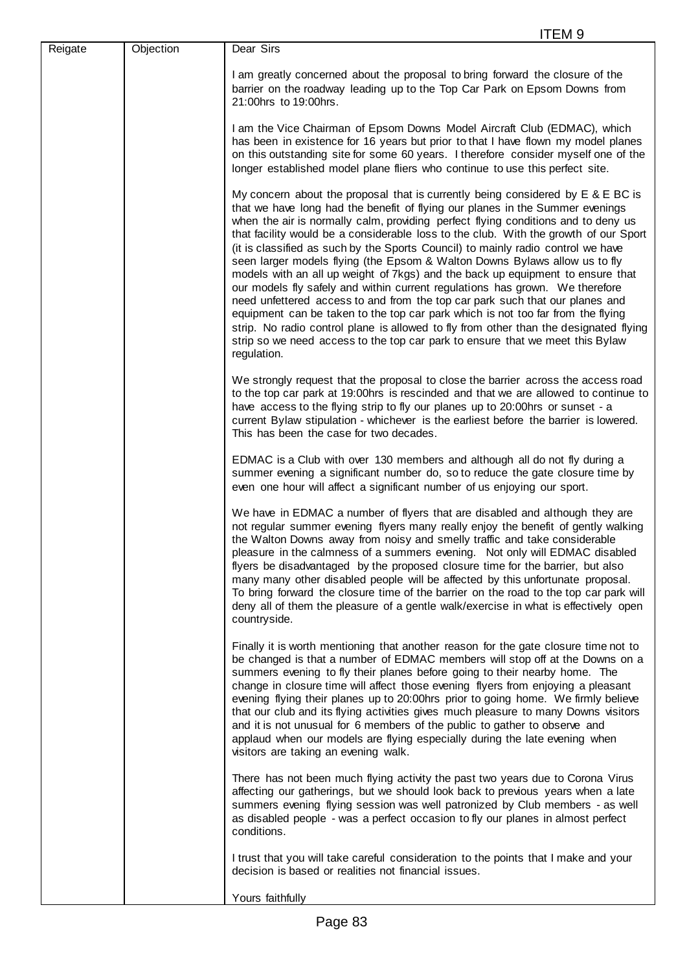|         |           | ITEM 9                                                                                                                                                                                                                                                                                                                                                                                                                                                                                                                                                                                                                                                                                                                                                                                                                                                                                                                                                                                                                                           |
|---------|-----------|--------------------------------------------------------------------------------------------------------------------------------------------------------------------------------------------------------------------------------------------------------------------------------------------------------------------------------------------------------------------------------------------------------------------------------------------------------------------------------------------------------------------------------------------------------------------------------------------------------------------------------------------------------------------------------------------------------------------------------------------------------------------------------------------------------------------------------------------------------------------------------------------------------------------------------------------------------------------------------------------------------------------------------------------------|
| Reigate | Objection | Dear Sirs                                                                                                                                                                                                                                                                                                                                                                                                                                                                                                                                                                                                                                                                                                                                                                                                                                                                                                                                                                                                                                        |
|         |           | I am greatly concerned about the proposal to bring forward the closure of the<br>barrier on the roadway leading up to the Top Car Park on Epsom Downs from<br>21:00hrs to 19:00hrs.                                                                                                                                                                                                                                                                                                                                                                                                                                                                                                                                                                                                                                                                                                                                                                                                                                                              |
|         |           | I am the Vice Chairman of Epsom Downs Model Aircraft Club (EDMAC), which<br>has been in existence for 16 years but prior to that I have flown my model planes<br>on this outstanding site for some 60 years. I therefore consider myself one of the<br>longer established model plane fliers who continue to use this perfect site.                                                                                                                                                                                                                                                                                                                                                                                                                                                                                                                                                                                                                                                                                                              |
|         |           | My concern about the proposal that is currently being considered by $E \& E BC$ is<br>that we have long had the benefit of flying our planes in the Summer evenings<br>when the air is normally calm, providing perfect flying conditions and to deny us<br>that facility would be a considerable loss to the club. With the growth of our Sport<br>(it is classified as such by the Sports Council) to mainly radio control we have<br>seen larger models flying (the Epsom & Walton Downs Bylaws allow us to fly<br>models with an all up weight of 7kgs) and the back up equipment to ensure that<br>our models fly safely and within current regulations has grown. We therefore<br>need unfettered access to and from the top car park such that our planes and<br>equipment can be taken to the top car park which is not too far from the flying<br>strip. No radio control plane is allowed to fly from other than the designated flying<br>strip so we need access to the top car park to ensure that we meet this Bylaw<br>regulation. |
|         |           | We strongly request that the proposal to close the barrier across the access road<br>to the top car park at 19:00hrs is rescinded and that we are allowed to continue to<br>have access to the flying strip to fly our planes up to 20:00hrs or sunset - a<br>current Bylaw stipulation - whichever is the earliest before the barrier is lowered.<br>This has been the case for two decades.                                                                                                                                                                                                                                                                                                                                                                                                                                                                                                                                                                                                                                                    |
|         |           | EDMAC is a Club with over 130 members and although all do not fly during a<br>summer evening a significant number do, so to reduce the gate closure time by<br>even one hour will affect a significant number of us enjoying our sport.                                                                                                                                                                                                                                                                                                                                                                                                                                                                                                                                                                                                                                                                                                                                                                                                          |
|         |           | We have in EDMAC a number of flyers that are disabled and although they are<br>not regular summer evening flyers many really enjoy the benefit of gently walking<br>the Walton Downs away from noisy and smelly traffic and take considerable<br>pleasure in the calmness of a summers evening. Not only will EDMAC disabled<br>flyers be disadvantaged by the proposed closure time for the barrier, but also<br>many many other disabled people will be affected by this unfortunate proposal.<br>To bring forward the closure time of the barrier on the road to the top car park will<br>deny all of them the pleasure of a gentle walk/exercise in what is effectively open<br>countryside.                                                                                                                                                                                                                                                                                                                                                 |
|         |           | Finally it is worth mentioning that another reason for the gate closure time not to<br>be changed is that a number of EDMAC members will stop off at the Downs on a<br>summers evening to fly their planes before going to their nearby home. The<br>change in closure time will affect those evening flyers from enjoying a pleasant<br>evening flying their planes up to 20:00hrs prior to going home. We firmly believe<br>that our club and its flying activities gives much pleasure to many Downs visitors<br>and it is not unusual for 6 members of the public to gather to observe and<br>applaud when our models are flying especially during the late evening when<br>visitors are taking an evening walk.                                                                                                                                                                                                                                                                                                                             |
|         |           | There has not been much flying activity the past two years due to Corona Virus<br>affecting our gatherings, but we should look back to previous years when a late<br>summers evening flying session was well patronized by Club members - as well<br>as disabled people - was a perfect occasion to fly our planes in almost perfect<br>conditions.                                                                                                                                                                                                                                                                                                                                                                                                                                                                                                                                                                                                                                                                                              |
|         |           | I trust that you will take careful consideration to the points that I make and your<br>decision is based or realities not financial issues.                                                                                                                                                                                                                                                                                                                                                                                                                                                                                                                                                                                                                                                                                                                                                                                                                                                                                                      |
|         |           | Yours faithfully                                                                                                                                                                                                                                                                                                                                                                                                                                                                                                                                                                                                                                                                                                                                                                                                                                                                                                                                                                                                                                 |
|         |           | Page 83                                                                                                                                                                                                                                                                                                                                                                                                                                                                                                                                                                                                                                                                                                                                                                                                                                                                                                                                                                                                                                          |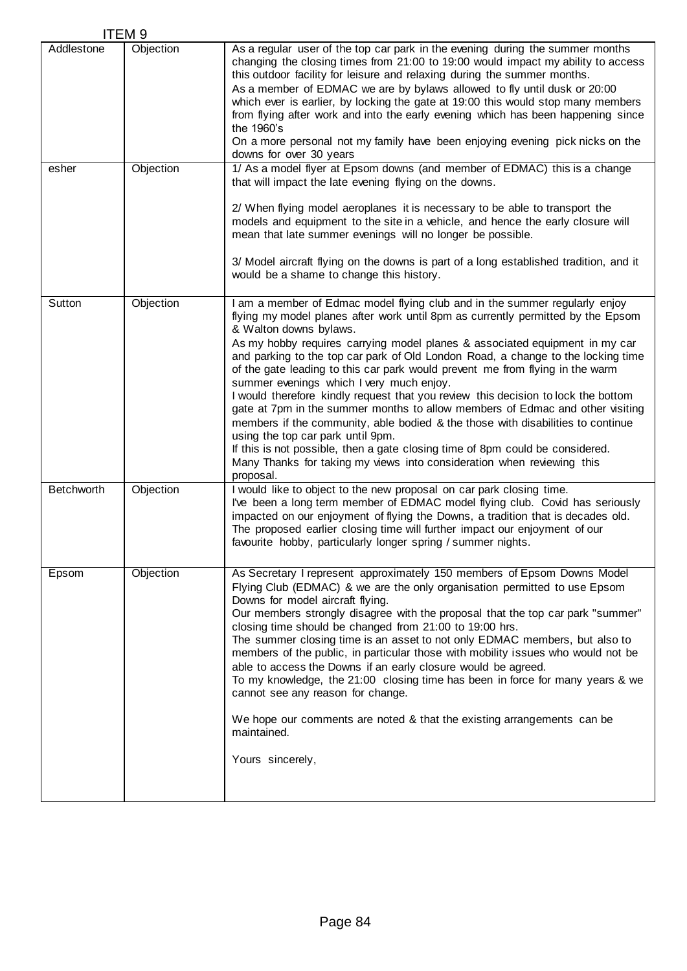|            | ITEM <sub>9</sub> |                                                                                                                                                                                                                                                                                                                                                                                                                                                                                                                                                                                                                                                                                                |
|------------|-------------------|------------------------------------------------------------------------------------------------------------------------------------------------------------------------------------------------------------------------------------------------------------------------------------------------------------------------------------------------------------------------------------------------------------------------------------------------------------------------------------------------------------------------------------------------------------------------------------------------------------------------------------------------------------------------------------------------|
| Addlestone | Objection         | As a regular user of the top car park in the evening during the summer months<br>changing the closing times from 21:00 to 19:00 would impact my ability to access<br>this outdoor facility for leisure and relaxing during the summer months.<br>As a member of EDMAC we are by bylaws allowed to fly until dusk or 20:00<br>which ever is earlier, by locking the gate at 19:00 this would stop many members<br>from flying after work and into the early evening which has been happening since<br>the 1960's<br>On a more personal not my family have been enjoying evening pick nicks on the<br>downs for over 30 years                                                                    |
| esher      | Objection         | 1/ As a model flyer at Epsom downs (and member of EDMAC) this is a change                                                                                                                                                                                                                                                                                                                                                                                                                                                                                                                                                                                                                      |
|            |                   | that will impact the late evening flying on the downs.<br>2/ When flying model aeroplanes it is necessary to be able to transport the<br>models and equipment to the site in a vehicle, and hence the early closure will<br>mean that late summer evenings will no longer be possible.<br>3/ Model aircraft flying on the downs is part of a long established tradition, and it<br>would be a shame to change this history.                                                                                                                                                                                                                                                                    |
|            |                   |                                                                                                                                                                                                                                                                                                                                                                                                                                                                                                                                                                                                                                                                                                |
| Sutton     | Objection         | I am a member of Edmac model flying club and in the summer regularly enjoy<br>flying my model planes after work until 8pm as currently permitted by the Epsom<br>& Walton downs bylaws.<br>As my hobby requires carrying model planes & associated equipment in my car<br>and parking to the top car park of Old London Road, a change to the locking time<br>of the gate leading to this car park would prevent me from flying in the warm<br>summer evenings which I very much enjoy.                                                                                                                                                                                                        |
|            |                   | I would therefore kindly request that you review this decision to lock the bottom<br>gate at 7pm in the summer months to allow members of Edmac and other visiting<br>members if the community, able bodied & the those with disabilities to continue<br>using the top car park until 9pm.<br>If this is not possible, then a gate closing time of 8pm could be considered.<br>Many Thanks for taking my views into consideration when reviewing this<br>proposal.                                                                                                                                                                                                                             |
| Betchworth | Objection         | I would like to object to the new proposal on car park closing time.<br>I've been a long term member of EDMAC model flying club. Covid has seriously<br>impacted on our enjoyment of flying the Downs, a tradition that is decades old.<br>The proposed earlier closing time will further impact our enjoyment of our<br>favourite hobby, particularly longer spring / summer nights.                                                                                                                                                                                                                                                                                                          |
| Epsom      | Objection         | As Secretary I represent approximately 150 members of Epsom Downs Model<br>Flying Club (EDMAC) & we are the only organisation permitted to use Epsom<br>Downs for model aircraft flying.<br>Our members strongly disagree with the proposal that the top car park "summer"<br>closing time should be changed from 21:00 to 19:00 hrs.<br>The summer closing time is an asset to not only EDMAC members, but also to<br>members of the public, in particular those with mobility issues who would not be<br>able to access the Downs if an early closure would be agreed.<br>To my knowledge, the 21:00 closing time has been in force for many years & we<br>cannot see any reason for change. |
|            |                   | We hope our comments are noted & that the existing arrangements can be<br>maintained.<br>Yours sincerely,                                                                                                                                                                                                                                                                                                                                                                                                                                                                                                                                                                                      |
|            |                   | Page 84                                                                                                                                                                                                                                                                                                                                                                                                                                                                                                                                                                                                                                                                                        |
|            |                   |                                                                                                                                                                                                                                                                                                                                                                                                                                                                                                                                                                                                                                                                                                |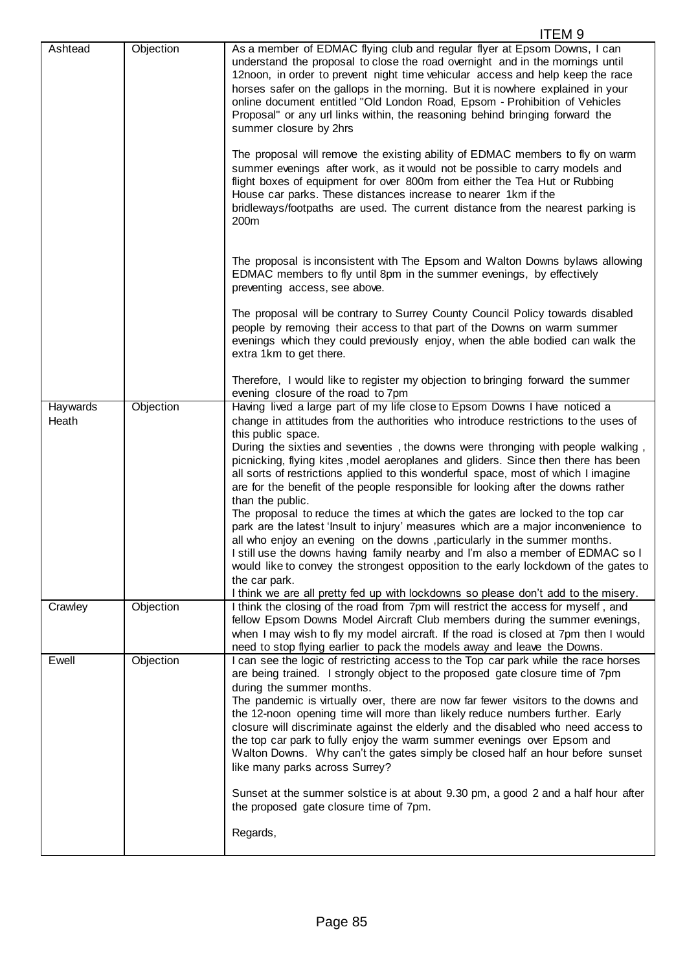| As a member of EDMAC flying club and regular flyer at Epsom Downs, I can<br>Ashtead<br>Objection<br>understand the proposal to close the road overnight and in the mornings until<br>12noon, in order to prevent night time vehicular access and help keep the race<br>horses safer on the gallops in the morning. But it is nowhere explained in your<br>online document entitled "Old London Road, Epsom - Prohibition of Vehicles<br>Proposal" or any url links within, the reasoning behind bringing forward the<br>summer closure by 2hrs<br>The proposal will remove the existing ability of EDMAC members to fly on warm<br>summer evenings after work, as it would not be possible to carry models and<br>flight boxes of equipment for over 800m from either the Tea Hut or Rubbing<br>House car parks. These distances increase to nearer 1km if the<br>bridleways/footpaths are used. The current distance from the nearest parking is<br>200m<br>EDMAC members to fly until 8pm in the summer evenings, by effectively<br>preventing access, see above.<br>The proposal will be contrary to Surrey County Council Policy towards disabled<br>people by removing their access to that part of the Downs on warm summer<br>evenings which they could previously enjoy, when the able bodied can walk the<br>extra 1km to get there.<br>Therefore, I would like to register my objection to bringing forward the summer<br>evening closure of the road to 7pm<br>Having lived a large part of my life close to Epsom Downs I have noticed a<br>Haywards<br>Objection<br>Heath<br>this public space.<br>all sorts of restrictions applied to this wonderful space, most of which I imagine<br>are for the benefit of the people responsible for looking after the downs rather<br>than the public.<br>The proposal to reduce the times at which the gates are locked to the top car<br>all who enjoy an evening on the downs, particularly in the summer months.<br>the car park.<br>I think we are all pretty fed up with lockdowns so please don't add to the misery.<br>I think the closing of the road from 7pm will restrict the access for myself, and<br>Crawley<br>Objection<br>need to stop flying earlier to pack the models away and leave the Downs.<br>Ewell<br>Objection<br>are being trained. I strongly object to the proposed gate closure time of 7pm<br>during the summer months.<br>the 12-noon opening time will more than likely reduce numbers further. Early<br>the top car park to fully enjoy the warm summer evenings over Epsom and<br>like many parks across Surrey?<br>the proposed gate closure time of 7pm.<br>Regards, |  | ITEM <sub>9</sub>                                                                                                                                                                                                                                                                                                                              |
|-----------------------------------------------------------------------------------------------------------------------------------------------------------------------------------------------------------------------------------------------------------------------------------------------------------------------------------------------------------------------------------------------------------------------------------------------------------------------------------------------------------------------------------------------------------------------------------------------------------------------------------------------------------------------------------------------------------------------------------------------------------------------------------------------------------------------------------------------------------------------------------------------------------------------------------------------------------------------------------------------------------------------------------------------------------------------------------------------------------------------------------------------------------------------------------------------------------------------------------------------------------------------------------------------------------------------------------------------------------------------------------------------------------------------------------------------------------------------------------------------------------------------------------------------------------------------------------------------------------------------------------------------------------------------------------------------------------------------------------------------------------------------------------------------------------------------------------------------------------------------------------------------------------------------------------------------------------------------------------------------------------------------------------------------------------------------------------------------------------------------------------------------------------------------------------------------------------------------------------------------------------------------------------------------------------------------------------------------------------------------------------------------------------------------------------------------------------------------------------------------------------------------------------------------------------------------------------------------------------------------------------------------------------------|--|------------------------------------------------------------------------------------------------------------------------------------------------------------------------------------------------------------------------------------------------------------------------------------------------------------------------------------------------|
|                                                                                                                                                                                                                                                                                                                                                                                                                                                                                                                                                                                                                                                                                                                                                                                                                                                                                                                                                                                                                                                                                                                                                                                                                                                                                                                                                                                                                                                                                                                                                                                                                                                                                                                                                                                                                                                                                                                                                                                                                                                                                                                                                                                                                                                                                                                                                                                                                                                                                                                                                                                                                                                                 |  |                                                                                                                                                                                                                                                                                                                                                |
|                                                                                                                                                                                                                                                                                                                                                                                                                                                                                                                                                                                                                                                                                                                                                                                                                                                                                                                                                                                                                                                                                                                                                                                                                                                                                                                                                                                                                                                                                                                                                                                                                                                                                                                                                                                                                                                                                                                                                                                                                                                                                                                                                                                                                                                                                                                                                                                                                                                                                                                                                                                                                                                                 |  |                                                                                                                                                                                                                                                                                                                                                |
|                                                                                                                                                                                                                                                                                                                                                                                                                                                                                                                                                                                                                                                                                                                                                                                                                                                                                                                                                                                                                                                                                                                                                                                                                                                                                                                                                                                                                                                                                                                                                                                                                                                                                                                                                                                                                                                                                                                                                                                                                                                                                                                                                                                                                                                                                                                                                                                                                                                                                                                                                                                                                                                                 |  | The proposal is inconsistent with The Epsom and Walton Downs bylaws allowing                                                                                                                                                                                                                                                                   |
|                                                                                                                                                                                                                                                                                                                                                                                                                                                                                                                                                                                                                                                                                                                                                                                                                                                                                                                                                                                                                                                                                                                                                                                                                                                                                                                                                                                                                                                                                                                                                                                                                                                                                                                                                                                                                                                                                                                                                                                                                                                                                                                                                                                                                                                                                                                                                                                                                                                                                                                                                                                                                                                                 |  |                                                                                                                                                                                                                                                                                                                                                |
|                                                                                                                                                                                                                                                                                                                                                                                                                                                                                                                                                                                                                                                                                                                                                                                                                                                                                                                                                                                                                                                                                                                                                                                                                                                                                                                                                                                                                                                                                                                                                                                                                                                                                                                                                                                                                                                                                                                                                                                                                                                                                                                                                                                                                                                                                                                                                                                                                                                                                                                                                                                                                                                                 |  |                                                                                                                                                                                                                                                                                                                                                |
|                                                                                                                                                                                                                                                                                                                                                                                                                                                                                                                                                                                                                                                                                                                                                                                                                                                                                                                                                                                                                                                                                                                                                                                                                                                                                                                                                                                                                                                                                                                                                                                                                                                                                                                                                                                                                                                                                                                                                                                                                                                                                                                                                                                                                                                                                                                                                                                                                                                                                                                                                                                                                                                                 |  | change in attitudes from the authorities who introduce restrictions to the uses of<br>During the sixties and seventies, the downs were thronging with people walking,<br>picnicking, flying kites, model aeroplanes and gliders. Since then there has been                                                                                     |
|                                                                                                                                                                                                                                                                                                                                                                                                                                                                                                                                                                                                                                                                                                                                                                                                                                                                                                                                                                                                                                                                                                                                                                                                                                                                                                                                                                                                                                                                                                                                                                                                                                                                                                                                                                                                                                                                                                                                                                                                                                                                                                                                                                                                                                                                                                                                                                                                                                                                                                                                                                                                                                                                 |  | park are the latest 'Insult to injury' measures which are a major inconvenience to<br>I still use the downs having family nearby and I'm also a member of EDMAC so I<br>would like to convey the strongest opposition to the early lockdown of the gates to                                                                                    |
|                                                                                                                                                                                                                                                                                                                                                                                                                                                                                                                                                                                                                                                                                                                                                                                                                                                                                                                                                                                                                                                                                                                                                                                                                                                                                                                                                                                                                                                                                                                                                                                                                                                                                                                                                                                                                                                                                                                                                                                                                                                                                                                                                                                                                                                                                                                                                                                                                                                                                                                                                                                                                                                                 |  | fellow Epsom Downs Model Aircraft Club members during the summer evenings,<br>when I may wish to fly my model aircraft. If the road is closed at 7pm then I would                                                                                                                                                                              |
|                                                                                                                                                                                                                                                                                                                                                                                                                                                                                                                                                                                                                                                                                                                                                                                                                                                                                                                                                                                                                                                                                                                                                                                                                                                                                                                                                                                                                                                                                                                                                                                                                                                                                                                                                                                                                                                                                                                                                                                                                                                                                                                                                                                                                                                                                                                                                                                                                                                                                                                                                                                                                                                                 |  | I can see the logic of restricting access to the Top car park while the race horses<br>The pandemic is virtually over, there are now far fewer visitors to the downs and<br>closure will discriminate against the elderly and the disabled who need access to<br>Walton Downs. Why can't the gates simply be closed half an hour before sunset |
|                                                                                                                                                                                                                                                                                                                                                                                                                                                                                                                                                                                                                                                                                                                                                                                                                                                                                                                                                                                                                                                                                                                                                                                                                                                                                                                                                                                                                                                                                                                                                                                                                                                                                                                                                                                                                                                                                                                                                                                                                                                                                                                                                                                                                                                                                                                                                                                                                                                                                                                                                                                                                                                                 |  | Sunset at the summer solstice is at about 9.30 pm, a good 2 and a half hour after                                                                                                                                                                                                                                                              |
|                                                                                                                                                                                                                                                                                                                                                                                                                                                                                                                                                                                                                                                                                                                                                                                                                                                                                                                                                                                                                                                                                                                                                                                                                                                                                                                                                                                                                                                                                                                                                                                                                                                                                                                                                                                                                                                                                                                                                                                                                                                                                                                                                                                                                                                                                                                                                                                                                                                                                                                                                                                                                                                                 |  |                                                                                                                                                                                                                                                                                                                                                |
|                                                                                                                                                                                                                                                                                                                                                                                                                                                                                                                                                                                                                                                                                                                                                                                                                                                                                                                                                                                                                                                                                                                                                                                                                                                                                                                                                                                                                                                                                                                                                                                                                                                                                                                                                                                                                                                                                                                                                                                                                                                                                                                                                                                                                                                                                                                                                                                                                                                                                                                                                                                                                                                                 |  | Page 85                                                                                                                                                                                                                                                                                                                                        |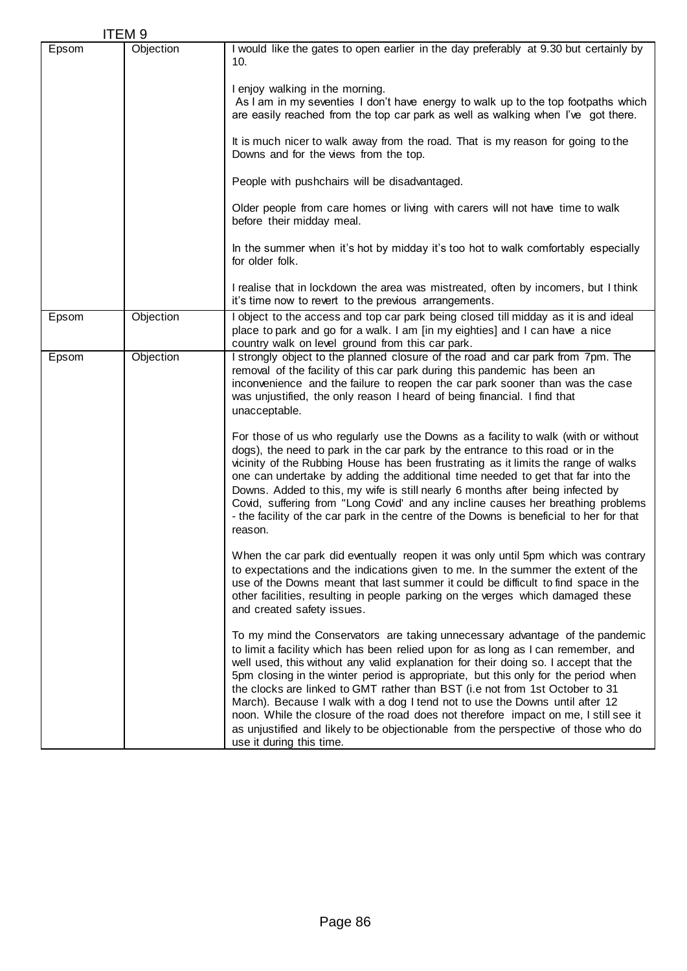|--|--|

|       | ITEM 9    |                                                                                                                                                                                                                                                                                                                                                                                                                                                                                                                                                                                                                                                                                                                         |
|-------|-----------|-------------------------------------------------------------------------------------------------------------------------------------------------------------------------------------------------------------------------------------------------------------------------------------------------------------------------------------------------------------------------------------------------------------------------------------------------------------------------------------------------------------------------------------------------------------------------------------------------------------------------------------------------------------------------------------------------------------------------|
| Epsom | Objection | I would like the gates to open earlier in the day preferably at 9.30 but certainly by<br>10.                                                                                                                                                                                                                                                                                                                                                                                                                                                                                                                                                                                                                            |
|       |           | I enjoy walking in the morning.<br>As I am in my seventies I don't have energy to walk up to the top footpaths which<br>are easily reached from the top car park as well as walking when I've got there.                                                                                                                                                                                                                                                                                                                                                                                                                                                                                                                |
|       |           | It is much nicer to walk away from the road. That is my reason for going to the<br>Downs and for the views from the top.                                                                                                                                                                                                                                                                                                                                                                                                                                                                                                                                                                                                |
|       |           | People with pushchairs will be disadvantaged.                                                                                                                                                                                                                                                                                                                                                                                                                                                                                                                                                                                                                                                                           |
|       |           | Older people from care homes or living with carers will not have time to walk<br>before their midday meal.                                                                                                                                                                                                                                                                                                                                                                                                                                                                                                                                                                                                              |
|       |           | In the summer when it's hot by midday it's too hot to walk comfortably especially<br>for older folk.                                                                                                                                                                                                                                                                                                                                                                                                                                                                                                                                                                                                                    |
|       |           | I realise that in lockdown the area was mistreated, often by incomers, but I think<br>it's time now to revert to the previous arrangements.                                                                                                                                                                                                                                                                                                                                                                                                                                                                                                                                                                             |
| Epsom | Objection | I object to the access and top car park being closed till midday as it is and ideal<br>place to park and go for a walk. I am [in my eighties] and I can have a nice<br>country walk on level ground from this car park.                                                                                                                                                                                                                                                                                                                                                                                                                                                                                                 |
| Epsom | Objection | I strongly object to the planned closure of the road and car park from 7pm. The<br>removal of the facility of this car park during this pandemic has been an<br>inconvenience and the failure to reopen the car park sooner than was the case<br>was unjustified, the only reason I heard of being financial. I find that<br>unacceptable.                                                                                                                                                                                                                                                                                                                                                                              |
|       |           | For those of us who regularly use the Downs as a facility to walk (with or without<br>dogs), the need to park in the car park by the entrance to this road or in the<br>vicinity of the Rubbing House has been frustrating as it limits the range of walks<br>one can undertake by adding the additional time needed to get that far into the<br>Downs. Added to this, my wife is still nearly 6 months after being infected by<br>Covid, suffering from "Long Covid' and any incline causes her breathing problems<br>- the facility of the car park in the centre of the Downs is beneficial to her for that<br>reason.                                                                                               |
|       |           | When the car park did eventually reopen it was only until 5pm which was contrary<br>to expectations and the indications given to me. In the summer the extent of the<br>use of the Downs meant that last summer it could be difficult to find space in the<br>other facilities, resulting in people parking on the verges which damaged these<br>and created safety issues.                                                                                                                                                                                                                                                                                                                                             |
|       |           | To my mind the Conservators are taking unnecessary advantage of the pandemic<br>to limit a facility which has been relied upon for as long as I can remember, and<br>well used, this without any valid explanation for their doing so. I accept that the<br>5pm closing in the winter period is appropriate, but this only for the period when<br>the clocks are linked to GMT rather than BST (i.e not from 1st October to 31<br>March). Because I walk with a dog I tend not to use the Downs until after 12<br>noon. While the closure of the road does not therefore impact on me, I still see it<br>as unjustified and likely to be objectionable from the perspective of those who do<br>use it during this time. |
|       |           |                                                                                                                                                                                                                                                                                                                                                                                                                                                                                                                                                                                                                                                                                                                         |
|       |           | Page 86                                                                                                                                                                                                                                                                                                                                                                                                                                                                                                                                                                                                                                                                                                                 |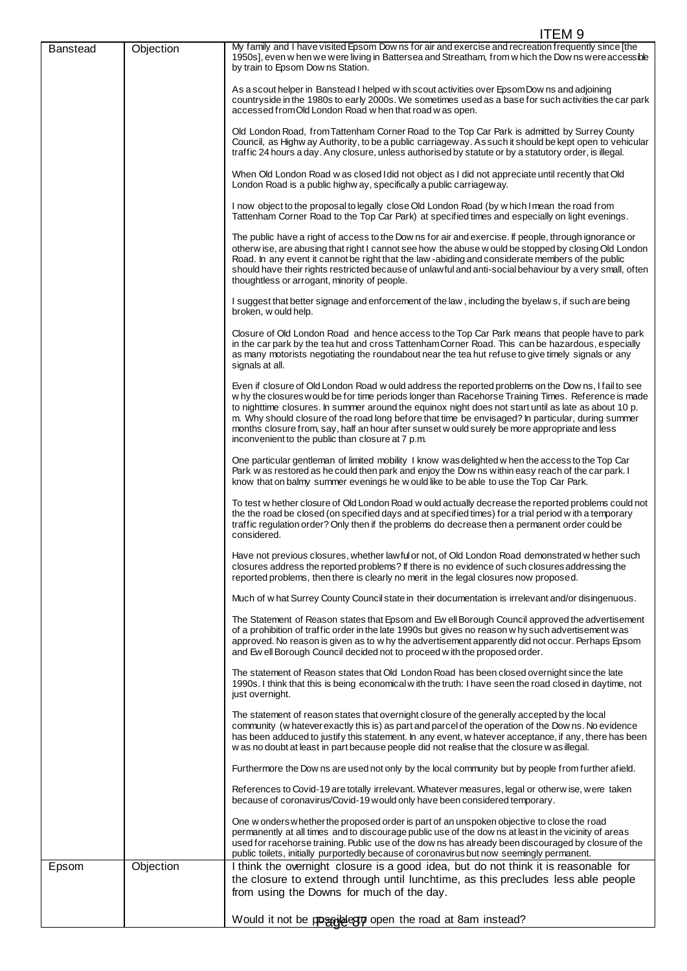|                 |           | ITEM 9                                                                                                                                                                                                                                                                                                                                                                                                                                                                                                                                                                           |
|-----------------|-----------|----------------------------------------------------------------------------------------------------------------------------------------------------------------------------------------------------------------------------------------------------------------------------------------------------------------------------------------------------------------------------------------------------------------------------------------------------------------------------------------------------------------------------------------------------------------------------------|
| <b>Banstead</b> | Objection | My family and I have visited Epsom Dow ns for air and exercise and recreation frequently since [the<br>1950s], even w hen we were living in Battersea and Streatham, from w hich the Downs were accessible<br>by train to Epsom Downs Station.                                                                                                                                                                                                                                                                                                                                   |
|                 |           | As a scout helper in Banstead I helped with scout activities over Epsom Downs and adjoining<br>countryside in the 1980s to early 2000s. We sometimes used as a base for such activities the car park<br>accessed from Old London Road w hen that road w as open.                                                                                                                                                                                                                                                                                                                 |
|                 |           | Old London Road, from Tattenham Corner Road to the Top Car Park is admitted by Surrey County<br>Council, as Highw ay Authority, to be a public carriageway. As such it should be kept open to vehicular<br>traffic 24 hours a day. Any closure, unless authorised by statute or by a statutory order, is illegal.                                                                                                                                                                                                                                                                |
|                 |           | When Old London Road w as closed I did not object as I did not appreciate until recently that Old<br>London Road is a public highw ay, specifically a public carriageway.                                                                                                                                                                                                                                                                                                                                                                                                        |
|                 |           | I now object to the proposal to legally close Old London Road (by w hich I mean the road from<br>Tattenham Corner Road to the Top Car Park) at specified times and especially on light evenings.                                                                                                                                                                                                                                                                                                                                                                                 |
|                 |           | The public have a right of access to the Dow ns for air and exercise. If people, through ignorance or<br>otherw ise, are abusing that right I cannot see how the abuse w ould be stopped by closing Old London<br>Road. In any event it cannot be right that the law -abiding and considerate members of the public<br>should have their rights restricted because of unlawful and anti-social behaviour by a very small, often<br>thoughtless or arrogant, minority of people.                                                                                                  |
|                 |           | I suggest that better signage and enforcement of the law, including the byelaws, if such are being<br>broken, w ould help.                                                                                                                                                                                                                                                                                                                                                                                                                                                       |
|                 |           | Closure of Old London Road and hence access to the Top Car Park means that people have to park<br>in the car park by the tea hut and cross Tattenham Corner Road. This can be hazardous, especially<br>as many motorists negotiating the roundabout near the tea hut refuse to give timely signals or any<br>signals at all.                                                                                                                                                                                                                                                     |
|                 |           | Even if closure of Old London Road w ould address the reported problems on the Downs, I fail to see<br>w hy the closures would be for time periods longer than Racehorse Training Times. Reference is made<br>to nighttime closures. In summer around the equinox night does not start until as late as about 10 p.<br>m. Why should closure of the road long before that time be envisaged? In particular, during summer<br>months closure from, say, half an hour after sunset w ould surely be more appropriate and less<br>inconvenient to the public than closure at 7 p.m. |
|                 |           | One particular gentleman of limited mobility I know was delighted w hen the access to the Top Car<br>Park w as restored as he could then park and enjoy the Dow ns within easy reach of the car park. I<br>know that on balmy summer evenings he w ould like to be able to use the Top Car Park.                                                                                                                                                                                                                                                                                 |
|                 |           | To test w hether closure of Old London Road w ould actually decrease the reported problems could not<br>the the road be closed (on specified days and at specified times) for a trial period with a temporary<br>traffic regulation order? Only then if the problems do decrease then a permanent order could be<br>considered.                                                                                                                                                                                                                                                  |
|                 |           | Have not previous closures, whether lawful or not, of Old London Road demonstrated w hether such<br>closures address the reported problems? If there is no evidence of such closures addressing the<br>reported problems, then there is clearly no merit in the legal closures now proposed.                                                                                                                                                                                                                                                                                     |
|                 |           | Much of w hat Surrey County Council state in their documentation is irrelevant and/or disingenuous.                                                                                                                                                                                                                                                                                                                                                                                                                                                                              |
|                 |           | The Statement of Reason states that Epsom and Ew ell Borough Council approved the advertisement<br>of a prohibition of traffic order in the late 1990s but gives no reason w hy such advertisement was<br>approved. No reason is given as to w hy the advertisement apparently did not occur. Perhaps Epsom<br>and Ew ell Borough Council decided not to proceed w ith the proposed order.                                                                                                                                                                                       |
|                 |           | The statement of Reason states that Old London Road has been closed overnight since the late<br>1990s. I think that this is being economical with the truth: I have seen the road closed in daytime, not<br>just overnight.                                                                                                                                                                                                                                                                                                                                                      |
|                 |           | The statement of reason states that overnight closure of the generally accepted by the local<br>community (w hatever exactly this is) as part and parcel of the operation of the Downs. No evidence<br>has been adduced to justify this statement. In any event, w hatever acceptance, if any, there has been<br>w as no doubt at least in part because people did not realise that the closure w as illegal.                                                                                                                                                                    |
|                 |           | Furthermore the Dow ns are used not only by the local community but by people from further afield.                                                                                                                                                                                                                                                                                                                                                                                                                                                                               |
|                 |           | References to Covid-19 are totally irrelevant. Whatever measures, legal or otherwise, were taken<br>because of coronavirus/Covid-19 would only have been considered temporary.                                                                                                                                                                                                                                                                                                                                                                                                   |
|                 |           | One w onders whether the proposed order is part of an unspoken objective to close the road<br>permanently at all times and to discourage public use of the downs at least in the vicinity of areas<br>used for racehorse training. Public use of the dow ns has already been discouraged by closure of the<br>public toilets, initially purportedly because of coronavirus but now seemingly permanent.                                                                                                                                                                          |
| Epsom           | Objection | I think the overnight closure is a good idea, but do not think it is reasonable for<br>the closure to extend through until lunchtime, as this precludes less able people<br>from using the Downs for much of the day.                                                                                                                                                                                                                                                                                                                                                            |
|                 |           | Would it not be posside and open the road at 8am instead?                                                                                                                                                                                                                                                                                                                                                                                                                                                                                                                        |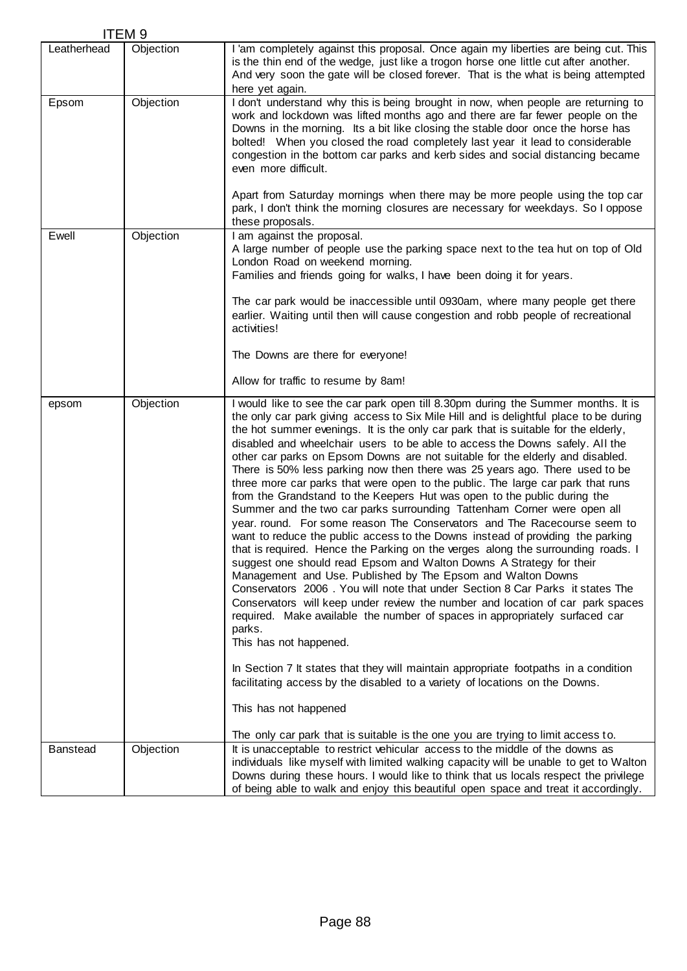|                 | ITEM 9    |                                                                                                                                                                                                                                                                                                                                                                                                                                                                                                                                                                                                                                                                                                                                                                                                                                                                                                                                                                                                                                                                                                                                                                                                                                                                                                                                                                                                                                                                                                                                                                                                                                                                                                                             |
|-----------------|-----------|-----------------------------------------------------------------------------------------------------------------------------------------------------------------------------------------------------------------------------------------------------------------------------------------------------------------------------------------------------------------------------------------------------------------------------------------------------------------------------------------------------------------------------------------------------------------------------------------------------------------------------------------------------------------------------------------------------------------------------------------------------------------------------------------------------------------------------------------------------------------------------------------------------------------------------------------------------------------------------------------------------------------------------------------------------------------------------------------------------------------------------------------------------------------------------------------------------------------------------------------------------------------------------------------------------------------------------------------------------------------------------------------------------------------------------------------------------------------------------------------------------------------------------------------------------------------------------------------------------------------------------------------------------------------------------------------------------------------------------|
| Leatherhead     | Objection | I 'am completely against this proposal. Once again my liberties are being cut. This<br>is the thin end of the wedge, just like a trogon horse one little cut after another.<br>And very soon the gate will be closed forever. That is the what is being attempted<br>here yet again.                                                                                                                                                                                                                                                                                                                                                                                                                                                                                                                                                                                                                                                                                                                                                                                                                                                                                                                                                                                                                                                                                                                                                                                                                                                                                                                                                                                                                                        |
| Epsom           | Objection | I don't understand why this is being brought in now, when people are returning to<br>work and lockdown was lifted months ago and there are far fewer people on the<br>Downs in the morning. Its a bit like closing the stable door once the horse has<br>bolted! When you closed the road completely last year it lead to considerable<br>congestion in the bottom car parks and kerb sides and social distancing became<br>even more difficult.<br>Apart from Saturday mornings when there may be more people using the top car                                                                                                                                                                                                                                                                                                                                                                                                                                                                                                                                                                                                                                                                                                                                                                                                                                                                                                                                                                                                                                                                                                                                                                                            |
|                 |           | park, I don't think the morning closures are necessary for weekdays. So I oppose<br>these proposals.                                                                                                                                                                                                                                                                                                                                                                                                                                                                                                                                                                                                                                                                                                                                                                                                                                                                                                                                                                                                                                                                                                                                                                                                                                                                                                                                                                                                                                                                                                                                                                                                                        |
| Ewell           | Objection | I am against the proposal.<br>A large number of people use the parking space next to the tea hut on top of Old<br>London Road on weekend morning.<br>Families and friends going for walks, I have been doing it for years.                                                                                                                                                                                                                                                                                                                                                                                                                                                                                                                                                                                                                                                                                                                                                                                                                                                                                                                                                                                                                                                                                                                                                                                                                                                                                                                                                                                                                                                                                                  |
|                 |           | The car park would be inaccessible until 0930am, where many people get there<br>earlier. Waiting until then will cause congestion and robb people of recreational<br>activities!                                                                                                                                                                                                                                                                                                                                                                                                                                                                                                                                                                                                                                                                                                                                                                                                                                                                                                                                                                                                                                                                                                                                                                                                                                                                                                                                                                                                                                                                                                                                            |
|                 |           | The Downs are there for everyone!                                                                                                                                                                                                                                                                                                                                                                                                                                                                                                                                                                                                                                                                                                                                                                                                                                                                                                                                                                                                                                                                                                                                                                                                                                                                                                                                                                                                                                                                                                                                                                                                                                                                                           |
|                 |           | Allow for traffic to resume by 8am!                                                                                                                                                                                                                                                                                                                                                                                                                                                                                                                                                                                                                                                                                                                                                                                                                                                                                                                                                                                                                                                                                                                                                                                                                                                                                                                                                                                                                                                                                                                                                                                                                                                                                         |
| epsom           | Objection | I would like to see the car park open till 8.30pm during the Summer months. It is<br>the only car park giving access to Six Mile Hill and is delightful place to be during<br>the hot summer evenings. It is the only car park that is suitable for the elderly,<br>disabled and wheelchair users to be able to access the Downs safely. All the<br>other car parks on Epsom Downs are not suitable for the elderly and disabled.<br>There is 50% less parking now then there was 25 years ago. There used to be<br>three more car parks that were open to the public. The large car park that runs<br>from the Grandstand to the Keepers Hut was open to the public during the<br>Summer and the two car parks surrounding Tattenham Corner were open all<br>year. round. For some reason The Conservators and The Racecourse seem to<br>want to reduce the public access to the Downs instead of providing the parking<br>that is required. Hence the Parking on the verges along the surrounding roads. I<br>suggest one should read Epsom and Walton Downs A Strategy for their<br>Management and Use. Published by The Epsom and Walton Downs<br>Conservators 2006. You will note that under Section 8 Car Parks it states The<br>Conservators will keep under review the number and location of car park spaces<br>required. Make available the number of spaces in appropriately surfaced car<br>parks.<br>This has not happened.<br>In Section 7 It states that they will maintain appropriate footpaths in a condition<br>facilitating access by the disabled to a variety of locations on the Downs.<br>This has not happened<br>The only car park that is suitable is the one you are trying to limit access to. |
| <b>Banstead</b> | Objection | It is unacceptable to restrict vehicular access to the middle of the downs as<br>individuals like myself with limited walking capacity will be unable to get to Walton<br>Downs during these hours. I would like to think that us locals respect the privilege<br>of being able to walk and enjoy this beautiful open space and treat it accordingly.                                                                                                                                                                                                                                                                                                                                                                                                                                                                                                                                                                                                                                                                                                                                                                                                                                                                                                                                                                                                                                                                                                                                                                                                                                                                                                                                                                       |
|                 |           |                                                                                                                                                                                                                                                                                                                                                                                                                                                                                                                                                                                                                                                                                                                                                                                                                                                                                                                                                                                                                                                                                                                                                                                                                                                                                                                                                                                                                                                                                                                                                                                                                                                                                                                             |
|                 |           | Page 88                                                                                                                                                                                                                                                                                                                                                                                                                                                                                                                                                                                                                                                                                                                                                                                                                                                                                                                                                                                                                                                                                                                                                                                                                                                                                                                                                                                                                                                                                                                                                                                                                                                                                                                     |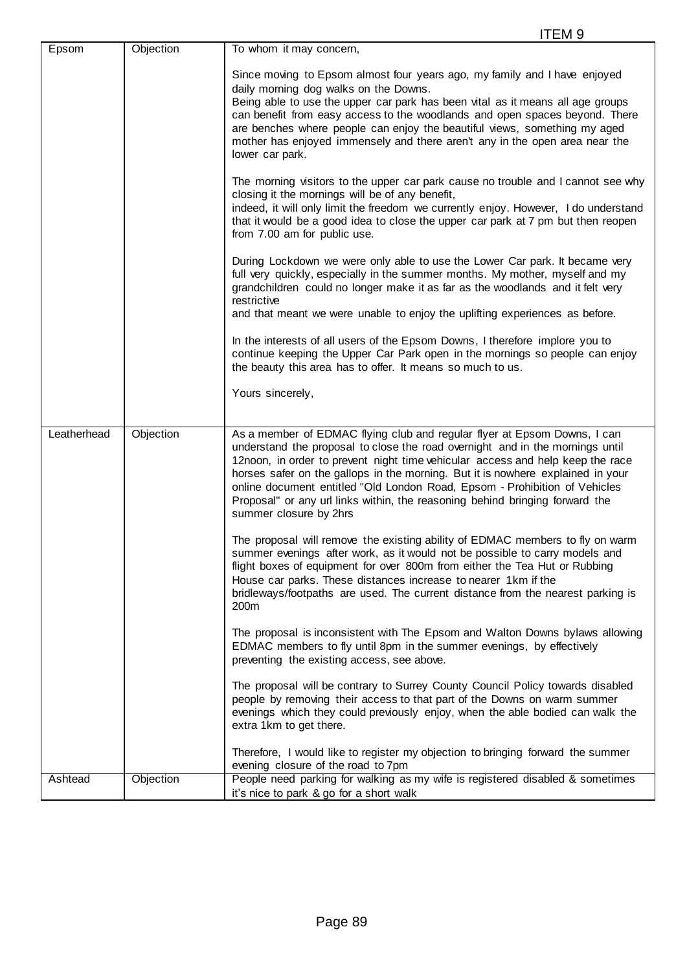|             |           | ITEM <sub>9</sub>                                                                                                                                                                                                                                                                                                                                                                                                                                                                                                                                                                                                                                                                      |
|-------------|-----------|----------------------------------------------------------------------------------------------------------------------------------------------------------------------------------------------------------------------------------------------------------------------------------------------------------------------------------------------------------------------------------------------------------------------------------------------------------------------------------------------------------------------------------------------------------------------------------------------------------------------------------------------------------------------------------------|
| Epsom       | Objection | To whom it may concern,                                                                                                                                                                                                                                                                                                                                                                                                                                                                                                                                                                                                                                                                |
|             |           | Since moving to Epsom almost four years ago, my family and I have enjoyed<br>daily morning dog walks on the Downs.<br>Being able to use the upper car park has been vital as it means all age groups<br>can benefit from easy access to the woodlands and open spaces beyond. There<br>are benches where people can enjoy the beautiful views, something my aged<br>mother has enjoyed immensely and there aren't any in the open area near the<br>lower car park.                                                                                                                                                                                                                     |
|             |           | The morning visitors to the upper car park cause no trouble and I cannot see why<br>closing it the mornings will be of any benefit,<br>indeed, it will only limit the freedom we currently enjoy. However, I do understand<br>that it would be a good idea to close the upper car park at 7 pm but then reopen<br>from 7.00 am for public use.                                                                                                                                                                                                                                                                                                                                         |
|             |           | During Lockdown we were only able to use the Lower Car park. It became very<br>full very quickly, especially in the summer months. My mother, myself and my<br>grandchildren could no longer make it as far as the woodlands and it felt very<br>restrictive<br>and that meant we were unable to enjoy the uplifting experiences as before.                                                                                                                                                                                                                                                                                                                                            |
|             |           | In the interests of all users of the Epsom Downs, I therefore implore you to<br>continue keeping the Upper Car Park open in the mornings so people can enjoy<br>the beauty this area has to offer. It means so much to us.                                                                                                                                                                                                                                                                                                                                                                                                                                                             |
|             |           | Yours sincerely,                                                                                                                                                                                                                                                                                                                                                                                                                                                                                                                                                                                                                                                                       |
| Leatherhead | Objection | As a member of EDMAC flying club and regular flyer at Epsom Downs, I can<br>understand the proposal to close the road overnight and in the mornings until<br>12noon, in order to prevent night time vehicular access and help keep the race<br>horses safer on the gallops in the morning. But it is nowhere explained in your<br>online document entitled "Old London Road, Epsom - Prohibition of Vehicles<br>Proposal" or any url links within, the reasoning behind bringing forward the<br>summer closure by 2hrs<br>The proposal will remove the existing ability of EDMAC members to fly on warm<br>summer evenings after work, as it would not be possible to carry models and |
|             |           | flight boxes of equipment for over 800m from either the Tea Hut or Rubbing<br>House car parks. These distances increase to nearer 1km if the<br>bridleways/footpaths are used. The current distance from the nearest parking is<br>200m                                                                                                                                                                                                                                                                                                                                                                                                                                                |
|             |           | The proposal is inconsistent with The Epsom and Walton Downs bylaws allowing<br>EDMAC members to fly until 8pm in the summer evenings, by effectively<br>preventing the existing access, see above.                                                                                                                                                                                                                                                                                                                                                                                                                                                                                    |
|             |           | The proposal will be contrary to Surrey County Council Policy towards disabled<br>people by removing their access to that part of the Downs on warm summer<br>evenings which they could previously enjoy, when the able bodied can walk the<br>extra 1km to get there.                                                                                                                                                                                                                                                                                                                                                                                                                 |
|             |           | Therefore, I would like to register my objection to bringing forward the summer<br>evening closure of the road to 7pm                                                                                                                                                                                                                                                                                                                                                                                                                                                                                                                                                                  |
| Ashtead     | Objection | People need parking for walking as my wife is registered disabled & sometimes<br>it's nice to park & go for a short walk                                                                                                                                                                                                                                                                                                                                                                                                                                                                                                                                                               |
|             |           |                                                                                                                                                                                                                                                                                                                                                                                                                                                                                                                                                                                                                                                                                        |
|             |           | Page 89                                                                                                                                                                                                                                                                                                                                                                                                                                                                                                                                                                                                                                                                                |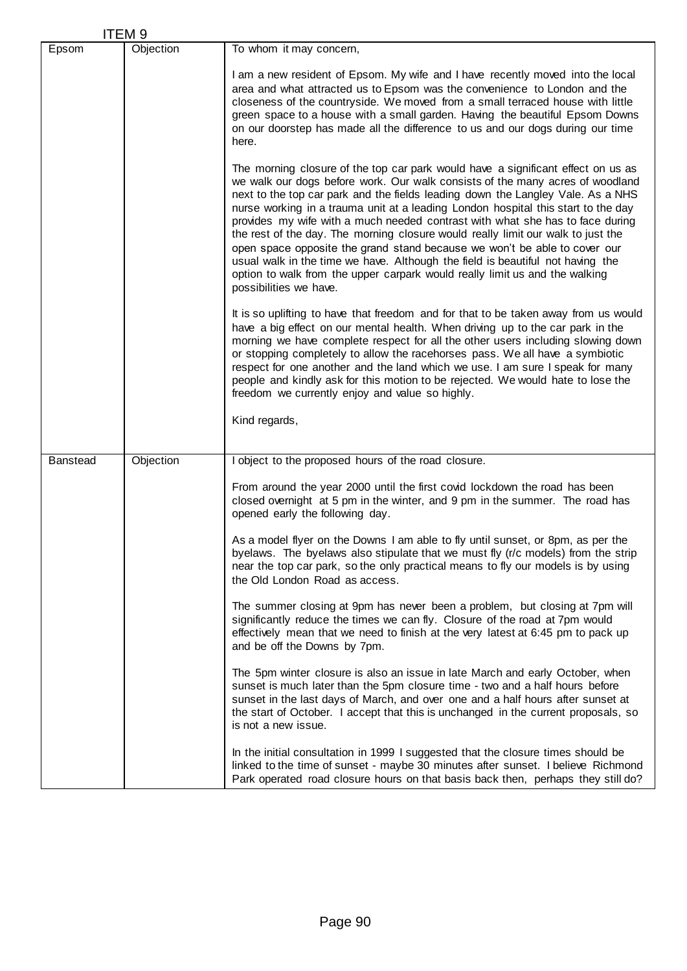|                 | ITEM <sub>9</sub> |                                                                                                                                                                                                                                                                                                                                                                                                                                                                                                                                                                                                                                                                                                                                                                                        |
|-----------------|-------------------|----------------------------------------------------------------------------------------------------------------------------------------------------------------------------------------------------------------------------------------------------------------------------------------------------------------------------------------------------------------------------------------------------------------------------------------------------------------------------------------------------------------------------------------------------------------------------------------------------------------------------------------------------------------------------------------------------------------------------------------------------------------------------------------|
| Epsom           | Objection         | To whom it may concern,                                                                                                                                                                                                                                                                                                                                                                                                                                                                                                                                                                                                                                                                                                                                                                |
|                 |                   | I am a new resident of Epsom. My wife and I have recently moved into the local<br>area and what attracted us to Epsom was the convenience to London and the<br>closeness of the countryside. We moved from a small terraced house with little<br>green space to a house with a small garden. Having the beautiful Epsom Downs<br>on our doorstep has made all the difference to us and our dogs during our time<br>here.                                                                                                                                                                                                                                                                                                                                                               |
|                 |                   | The morning closure of the top car park would have a significant effect on us as<br>we walk our dogs before work. Our walk consists of the many acres of woodland<br>next to the top car park and the fields leading down the Langley Vale. As a NHS<br>nurse working in a trauma unit at a leading London hospital this start to the day<br>provides my wife with a much needed contrast with what she has to face during<br>the rest of the day. The morning closure would really limit our walk to just the<br>open space opposite the grand stand because we won't be able to cover our<br>usual walk in the time we have. Although the field is beautiful not having the<br>option to walk from the upper carpark would really limit us and the walking<br>possibilities we have. |
|                 |                   | It is so uplifting to have that freedom and for that to be taken away from us would<br>have a big effect on our mental health. When driving up to the car park in the<br>morning we have complete respect for all the other users including slowing down<br>or stopping completely to allow the racehorses pass. We all have a symbiotic<br>respect for one another and the land which we use. I am sure I speak for many<br>people and kindly ask for this motion to be rejected. We would hate to lose the<br>freedom we currently enjoy and value so highly.                                                                                                                                                                                                                        |
|                 |                   | Kind regards,                                                                                                                                                                                                                                                                                                                                                                                                                                                                                                                                                                                                                                                                                                                                                                          |
| <b>Banstead</b> | Objection         | I object to the proposed hours of the road closure.                                                                                                                                                                                                                                                                                                                                                                                                                                                                                                                                                                                                                                                                                                                                    |
|                 |                   | From around the year 2000 until the first covid lockdown the road has been<br>closed overnight at 5 pm in the winter, and 9 pm in the summer. The road has<br>opened early the following day.                                                                                                                                                                                                                                                                                                                                                                                                                                                                                                                                                                                          |
|                 |                   | As a model flyer on the Downs I am able to fly until sunset, or 8pm, as per the<br>byelaws. The byelaws also stipulate that we must fly (r/c models) from the strip<br>near the top car park, so the only practical means to fly our models is by using<br>the Old London Road as access.                                                                                                                                                                                                                                                                                                                                                                                                                                                                                              |
|                 |                   | The summer closing at 9pm has never been a problem, but closing at 7pm will<br>significantly reduce the times we can fly. Closure of the road at 7pm would<br>effectively mean that we need to finish at the very latest at 6:45 pm to pack up<br>and be off the Downs by 7pm.                                                                                                                                                                                                                                                                                                                                                                                                                                                                                                         |
|                 |                   | The 5pm winter closure is also an issue in late March and early October, when<br>sunset is much later than the 5pm closure time - two and a half hours before<br>sunset in the last days of March, and over one and a half hours after sunset at<br>the start of October. I accept that this is unchanged in the current proposals, so<br>is not a new issue.                                                                                                                                                                                                                                                                                                                                                                                                                          |
|                 |                   | In the initial consultation in 1999 I suggested that the closure times should be<br>linked to the time of sunset - maybe 30 minutes after sunset. I believe Richmond<br>Park operated road closure hours on that basis back then, perhaps they still do?                                                                                                                                                                                                                                                                                                                                                                                                                                                                                                                               |
|                 |                   |                                                                                                                                                                                                                                                                                                                                                                                                                                                                                                                                                                                                                                                                                                                                                                                        |
|                 |                   |                                                                                                                                                                                                                                                                                                                                                                                                                                                                                                                                                                                                                                                                                                                                                                                        |
|                 |                   | Page 90                                                                                                                                                                                                                                                                                                                                                                                                                                                                                                                                                                                                                                                                                                                                                                                |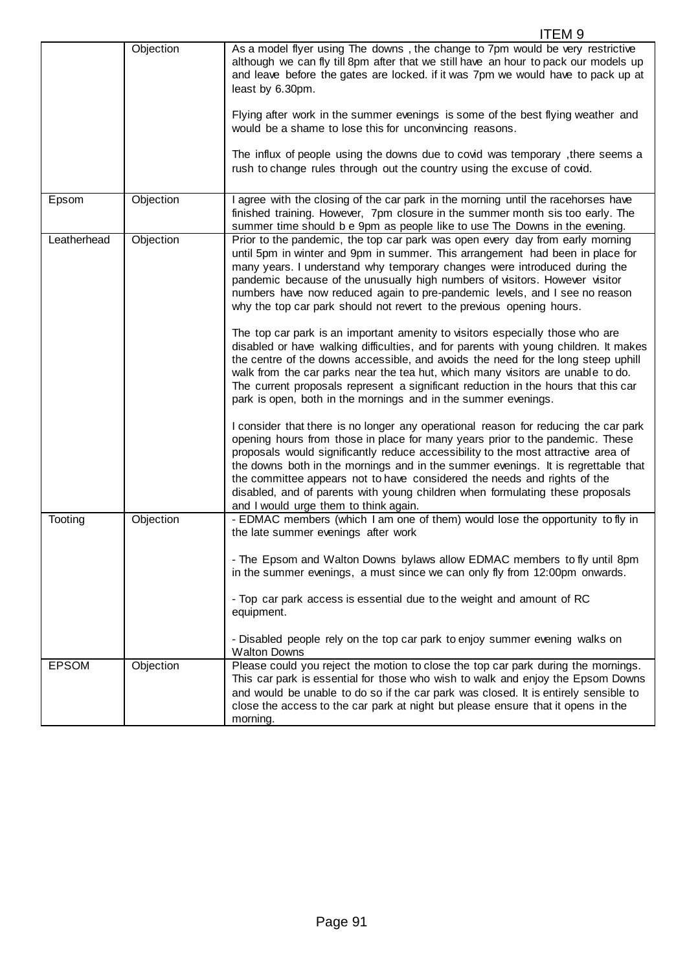|              |           | ITEM 9                                                                                                                                                                                                                                                                                                                                                                                                                                                                                                                                                                                                                                                     |
|--------------|-----------|------------------------------------------------------------------------------------------------------------------------------------------------------------------------------------------------------------------------------------------------------------------------------------------------------------------------------------------------------------------------------------------------------------------------------------------------------------------------------------------------------------------------------------------------------------------------------------------------------------------------------------------------------------|
|              | Objection | As a model flyer using The downs, the change to 7pm would be very restrictive<br>although we can fly till 8pm after that we still have an hour to pack our models up<br>and leave before the gates are locked. if it was 7pm we would have to pack up at<br>least by 6.30pm.                                                                                                                                                                                                                                                                                                                                                                               |
|              |           | Flying after work in the summer evenings is some of the best flying weather and<br>would be a shame to lose this for unconvincing reasons.                                                                                                                                                                                                                                                                                                                                                                                                                                                                                                                 |
|              |           | The influx of people using the downs due to covid was temporary, there seems a<br>rush to change rules through out the country using the excuse of covid.                                                                                                                                                                                                                                                                                                                                                                                                                                                                                                  |
| Epsom        | Objection | I agree with the closing of the car park in the morning until the racehorses have<br>finished training. However, 7pm closure in the summer month sis too early. The<br>summer time should b e 9pm as people like to use The Downs in the evening.                                                                                                                                                                                                                                                                                                                                                                                                          |
| Leatherhead  | Objection | Prior to the pandemic, the top car park was open every day from early morning<br>until 5pm in winter and 9pm in summer. This arrangement had been in place for<br>many years. I understand why temporary changes were introduced during the<br>pandemic because of the unusually high numbers of visitors. However visitor<br>numbers have now reduced again to pre-pandemic levels, and I see no reason<br>why the top car park should not revert to the previous opening hours.<br>The top car park is an important amenity to visitors especially those who are<br>disabled or have walking difficulties, and for parents with young children. It makes |
|              |           | the centre of the downs accessible, and avoids the need for the long steep uphill<br>walk from the car parks near the tea hut, which many visitors are unable to do.<br>The current proposals represent a significant reduction in the hours that this car<br>park is open, both in the mornings and in the summer evenings.                                                                                                                                                                                                                                                                                                                               |
|              |           | I consider that there is no longer any operational reason for reducing the car park<br>opening hours from those in place for many years prior to the pandemic. These<br>proposals would significantly reduce accessibility to the most attractive area of<br>the downs both in the mornings and in the summer evenings. It is regrettable that<br>the committee appears not to have considered the needs and rights of the<br>disabled, and of parents with young children when formulating these proposals<br>and I would urge them to think again.                                                                                                       |
| Tooting      | Objection | - EDMAC members (which I am one of them) would lose the opportunity to fly in<br>the late summer evenings after work                                                                                                                                                                                                                                                                                                                                                                                                                                                                                                                                       |
|              |           | - The Epsom and Walton Downs bylaws allow EDMAC members to fly until 8pm<br>in the summer evenings, a must since we can only fly from 12:00pm onwards.                                                                                                                                                                                                                                                                                                                                                                                                                                                                                                     |
|              |           | - Top car park access is essential due to the weight and amount of RC<br>equipment.                                                                                                                                                                                                                                                                                                                                                                                                                                                                                                                                                                        |
|              |           | - Disabled people rely on the top car park to enjoy summer evening walks on<br><b>Walton Downs</b>                                                                                                                                                                                                                                                                                                                                                                                                                                                                                                                                                         |
| <b>EPSOM</b> | Objection | Please could you reject the motion to close the top car park during the mornings.<br>This car park is essential for those who wish to walk and enjoy the Epsom Downs<br>and would be unable to do so if the car park was closed. It is entirely sensible to<br>close the access to the car park at night but please ensure that it opens in the<br>morning.                                                                                                                                                                                                                                                                                                |
|              |           |                                                                                                                                                                                                                                                                                                                                                                                                                                                                                                                                                                                                                                                            |
|              |           |                                                                                                                                                                                                                                                                                                                                                                                                                                                                                                                                                                                                                                                            |
|              |           |                                                                                                                                                                                                                                                                                                                                                                                                                                                                                                                                                                                                                                                            |
|              |           |                                                                                                                                                                                                                                                                                                                                                                                                                                                                                                                                                                                                                                                            |
|              |           |                                                                                                                                                                                                                                                                                                                                                                                                                                                                                                                                                                                                                                                            |
|              |           | Page 91                                                                                                                                                                                                                                                                                                                                                                                                                                                                                                                                                                                                                                                    |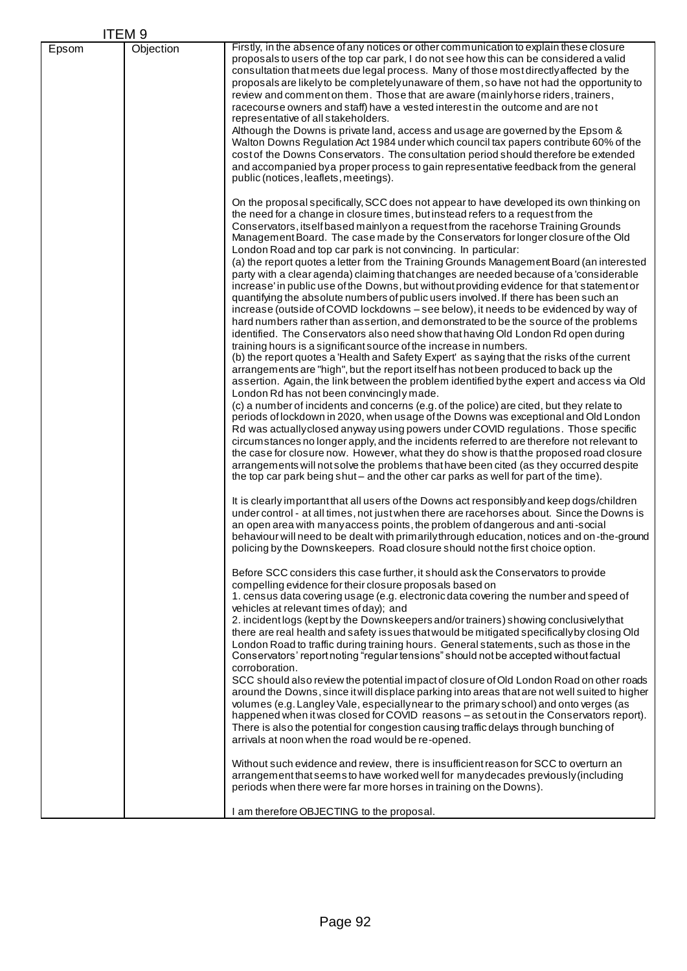|       | <b>ITEM9</b> |                                                                                                                                                                                                                                                                                                                                                                                                                                                                                                                                                                                                                                                                                                                                                                                                                                                                                                                                                                                                                                                                                                                                                                                                                                                                                                                                                                                                                                                                                                                                                                                                                                                                                                                                                                                                                                                                                                                                                                                                                                                                                                                                                                                                                                                                                                                                                                                                                                                                                                                                                                                                                                                                                                                                                                                                                                                                                                                                                                                                                                                                                                                                                                                                                                                                                                                                                                                                                                                                                                                                                                                                                                                                                                                                                                                                                                                                                                                                                                                                                                                                                                                                                                                                                                                                                                                                                                                                                                                                                                                                                                                                                                                                                                                                                                                                                                                                                                                                                                                                                                                                                                                      |
|-------|--------------|----------------------------------------------------------------------------------------------------------------------------------------------------------------------------------------------------------------------------------------------------------------------------------------------------------------------------------------------------------------------------------------------------------------------------------------------------------------------------------------------------------------------------------------------------------------------------------------------------------------------------------------------------------------------------------------------------------------------------------------------------------------------------------------------------------------------------------------------------------------------------------------------------------------------------------------------------------------------------------------------------------------------------------------------------------------------------------------------------------------------------------------------------------------------------------------------------------------------------------------------------------------------------------------------------------------------------------------------------------------------------------------------------------------------------------------------------------------------------------------------------------------------------------------------------------------------------------------------------------------------------------------------------------------------------------------------------------------------------------------------------------------------------------------------------------------------------------------------------------------------------------------------------------------------------------------------------------------------------------------------------------------------------------------------------------------------------------------------------------------------------------------------------------------------------------------------------------------------------------------------------------------------------------------------------------------------------------------------------------------------------------------------------------------------------------------------------------------------------------------------------------------------------------------------------------------------------------------------------------------------------------------------------------------------------------------------------------------------------------------------------------------------------------------------------------------------------------------------------------------------------------------------------------------------------------------------------------------------------------------------------------------------------------------------------------------------------------------------------------------------------------------------------------------------------------------------------------------------------------------------------------------------------------------------------------------------------------------------------------------------------------------------------------------------------------------------------------------------------------------------------------------------------------------------------------------------------------------------------------------------------------------------------------------------------------------------------------------------------------------------------------------------------------------------------------------------------------------------------------------------------------------------------------------------------------------------------------------------------------------------------------------------------------------------------------------------------------------------------------------------------------------------------------------------------------------------------------------------------------------------------------------------------------------------------------------------------------------------------------------------------------------------------------------------------------------------------------------------------------------------------------------------------------------------------------------------------------------------------------------------------------------------------------------------------------------------------------------------------------------------------------------------------------------------------------------------------------------------------------------------------------------------------------------------------------------------------------------------------------------------------------------------------------------------------------------------------------------------------------------------|
| Epsom | Objection    | Firstly, in the absence of any notices or other communication to explain these closure<br>proposals to users of the top car park, I do not see how this can be considered a valid<br>consultation that meets due legal process. Many of those most directly affected by the<br>proposals are likely to be completely unaware of them, so have not had the opportunity to<br>review and comment on them. Those that are aware (mainly horse riders, trainers,<br>racecourse owners and staff) have a vested interest in the outcome and are not<br>representative of all stakeholders.<br>Although the Downs is private land, access and usage are governed by the Epsom &<br>Walton Downs Regulation Act 1984 under which council tax papers contribute 60% of the<br>cost of the Downs Conservators. The consultation period should therefore be extended<br>and accompanied by a proper process to gain representative feedback from the general<br>public (notices, leaflets, meetings).<br>On the proposal specifically, SCC does not appear to have developed its own thinking on<br>the need for a change in closure times, but instead refers to a request from the<br>Conservators, itself based mainly on a request from the racehorse Training Grounds<br>Management Board. The case made by the Conservators for longer closure of the Old<br>London Road and top car park is not convincing. In particular:<br>(a) the report quotes a letter from the Training Grounds Management Board (an interested<br>party with a clear agenda) claiming that changes are needed because of a 'considerable<br>increase' in public use of the Downs, but without providing evidence for that statement or<br>quantifying the absolute numbers of public users involved. If there has been such an<br>increase (outside of COVID lockdowns - see below), it needs to be evidenced by way of<br>hard numbers rather than assertion, and demonstrated to be the source of the problems<br>identified. The Conservators also need show that having Old London Rd open during<br>training hours is a significant source of the increase in numbers.<br>(b) the report quotes a 'Health and Safety Expert' as saying that the risks of the current<br>arrangements are "high", but the report itself has not been produced to back up the<br>assertion. Again, the link between the problem identified by the expert and access via Old<br>London Rd has not been convincingly made.<br>(c) a number of incidents and concerns (e.g. of the police) are cited, but they relate to<br>periods of lockdown in 2020, when usage of the Downs was exceptional and Old London<br>Rd was actually closed anyway using powers under COVID regulations. Those specific<br>circumstances no longer apply, and the incidents referred to are therefore not relevant to<br>the case for closure now. However, what they do show is that the proposed road closure<br>arrangements will not solve the problems that have been cited (as they occurred despite<br>the top car park being shut – and the other car parks as well for part of the time).<br>It is clearly important that all users of the Downs act responsibly and keep dogs/children<br>under control - at all times, not just when there are racehorses about. Since the Downs is<br>an open area with manyaccess points, the problem of dangerous and anti-social<br>behaviour will need to be dealt with primarily through education, notices and on-the-ground<br>policing by the Downskeepers. Road closure should not the first choice option.<br>Before SCC considers this case further, it should ask the Conservators to provide<br>compelling evidence for their closure proposals based on<br>1. census data covering usage (e.g. electronic data covering the number and speed of<br>vehicles at relevant times of day); and<br>2. incidentlogs (keptby the Downskeepers and/or trainers) showing conclusively that<br>there are real health and safety issues that would be mitigated specifically by closing Old<br>London Road to traffic during training hours. General statements, such as those in the<br>Conservators' report noting "regular tensions" should not be accepted without factual<br>corroboration.<br>SCC should also review the potential impact of closure of Old London Road on other roads<br>around the Downs, since it will displace parking into areas that are not well suited to higher<br>volumes (e.g. Langley Vale, especiallynear to the primary school) and onto verges (as<br>happened when it was closed for COVID reasons - as set out in the Conservators report).<br>There is also the potential for congestion causing traffic delays through bunching of<br>arrivals at noon when the road would be re-opened.<br>Without such evidence and review, there is insufficient reason for SCC to overturn an<br>arrangement that seems to have worked well for many decades previously (including<br>periods when there were far more horses in training on the Downs).<br>I am therefore OBJECTING to the proposal. |
|       |              |                                                                                                                                                                                                                                                                                                                                                                                                                                                                                                                                                                                                                                                                                                                                                                                                                                                                                                                                                                                                                                                                                                                                                                                                                                                                                                                                                                                                                                                                                                                                                                                                                                                                                                                                                                                                                                                                                                                                                                                                                                                                                                                                                                                                                                                                                                                                                                                                                                                                                                                                                                                                                                                                                                                                                                                                                                                                                                                                                                                                                                                                                                                                                                                                                                                                                                                                                                                                                                                                                                                                                                                                                                                                                                                                                                                                                                                                                                                                                                                                                                                                                                                                                                                                                                                                                                                                                                                                                                                                                                                                                                                                                                                                                                                                                                                                                                                                                                                                                                                                                                                                                                                      |
|       |              | Page 92                                                                                                                                                                                                                                                                                                                                                                                                                                                                                                                                                                                                                                                                                                                                                                                                                                                                                                                                                                                                                                                                                                                                                                                                                                                                                                                                                                                                                                                                                                                                                                                                                                                                                                                                                                                                                                                                                                                                                                                                                                                                                                                                                                                                                                                                                                                                                                                                                                                                                                                                                                                                                                                                                                                                                                                                                                                                                                                                                                                                                                                                                                                                                                                                                                                                                                                                                                                                                                                                                                                                                                                                                                                                                                                                                                                                                                                                                                                                                                                                                                                                                                                                                                                                                                                                                                                                                                                                                                                                                                                                                                                                                                                                                                                                                                                                                                                                                                                                                                                                                                                                                                              |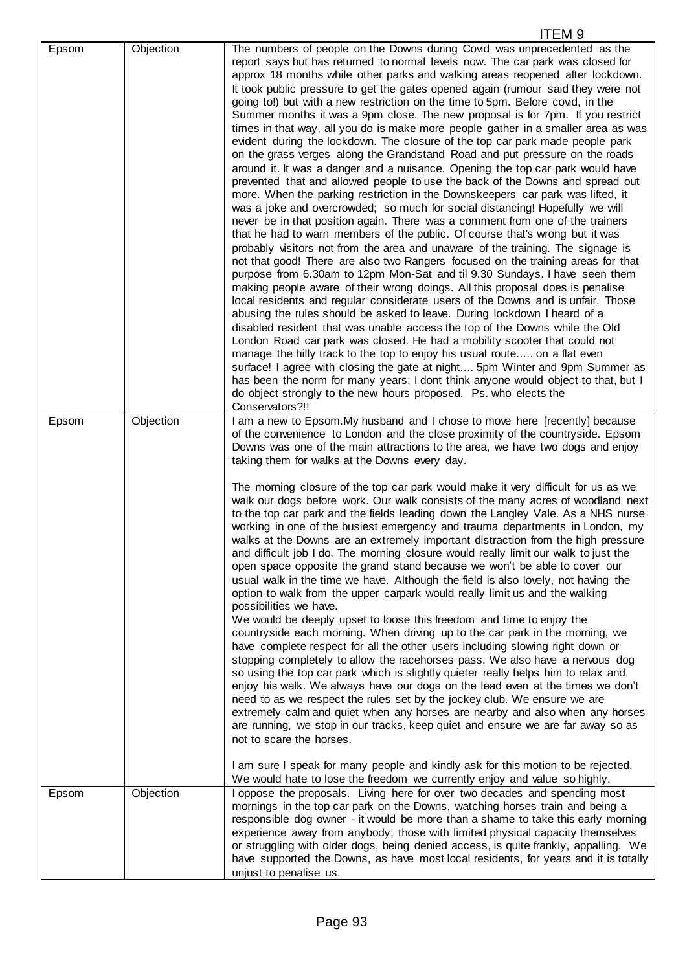|                |                        | <b>ITEM9</b>                                                                                                                                                                                                                                                                                                                                                                                                                                                                                                                                                                                                                                                                                                                                                                                                                                                                                                                                                                                                                                                                                                                                                                                                                                                                                                                                                                                                                                                                                                                                                                                                                                                                                                                                                                                                                                                                                                                                                                                                                                                                                                                                                                                                                                                                                                                                                                                                                                                                                                                                                                                                                                                                                                                                                                                                                                                                                                                                                                                                                                                                                                                                                                                                                                                                                                                                                                                                                                                                                                                                                                                                                                                                                                                                                                                                                                                                                                                                                                                                                                                                                                                                             |
|----------------|------------------------|----------------------------------------------------------------------------------------------------------------------------------------------------------------------------------------------------------------------------------------------------------------------------------------------------------------------------------------------------------------------------------------------------------------------------------------------------------------------------------------------------------------------------------------------------------------------------------------------------------------------------------------------------------------------------------------------------------------------------------------------------------------------------------------------------------------------------------------------------------------------------------------------------------------------------------------------------------------------------------------------------------------------------------------------------------------------------------------------------------------------------------------------------------------------------------------------------------------------------------------------------------------------------------------------------------------------------------------------------------------------------------------------------------------------------------------------------------------------------------------------------------------------------------------------------------------------------------------------------------------------------------------------------------------------------------------------------------------------------------------------------------------------------------------------------------------------------------------------------------------------------------------------------------------------------------------------------------------------------------------------------------------------------------------------------------------------------------------------------------------------------------------------------------------------------------------------------------------------------------------------------------------------------------------------------------------------------------------------------------------------------------------------------------------------------------------------------------------------------------------------------------------------------------------------------------------------------------------------------------------------------------------------------------------------------------------------------------------------------------------------------------------------------------------------------------------------------------------------------------------------------------------------------------------------------------------------------------------------------------------------------------------------------------------------------------------------------------------------------------------------------------------------------------------------------------------------------------------------------------------------------------------------------------------------------------------------------------------------------------------------------------------------------------------------------------------------------------------------------------------------------------------------------------------------------------------------------------------------------------------------------------------------------------------------------------------------------------------------------------------------------------------------------------------------------------------------------------------------------------------------------------------------------------------------------------------------------------------------------------------------------------------------------------------------------------------------------------------------------------------------------------------------------------|
| Epsom<br>Epsom | Objection<br>Objection | The numbers of people on the Downs during Covid was unprecedented as the<br>report says but has returned to normal levels now. The car park was closed for<br>approx 18 months while other parks and walking areas reopened after lockdown.<br>It took public pressure to get the gates opened again (rumour said they were not<br>going to!) but with a new restriction on the time to 5pm. Before covid, in the<br>Summer months it was a 9pm close. The new proposal is for 7pm. If you restrict<br>times in that way, all you do is make more people gather in a smaller area as was<br>evident during the lockdown. The closure of the top car park made people park<br>on the grass verges along the Grandstand Road and put pressure on the roads<br>around it. It was a danger and a nuisance. Opening the top car park would have<br>prevented that and allowed people to use the back of the Downs and spread out<br>more. When the parking restriction in the Downskeepers car park was lifted, it<br>was a joke and overcrowded; so much for social distancing! Hopefully we will<br>never be in that position again. There was a comment from one of the trainers<br>that he had to warn members of the public. Of course that's wrong but it was<br>probably visitors not from the area and unaware of the training. The signage is<br>not that good! There are also two Rangers focused on the training areas for that<br>purpose from 6.30am to 12pm Mon-Sat and til 9.30 Sundays. I have seen them<br>making people aware of their wrong doings. All this proposal does is penalise<br>local residents and regular considerate users of the Downs and is unfair. Those<br>abusing the rules should be asked to leave. During lockdown I heard of a<br>disabled resident that was unable access the top of the Downs while the Old<br>London Road car park was closed. He had a mobility scooter that could not<br>manage the hilly track to the top to enjoy his usual route on a flat even<br>surface! I agree with closing the gate at night 5pm Winter and 9pm Summer as<br>has been the norm for many years; I dont think anyone would object to that, but I<br>do object strongly to the new hours proposed. Ps. who elects the<br>Conservators?!!<br>I am a new to Epsom. My husband and I chose to move here [recently] because<br>of the convenience to London and the close proximity of the countryside. Epsom<br>Downs was one of the main attractions to the area, we have two dogs and enjoy<br>taking them for walks at the Downs every day.<br>The morning closure of the top car park would make it very difficult for us as we<br>walk our dogs before work. Our walk consists of the many acres of woodland next<br>to the top car park and the fields leading down the Langley Vale. As a NHS nurse<br>working in one of the busiest emergency and trauma departments in London, my<br>walks at the Downs are an extremely important distraction from the high pressure<br>and difficult job I do. The morning closure would really limit our walk to just the<br>open space opposite the grand stand because we won't be able to cover our<br>usual walk in the time we have. Although the field is also lovely, not having the<br>option to walk from the upper carpark would really limit us and the walking<br>possibilities we have.<br>We would be deeply upset to loose this freedom and time to enjoy the<br>countryside each morning. When driving up to the car park in the morning, we<br>have complete respect for all the other users including slowing right down or<br>stopping completely to allow the racehorses pass. We also have a nervous dog<br>so using the top car park which is slightly quieter really helps him to relax and<br>enjoy his walk. We always have our dogs on the lead even at the times we don't<br>need to as we respect the rules set by the jockey club. We ensure we are<br>extremely calm and quiet when any horses are nearby and also when any horses<br>are running, we stop in our tracks, keep quiet and ensure we are far away so as<br>not to scare the horses. |
|                |                        | I am sure I speak for many people and kindly ask for this motion to be rejected.<br>We would hate to lose the freedom we currently enjoy and value so highly.                                                                                                                                                                                                                                                                                                                                                                                                                                                                                                                                                                                                                                                                                                                                                                                                                                                                                                                                                                                                                                                                                                                                                                                                                                                                                                                                                                                                                                                                                                                                                                                                                                                                                                                                                                                                                                                                                                                                                                                                                                                                                                                                                                                                                                                                                                                                                                                                                                                                                                                                                                                                                                                                                                                                                                                                                                                                                                                                                                                                                                                                                                                                                                                                                                                                                                                                                                                                                                                                                                                                                                                                                                                                                                                                                                                                                                                                                                                                                                                            |
| Epsom          | Objection              | I oppose the proposals. Living here for over two decades and spending most<br>mornings in the top car park on the Downs, watching horses train and being a<br>responsible dog owner - it would be more than a shame to take this early morning<br>experience away from anybody; those with limited physical capacity themselves<br>or struggling with older dogs, being denied access, is quite frankly, appalling. We<br>have supported the Downs, as have most local residents, for years and it is totally<br>unjust to penalise us.                                                                                                                                                                                                                                                                                                                                                                                                                                                                                                                                                                                                                                                                                                                                                                                                                                                                                                                                                                                                                                                                                                                                                                                                                                                                                                                                                                                                                                                                                                                                                                                                                                                                                                                                                                                                                                                                                                                                                                                                                                                                                                                                                                                                                                                                                                                                                                                                                                                                                                                                                                                                                                                                                                                                                                                                                                                                                                                                                                                                                                                                                                                                                                                                                                                                                                                                                                                                                                                                                                                                                                                                                  |
|                |                        |                                                                                                                                                                                                                                                                                                                                                                                                                                                                                                                                                                                                                                                                                                                                                                                                                                                                                                                                                                                                                                                                                                                                                                                                                                                                                                                                                                                                                                                                                                                                                                                                                                                                                                                                                                                                                                                                                                                                                                                                                                                                                                                                                                                                                                                                                                                                                                                                                                                                                                                                                                                                                                                                                                                                                                                                                                                                                                                                                                                                                                                                                                                                                                                                                                                                                                                                                                                                                                                                                                                                                                                                                                                                                                                                                                                                                                                                                                                                                                                                                                                                                                                                                          |
|                |                        | Page 93                                                                                                                                                                                                                                                                                                                                                                                                                                                                                                                                                                                                                                                                                                                                                                                                                                                                                                                                                                                                                                                                                                                                                                                                                                                                                                                                                                                                                                                                                                                                                                                                                                                                                                                                                                                                                                                                                                                                                                                                                                                                                                                                                                                                                                                                                                                                                                                                                                                                                                                                                                                                                                                                                                                                                                                                                                                                                                                                                                                                                                                                                                                                                                                                                                                                                                                                                                                                                                                                                                                                                                                                                                                                                                                                                                                                                                                                                                                                                                                                                                                                                                                                                  |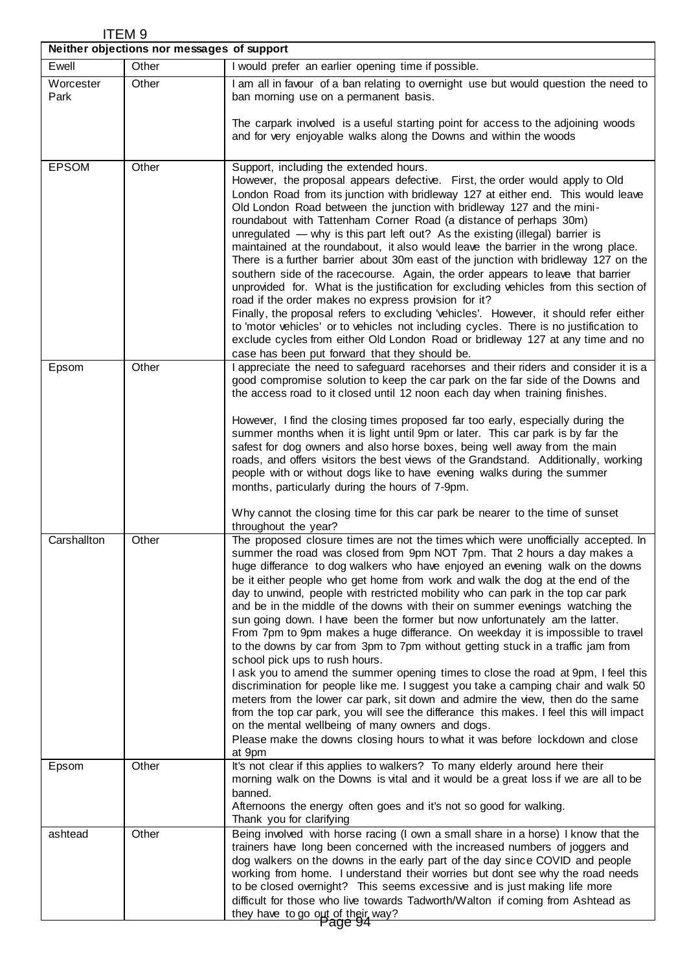| ITEM 9<br>Neither objections nor messages of support |       |                                                                                                                                                                                                                                                                                                                                                                                                                                                                                                                                                                                                                                                                                                                                                                                                                                                                                                                                                                                                                                                                                                                                                                                                                                                                                            |
|------------------------------------------------------|-------|--------------------------------------------------------------------------------------------------------------------------------------------------------------------------------------------------------------------------------------------------------------------------------------------------------------------------------------------------------------------------------------------------------------------------------------------------------------------------------------------------------------------------------------------------------------------------------------------------------------------------------------------------------------------------------------------------------------------------------------------------------------------------------------------------------------------------------------------------------------------------------------------------------------------------------------------------------------------------------------------------------------------------------------------------------------------------------------------------------------------------------------------------------------------------------------------------------------------------------------------------------------------------------------------|
| Ewell                                                |       |                                                                                                                                                                                                                                                                                                                                                                                                                                                                                                                                                                                                                                                                                                                                                                                                                                                                                                                                                                                                                                                                                                                                                                                                                                                                                            |
|                                                      | Other | I would prefer an earlier opening time if possible.                                                                                                                                                                                                                                                                                                                                                                                                                                                                                                                                                                                                                                                                                                                                                                                                                                                                                                                                                                                                                                                                                                                                                                                                                                        |
| Worcester<br>Park                                    | Other | I am all in favour of a ban relating to overnight use but would question the need to<br>ban morning use on a permanent basis.                                                                                                                                                                                                                                                                                                                                                                                                                                                                                                                                                                                                                                                                                                                                                                                                                                                                                                                                                                                                                                                                                                                                                              |
|                                                      |       | The carpark involved is a useful starting point for access to the adjoining woods<br>and for very enjoyable walks along the Downs and within the woods                                                                                                                                                                                                                                                                                                                                                                                                                                                                                                                                                                                                                                                                                                                                                                                                                                                                                                                                                                                                                                                                                                                                     |
| <b>EPSOM</b>                                         | Other | Support, including the extended hours.<br>However, the proposal appears defective. First, the order would apply to Old<br>London Road from its junction with bridleway 127 at either end. This would leave<br>Old London Road between the junction with bridleway 127 and the mini-<br>roundabout with Tattenham Corner Road (a distance of perhaps 30m)<br>unregulated — why is this part left out? As the existing (illegal) barrier is<br>maintained at the roundabout, it also would leave the barrier in the wrong place.<br>There is a further barrier about 30m east of the junction with bridleway 127 on the<br>southern side of the racecourse. Again, the order appears to leave that barrier<br>unprovided for. What is the justification for excluding vehicles from this section of<br>road if the order makes no express provision for it?<br>Finally, the proposal refers to excluding 'vehicles'. However, it should refer either<br>to 'motor vehicles' or to vehicles not including cycles. There is no justification to<br>exclude cycles from either Old London Road or bridleway 127 at any time and no<br>case has been put forward that they should be.                                                                                                            |
| Epsom                                                | Other | I appreciate the need to safeguard racehorses and their riders and consider it is a<br>good compromise solution to keep the car park on the far side of the Downs and<br>the access road to it closed until 12 noon each day when training finishes.                                                                                                                                                                                                                                                                                                                                                                                                                                                                                                                                                                                                                                                                                                                                                                                                                                                                                                                                                                                                                                       |
|                                                      |       | However, I find the closing times proposed far too early, especially during the<br>summer months when it is light until 9pm or later. This car park is by far the<br>safest for dog owners and also horse boxes, being well away from the main<br>roads, and offers visitors the best views of the Grandstand. Additionally, working<br>people with or without dogs like to have evening walks during the summer<br>months, particularly during the hours of 7-9pm.                                                                                                                                                                                                                                                                                                                                                                                                                                                                                                                                                                                                                                                                                                                                                                                                                        |
|                                                      |       | Why cannot the closing time for this car park be nearer to the time of sunset<br>throughout the year?                                                                                                                                                                                                                                                                                                                                                                                                                                                                                                                                                                                                                                                                                                                                                                                                                                                                                                                                                                                                                                                                                                                                                                                      |
| Carshallton                                          | Other | The proposed closure times are not the times which were unofficially accepted. In<br>summer the road was closed from 9pm NOT 7pm. That 2 hours a day makes a<br>huge differance to dog walkers who have enjoyed an evening walk on the downs<br>be it either people who get home from work and walk the dog at the end of the<br>day to unwind, people with restricted mobility who can park in the top car park<br>and be in the middle of the downs with their on summer evenings watching the<br>sun going down. I have been the former but now unfortunately am the latter.<br>From 7pm to 9pm makes a huge differance. On weekday it is impossible to travel<br>to the downs by car from 3pm to 7pm without getting stuck in a traffic jam from<br>school pick ups to rush hours.<br>I ask you to amend the summer opening times to close the road at 9pm, I feel this<br>discrimination for people like me. I suggest you take a camping chair and walk 50<br>meters from the lower car park, sit down and admire the view, then do the same<br>from the top car park, you will see the differance this makes. I feel this will impact<br>on the mental wellbeing of many owners and dogs.<br>Please make the downs closing hours to what it was before lockdown and close<br>at 9pm |
| Epsom                                                | Other | It's not clear if this applies to walkers? To many elderly around here their<br>morning walk on the Downs is vital and it would be a great loss if we are all to be<br>banned.<br>Afternoons the energy often goes and it's not so good for walking.<br>Thank you for clarifying                                                                                                                                                                                                                                                                                                                                                                                                                                                                                                                                                                                                                                                                                                                                                                                                                                                                                                                                                                                                           |
| ashtead                                              | Other | Being involved with horse racing (I own a small share in a horse) I know that the<br>trainers have long been concerned with the increased numbers of joggers and<br>dog walkers on the downs in the early part of the day since COVID and people<br>working from home. I understand their worries but dont see why the road needs<br>to be closed overnight? This seems excessive and is just making life more<br>difficult for those who live towards Tadworth/Walton if coming from Ashtead as<br>they have to go out of their way?<br>Page 94                                                                                                                                                                                                                                                                                                                                                                                                                                                                                                                                                                                                                                                                                                                                           |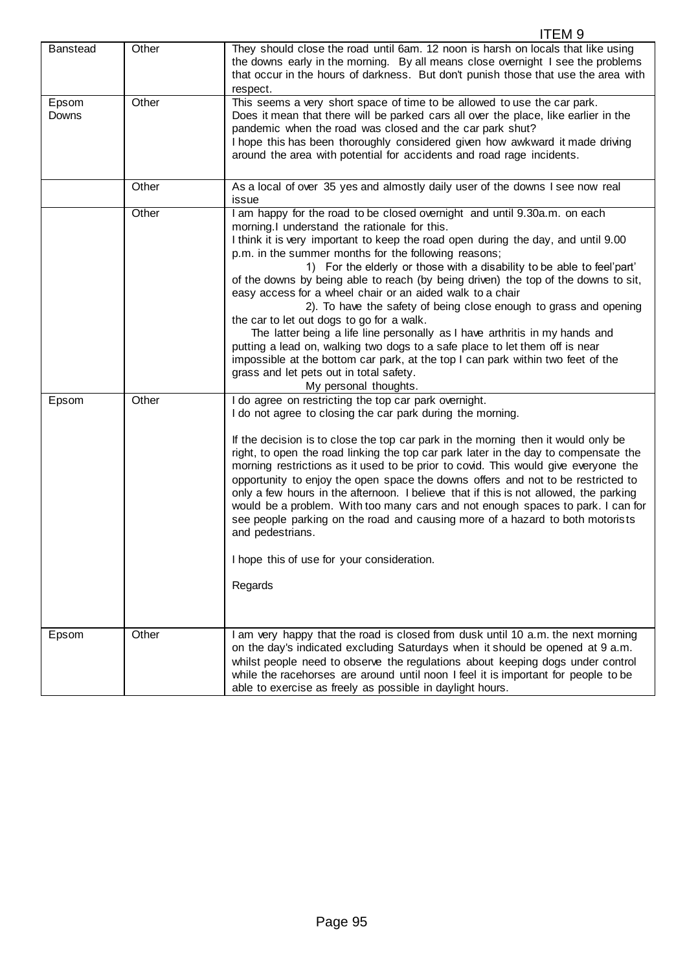|                 |       | ITEM <sub>9</sub>                                                                                                                                                                                                                                                                                                                                                                                                                                                                                                                                                                                                                                                                                                                                                                                                                                                                                                                          |
|-----------------|-------|--------------------------------------------------------------------------------------------------------------------------------------------------------------------------------------------------------------------------------------------------------------------------------------------------------------------------------------------------------------------------------------------------------------------------------------------------------------------------------------------------------------------------------------------------------------------------------------------------------------------------------------------------------------------------------------------------------------------------------------------------------------------------------------------------------------------------------------------------------------------------------------------------------------------------------------------|
| <b>Banstead</b> | Other | They should close the road until 6am. 12 noon is harsh on locals that like using<br>the downs early in the morning. By all means close overnight I see the problems<br>that occur in the hours of darkness. But don't punish those that use the area with<br>respect.                                                                                                                                                                                                                                                                                                                                                                                                                                                                                                                                                                                                                                                                      |
| Epsom<br>Downs  | Other | This seems a very short space of time to be allowed to use the car park.<br>Does it mean that there will be parked cars all over the place, like earlier in the<br>pandemic when the road was closed and the car park shut?<br>I hope this has been thoroughly considered given how awkward it made driving<br>around the area with potential for accidents and road rage incidents.                                                                                                                                                                                                                                                                                                                                                                                                                                                                                                                                                       |
|                 | Other | As a local of over 35 yes and almostly daily user of the downs I see now real<br>issue                                                                                                                                                                                                                                                                                                                                                                                                                                                                                                                                                                                                                                                                                                                                                                                                                                                     |
|                 | Other | I am happy for the road to be closed overnight and until 9.30a.m. on each<br>morning.I understand the rationale for this.<br>I think it is very important to keep the road open during the day, and until 9.00<br>p.m. in the summer months for the following reasons;<br>1) For the elderly or those with a disability to be able to feel'part'<br>of the downs by being able to reach (by being driven) the top of the downs to sit,<br>easy access for a wheel chair or an aided walk to a chair<br>2). To have the safety of being close enough to grass and opening<br>the car to let out dogs to go for a walk.<br>The latter being a life line personally as I have arthritis in my hands and<br>putting a lead on, walking two dogs to a safe place to let them off is near<br>impossible at the bottom car park, at the top I can park within two feet of the<br>grass and let pets out in total safety.<br>My personal thoughts. |
| Epsom           | Other | I do agree on restricting the top car park overnight.<br>I do not agree to closing the car park during the morning.<br>If the decision is to close the top car park in the morning then it would only be<br>right, to open the road linking the top car park later in the day to compensate the<br>morning restrictions as it used to be prior to covid. This would give everyone the<br>opportunity to enjoy the open space the downs offers and not to be restricted to<br>only a few hours in the afternoon. I believe that if this is not allowed, the parking<br>would be a problem. With too many cars and not enough spaces to park. I can for<br>see people parking on the road and causing more of a hazard to both motorists<br>and pedestrians.<br>I hope this of use for your consideration.<br>Regards                                                                                                                        |
| Epsom           | Other | I am very happy that the road is closed from dusk until 10 a.m. the next morning<br>on the day's indicated excluding Saturdays when it should be opened at 9 a.m.<br>whilst people need to observe the regulations about keeping dogs under control<br>while the racehorses are around until noon I feel it is important for people to be<br>able to exercise as freely as possible in daylight hours.                                                                                                                                                                                                                                                                                                                                                                                                                                                                                                                                     |
|                 |       | Page 95                                                                                                                                                                                                                                                                                                                                                                                                                                                                                                                                                                                                                                                                                                                                                                                                                                                                                                                                    |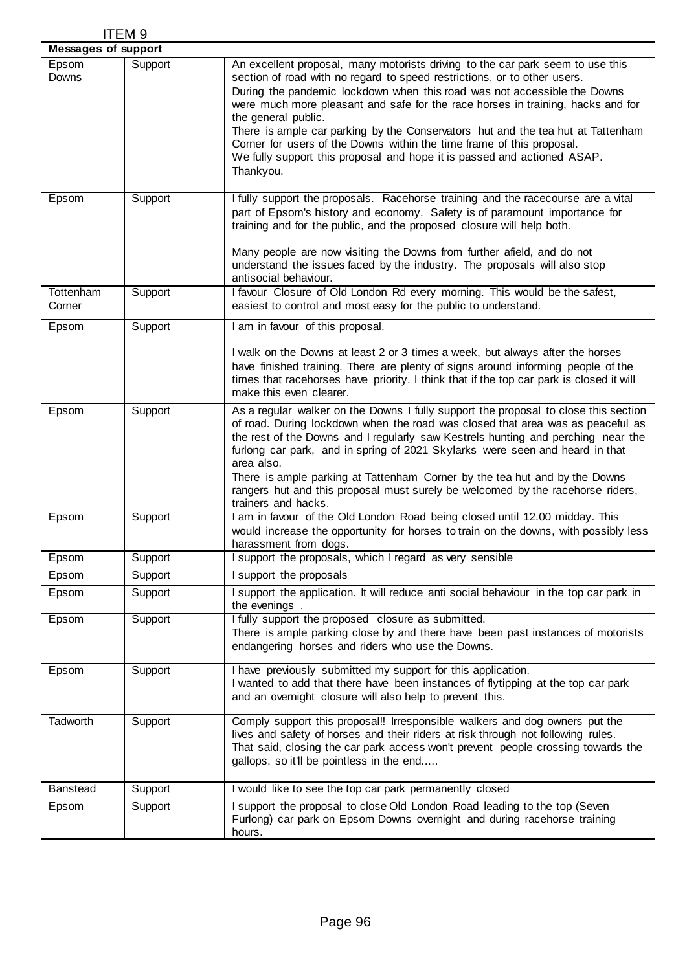|                            | ITEM 9  |                                                                                                                                                                                                                                                                                                                                                                                                                                                                                                                                                                                                      |
|----------------------------|---------|------------------------------------------------------------------------------------------------------------------------------------------------------------------------------------------------------------------------------------------------------------------------------------------------------------------------------------------------------------------------------------------------------------------------------------------------------------------------------------------------------------------------------------------------------------------------------------------------------|
| <b>Messages of support</b> |         |                                                                                                                                                                                                                                                                                                                                                                                                                                                                                                                                                                                                      |
| Epsom<br>Downs             | Support | An excellent proposal, many motorists driving to the car park seem to use this<br>section of road with no regard to speed restrictions, or to other users.<br>During the pandemic lockdown when this road was not accessible the Downs<br>were much more pleasant and safe for the race horses in training, hacks and for<br>the general public.<br>There is ample car parking by the Conservators hut and the tea hut at Tattenham<br>Corner for users of the Downs within the time frame of this proposal.<br>We fully support this proposal and hope it is passed and actioned ASAP.<br>Thankyou. |
| Epsom                      | Support | I fully support the proposals. Racehorse training and the racecourse are a vital<br>part of Epsom's history and economy. Safety is of paramount importance for<br>training and for the public, and the proposed closure will help both.<br>Many people are now visiting the Downs from further afield, and do not<br>understand the issues faced by the industry. The proposals will also stop<br>antisocial behaviour.                                                                                                                                                                              |
| Tottenham<br>Corner        | Support | I favour Closure of Old London Rd every morning. This would be the safest,<br>easiest to control and most easy for the public to understand.                                                                                                                                                                                                                                                                                                                                                                                                                                                         |
| Epsom                      | Support | I am in favour of this proposal.                                                                                                                                                                                                                                                                                                                                                                                                                                                                                                                                                                     |
|                            |         | I walk on the Downs at least 2 or 3 times a week, but always after the horses<br>have finished training. There are plenty of signs around informing people of the<br>times that racehorses have priority. I think that if the top car park is closed it will<br>make this even clearer.                                                                                                                                                                                                                                                                                                              |
| Epsom                      | Support | As a regular walker on the Downs I fully support the proposal to close this section<br>of road. During lockdown when the road was closed that area was as peaceful as<br>the rest of the Downs and I regularly saw Kestrels hunting and perching near the<br>furlong car park, and in spring of 2021 Skylarks were seen and heard in that<br>area also.<br>There is ample parking at Tattenham Corner by the tea hut and by the Downs<br>rangers hut and this proposal must surely be welcomed by the racehorse riders,<br>trainers and hacks.                                                       |
| Epsom                      | Support | I am in favour of the Old London Road being closed until 12.00 midday. This<br>would increase the opportunity for horses to train on the downs, with possibly less<br>harassment from dogs.                                                                                                                                                                                                                                                                                                                                                                                                          |
| Epsom                      | Support | I support the proposals, which I regard as very sensible                                                                                                                                                                                                                                                                                                                                                                                                                                                                                                                                             |
| Epsom                      | Support | I support the proposals                                                                                                                                                                                                                                                                                                                                                                                                                                                                                                                                                                              |
| Epsom                      | Support | I support the application. It will reduce anti social behaviour in the top car park in<br>the evenings.                                                                                                                                                                                                                                                                                                                                                                                                                                                                                              |
| Epsom                      | Support | I fully support the proposed closure as submitted.<br>There is ample parking close by and there have been past instances of motorists<br>endangering horses and riders who use the Downs.                                                                                                                                                                                                                                                                                                                                                                                                            |
| Epsom                      | Support | I have previously submitted my support for this application.<br>I wanted to add that there have been instances of flytipping at the top car park<br>and an overnight closure will also help to prevent this.                                                                                                                                                                                                                                                                                                                                                                                         |
| Tadworth                   | Support | Comply support this proposal!! Irresponsible walkers and dog owners put the<br>lives and safety of horses and their riders at risk through not following rules.<br>That said, closing the car park access won't prevent people crossing towards the<br>gallops, so it'll be pointless in the end                                                                                                                                                                                                                                                                                                     |
| <b>Banstead</b>            | Support | I would like to see the top car park permanently closed                                                                                                                                                                                                                                                                                                                                                                                                                                                                                                                                              |
| Epsom                      | Support | I support the proposal to close Old London Road leading to the top (Seven<br>Furlong) car park on Epsom Downs overnight and during racehorse training<br>hours.                                                                                                                                                                                                                                                                                                                                                                                                                                      |
|                            |         | Page 96                                                                                                                                                                                                                                                                                                                                                                                                                                                                                                                                                                                              |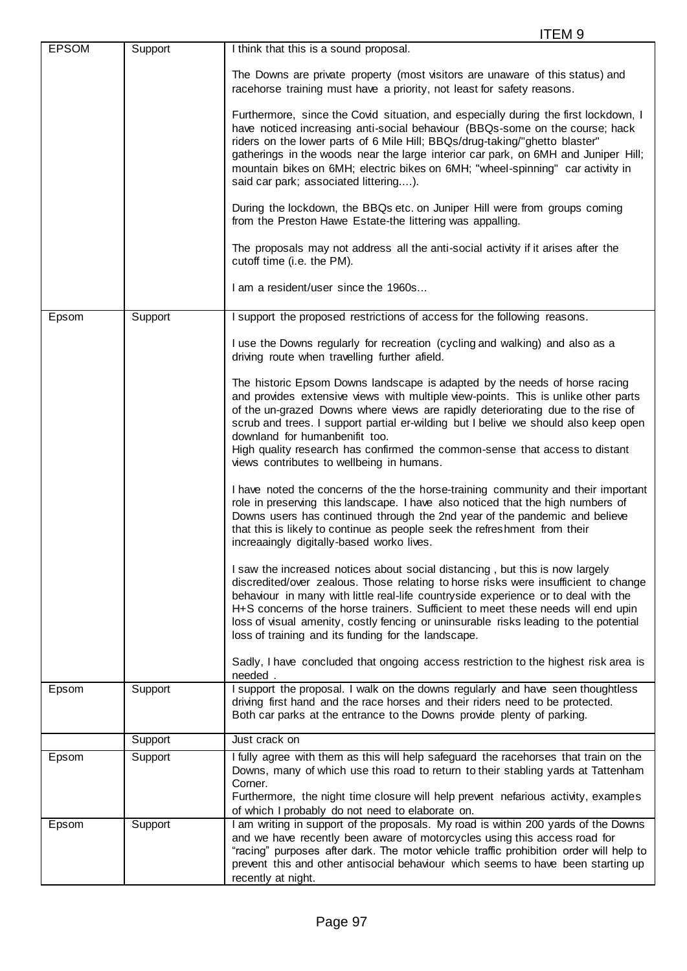|              |         | ITEM 9                                                                                                                                                                                                                                                                                                                                                                                                                                                                                                   |
|--------------|---------|----------------------------------------------------------------------------------------------------------------------------------------------------------------------------------------------------------------------------------------------------------------------------------------------------------------------------------------------------------------------------------------------------------------------------------------------------------------------------------------------------------|
| <b>EPSOM</b> | Support | I think that this is a sound proposal.                                                                                                                                                                                                                                                                                                                                                                                                                                                                   |
|              |         | The Downs are private property (most visitors are unaware of this status) and<br>racehorse training must have a priority, not least for safety reasons.                                                                                                                                                                                                                                                                                                                                                  |
|              |         | Furthermore, since the Covid situation, and especially during the first lockdown, I<br>have noticed increasing anti-social behaviour (BBQs-some on the course; hack<br>riders on the lower parts of 6 Mile Hill; BBQs/drug-taking/"ghetto blaster"<br>gatherings in the woods near the large interior car park, on 6MH and Juniper Hill;<br>mountain bikes on 6MH; electric bikes on 6MH; "wheel-spinning" car activity in<br>said car park; associated littering).                                      |
|              |         | During the lockdown, the BBQs etc. on Juniper Hill were from groups coming<br>from the Preston Hawe Estate-the littering was appalling.                                                                                                                                                                                                                                                                                                                                                                  |
|              |         | The proposals may not address all the anti-social activity if it arises after the<br>cutoff time (i.e. the PM).                                                                                                                                                                                                                                                                                                                                                                                          |
|              |         | I am a resident/user since the 1960s                                                                                                                                                                                                                                                                                                                                                                                                                                                                     |
| Epsom        | Support | I support the proposed restrictions of access for the following reasons.                                                                                                                                                                                                                                                                                                                                                                                                                                 |
|              |         | I use the Downs regularly for recreation (cycling and walking) and also as a<br>driving route when travelling further afield.                                                                                                                                                                                                                                                                                                                                                                            |
|              |         | The historic Epsom Downs landscape is adapted by the needs of horse racing<br>and provides extensive views with multiple view-points. This is unlike other parts<br>of the un-grazed Downs where views are rapidly deteriorating due to the rise of<br>scrub and trees. I support partial er-wilding but I belive we should also keep open<br>downland for humanbenifit too.<br>High quality research has confirmed the common-sense that access to distant<br>views contributes to wellbeing in humans. |
|              |         | I have noted the concerns of the the horse-training community and their important<br>role in preserving this landscape. I have also noticed that the high numbers of<br>Downs users has continued through the 2nd year of the pandemic and believe<br>that this is likely to continue as people seek the refreshment from their<br>increaaingly digitally-based worko lives.                                                                                                                             |
|              |         | I saw the increased notices about social distancing, but this is now largely<br>discredited/over zealous. Those relating to horse risks were insufficient to change<br>behaviour in many with little real-life countryside experience or to deal with the<br>H+S concerns of the horse trainers. Sufficient to meet these needs will end upin<br>loss of visual amenity, costly fencing or uninsurable risks leading to the potential<br>loss of training and its funding for the landscape.             |
|              |         | Sadly, I have concluded that ongoing access restriction to the highest risk area is<br>needed.                                                                                                                                                                                                                                                                                                                                                                                                           |
| Epsom        | Support | I support the proposal. I walk on the downs regularly and have seen thoughtless<br>driving first hand and the race horses and their riders need to be protected.<br>Both car parks at the entrance to the Downs provide plenty of parking.                                                                                                                                                                                                                                                               |
|              | Support | Just crack on                                                                                                                                                                                                                                                                                                                                                                                                                                                                                            |
| Epsom        | Support | I fully agree with them as this will help safeguard the racehorses that train on the<br>Downs, many of which use this road to return to their stabling yards at Tattenham<br>Corner.<br>Furthermore, the night time closure will help prevent nefarious activity, examples<br>of which I probably do not need to elaborate on.                                                                                                                                                                           |
| Epsom        | Support | I am writing in support of the proposals. My road is within 200 yards of the Downs<br>and we have recently been aware of motorcycles using this access road for<br>"racing" purposes after dark. The motor vehicle traffic prohibition order will help to<br>prevent this and other antisocial behaviour which seems to have been starting up<br>recently at night.                                                                                                                                      |
|              |         | Page 97                                                                                                                                                                                                                                                                                                                                                                                                                                                                                                  |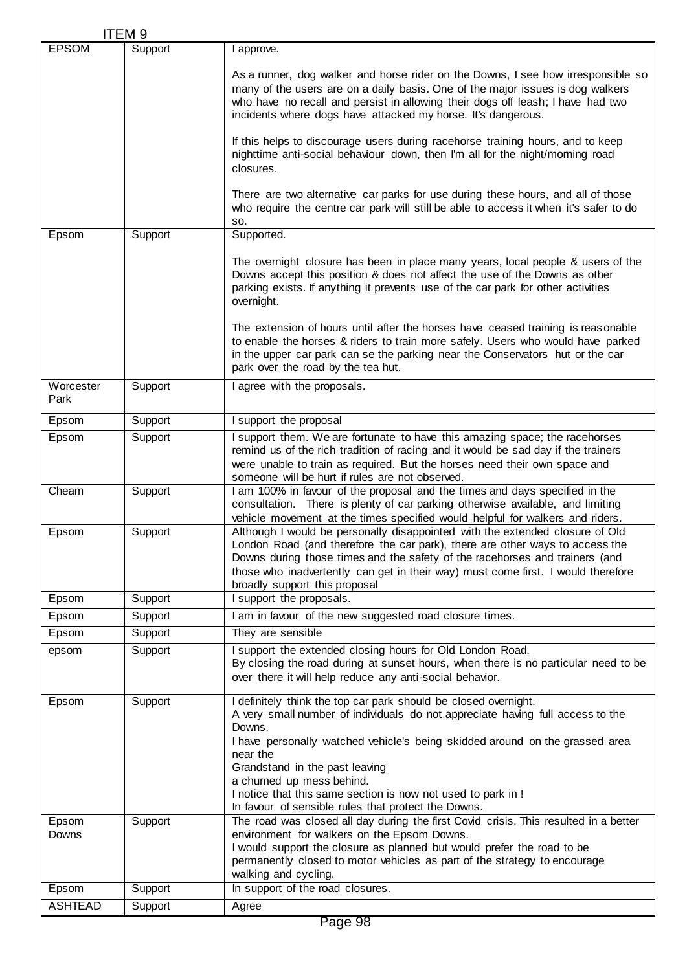|                   | ITEM 9  |                                                                                                                                                                                                                                                                                                                                                                                                                                               |  |  |
|-------------------|---------|-----------------------------------------------------------------------------------------------------------------------------------------------------------------------------------------------------------------------------------------------------------------------------------------------------------------------------------------------------------------------------------------------------------------------------------------------|--|--|
| <b>EPSOM</b>      | Support | I approve.                                                                                                                                                                                                                                                                                                                                                                                                                                    |  |  |
|                   |         | As a runner, dog walker and horse rider on the Downs, I see how irresponsible so<br>many of the users are on a daily basis. One of the major issues is dog walkers<br>who have no recall and persist in allowing their dogs off leash; I have had two<br>incidents where dogs have attacked my horse. It's dangerous.                                                                                                                         |  |  |
|                   |         | If this helps to discourage users during racehorse training hours, and to keep<br>nighttime anti-social behaviour down, then I'm all for the night/morning road<br>closures.                                                                                                                                                                                                                                                                  |  |  |
|                   |         | There are two alternative car parks for use during these hours, and all of those<br>who require the centre car park will still be able to access it when it's safer to do<br>SO.                                                                                                                                                                                                                                                              |  |  |
| Epsom             | Support | Supported.                                                                                                                                                                                                                                                                                                                                                                                                                                    |  |  |
|                   |         | The overnight closure has been in place many years, local people & users of the<br>Downs accept this position & does not affect the use of the Downs as other<br>parking exists. If anything it prevents use of the car park for other activities<br>overnight.                                                                                                                                                                               |  |  |
|                   |         | The extension of hours until after the horses have ceased training is reasonable<br>to enable the horses & riders to train more safely. Users who would have parked<br>in the upper car park can se the parking near the Conservators hut or the car<br>park over the road by the tea hut.                                                                                                                                                    |  |  |
| Worcester<br>Park | Support | I agree with the proposals.                                                                                                                                                                                                                                                                                                                                                                                                                   |  |  |
| Epsom             | Support | I support the proposal                                                                                                                                                                                                                                                                                                                                                                                                                        |  |  |
| Epsom             | Support | I support them. We are fortunate to have this amazing space; the racehorses<br>remind us of the rich tradition of racing and it would be sad day if the trainers<br>were unable to train as required. But the horses need their own space and<br>someone will be hurt if rules are not observed.                                                                                                                                              |  |  |
| Cheam             | Support | I am 100% in favour of the proposal and the times and days specified in the<br>consultation. There is plenty of car parking otherwise available, and limiting<br>vehicle movement at the times specified would helpful for walkers and riders.                                                                                                                                                                                                |  |  |
| Epsom             | Support | Although I would be personally disappointed with the extended closure of Old<br>London Road (and therefore the car park), there are other ways to access the<br>Downs during those times and the safety of the racehorses and trainers (and<br>those who inadvertently can get in their way) must come first. I would therefore<br>broadly support this proposal                                                                              |  |  |
| Epsom             | Support | I support the proposals.                                                                                                                                                                                                                                                                                                                                                                                                                      |  |  |
| Epsom             | Support | I am in favour of the new suggested road closure times.                                                                                                                                                                                                                                                                                                                                                                                       |  |  |
| Epsom             | Support | They are sensible                                                                                                                                                                                                                                                                                                                                                                                                                             |  |  |
| epsom             | Support | I support the extended closing hours for Old London Road.<br>By closing the road during at sunset hours, when there is no particular need to be<br>over there it will help reduce any anti-social behavior.                                                                                                                                                                                                                                   |  |  |
| Epsom             | Support | I definitely think the top car park should be closed overnight.<br>A very small number of individuals do not appreciate having full access to the<br>Downs.<br>I have personally watched vehicle's being skidded around on the grassed area<br>near the<br>Grandstand in the past leaving<br>a churned up mess behind.<br>I notice that this same section is now not used to park in !<br>In favour of sensible rules that protect the Downs. |  |  |
| Epsom<br>Downs    | Support | The road was closed all day during the first Covid crisis. This resulted in a better<br>environment for walkers on the Epsom Downs.<br>I would support the closure as planned but would prefer the road to be<br>permanently closed to motor vehicles as part of the strategy to encourage<br>walking and cycling.                                                                                                                            |  |  |
| Epsom             | Support | In support of the road closures.                                                                                                                                                                                                                                                                                                                                                                                                              |  |  |
| <b>ASHTEAD</b>    | Support | Agree                                                                                                                                                                                                                                                                                                                                                                                                                                         |  |  |
| Page 98           |         |                                                                                                                                                                                                                                                                                                                                                                                                                                               |  |  |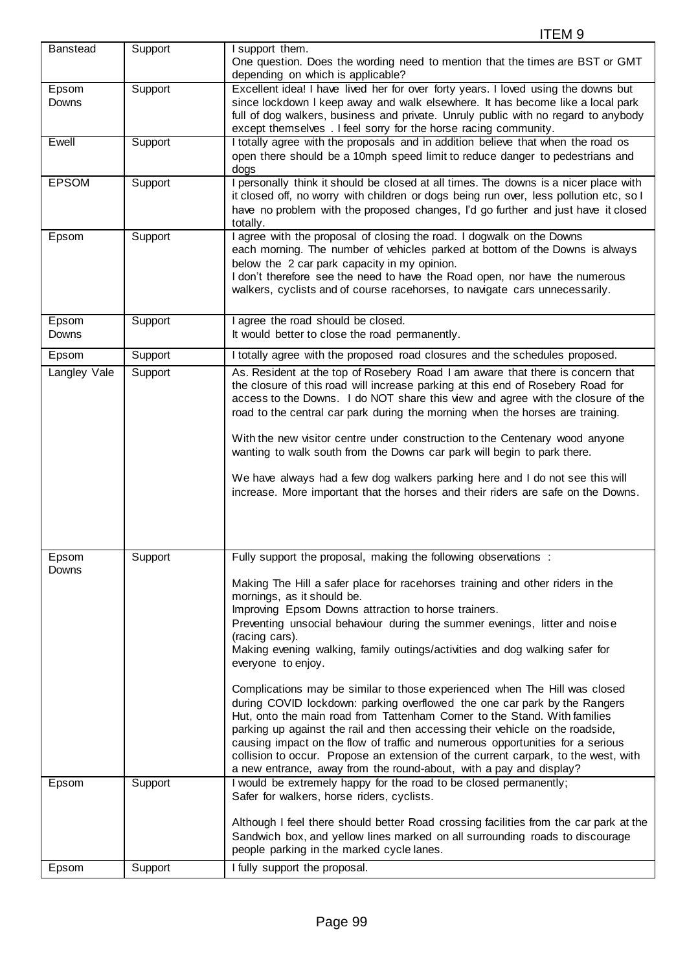|                 |         | ITEM <sub>9</sub>                                                                                                                                                                                                                                                                                                                                                                                                                                                                                                                                                                                                                                                                                                                                                                                                                                                                                                                                                                                                 |
|-----------------|---------|-------------------------------------------------------------------------------------------------------------------------------------------------------------------------------------------------------------------------------------------------------------------------------------------------------------------------------------------------------------------------------------------------------------------------------------------------------------------------------------------------------------------------------------------------------------------------------------------------------------------------------------------------------------------------------------------------------------------------------------------------------------------------------------------------------------------------------------------------------------------------------------------------------------------------------------------------------------------------------------------------------------------|
| <b>Banstead</b> | Support | I support them.<br>One question. Does the wording need to mention that the times are BST or GMT<br>depending on which is applicable?                                                                                                                                                                                                                                                                                                                                                                                                                                                                                                                                                                                                                                                                                                                                                                                                                                                                              |
| Epsom<br>Downs  | Support | Excellent idea! I have lived her for over forty years. I loved using the downs but<br>since lockdown I keep away and walk elsewhere. It has become like a local park<br>full of dog walkers, business and private. Unruly public with no regard to anybody<br>except themselves . I feel sorry for the horse racing community.                                                                                                                                                                                                                                                                                                                                                                                                                                                                                                                                                                                                                                                                                    |
| Ewell           | Support | I totally agree with the proposals and in addition believe that when the road os<br>open there should be a 10mph speed limit to reduce danger to pedestrians and<br>dogs                                                                                                                                                                                                                                                                                                                                                                                                                                                                                                                                                                                                                                                                                                                                                                                                                                          |
| <b>EPSOM</b>    | Support | I personally think it should be closed at all times. The downs is a nicer place with<br>it closed off, no worry with children or dogs being run over, less pollution etc, so I<br>have no problem with the proposed changes, I'd go further and just have it closed<br>totally.                                                                                                                                                                                                                                                                                                                                                                                                                                                                                                                                                                                                                                                                                                                                   |
| Epsom           | Support | I agree with the proposal of closing the road. I dogwalk on the Downs<br>each morning. The number of vehicles parked at bottom of the Downs is always<br>below the 2 car park capacity in my opinion.<br>I don't therefore see the need to have the Road open, nor have the numerous<br>walkers, cyclists and of course racehorses, to navigate cars unnecessarily.                                                                                                                                                                                                                                                                                                                                                                                                                                                                                                                                                                                                                                               |
| Epsom<br>Downs  | Support | I agree the road should be closed.<br>It would better to close the road permanently.                                                                                                                                                                                                                                                                                                                                                                                                                                                                                                                                                                                                                                                                                                                                                                                                                                                                                                                              |
| Epsom           | Support | I totally agree with the proposed road closures and the schedules proposed.                                                                                                                                                                                                                                                                                                                                                                                                                                                                                                                                                                                                                                                                                                                                                                                                                                                                                                                                       |
| Langley Vale    | Support | As. Resident at the top of Rosebery Road I am aware that there is concern that<br>the closure of this road will increase parking at this end of Rosebery Road for<br>access to the Downs. I do NOT share this view and agree with the closure of the<br>road to the central car park during the morning when the horses are training.<br>With the new visitor centre under construction to the Centenary wood anyone<br>wanting to walk south from the Downs car park will begin to park there.<br>We have always had a few dog walkers parking here and I do not see this will<br>increase. More important that the horses and their riders are safe on the Downs.                                                                                                                                                                                                                                                                                                                                               |
| Epsom<br>Downs  | Support | Fully support the proposal, making the following observations :<br>Making The Hill a safer place for racehorses training and other riders in the<br>mornings, as it should be.<br>Improving Epsom Downs attraction to horse trainers.<br>Preventing unsocial behaviour during the summer evenings, litter and noise<br>(racing cars).<br>Making evening walking, family outings/activities and dog walking safer for<br>everyone to enjoy.<br>Complications may be similar to those experienced when The Hill was closed<br>during COVID lockdown: parking overflowed the one car park by the Rangers<br>Hut, onto the main road from Tattenham Corner to the Stand. With families<br>parking up against the rail and then accessing their vehicle on the roadside,<br>causing impact on the flow of traffic and numerous opportunities for a serious<br>collision to occur. Propose an extension of the current carpark, to the west, with<br>a new entrance, away from the round-about, with a pay and display? |
| Epsom           | Support | I would be extremely happy for the road to be closed permanently;<br>Safer for walkers, horse riders, cyclists.<br>Although I feel there should better Road crossing facilities from the car park at the<br>Sandwich box, and yellow lines marked on all surrounding roads to discourage<br>people parking in the marked cycle lanes.                                                                                                                                                                                                                                                                                                                                                                                                                                                                                                                                                                                                                                                                             |
|                 |         | I fully support the proposal.                                                                                                                                                                                                                                                                                                                                                                                                                                                                                                                                                                                                                                                                                                                                                                                                                                                                                                                                                                                     |